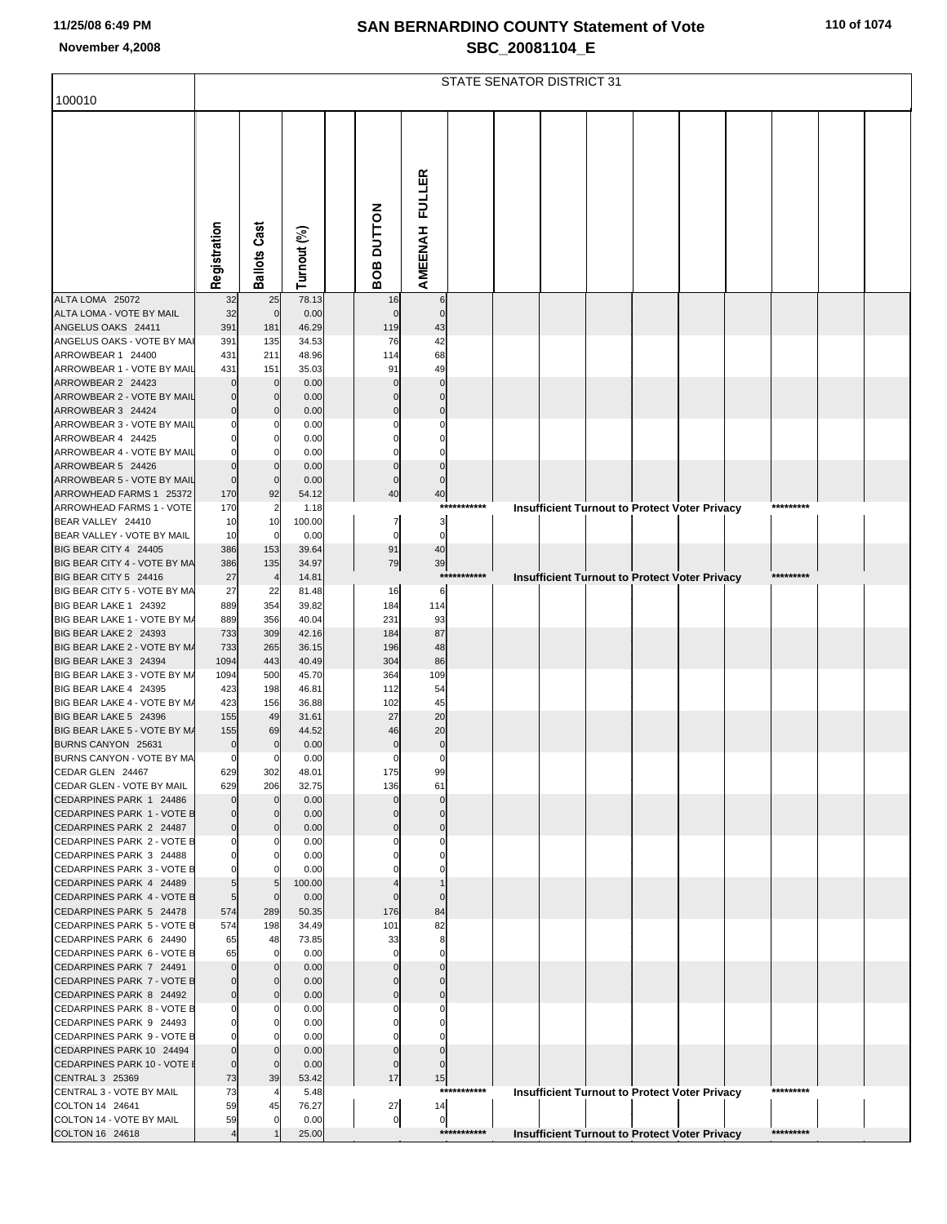|  |  |  |  |  | 110 of 1074 |
|--|--|--|--|--|-------------|
|--|--|--|--|--|-------------|

|                                                       |                            |                             |                |                               |                               |             | <b>STATE SENATOR DISTRICT 31</b>                     |  |  |           |  |
|-------------------------------------------------------|----------------------------|-----------------------------|----------------|-------------------------------|-------------------------------|-------------|------------------------------------------------------|--|--|-----------|--|
| 100010                                                |                            |                             |                |                               |                               |             |                                                      |  |  |           |  |
|                                                       |                            |                             |                |                               |                               |             |                                                      |  |  |           |  |
|                                                       |                            |                             |                |                               |                               |             |                                                      |  |  |           |  |
|                                                       |                            |                             |                |                               |                               |             |                                                      |  |  |           |  |
|                                                       |                            |                             |                |                               |                               |             |                                                      |  |  |           |  |
|                                                       |                            |                             |                |                               |                               |             |                                                      |  |  |           |  |
|                                                       |                            |                             |                |                               |                               |             |                                                      |  |  |           |  |
|                                                       |                            |                             |                |                               |                               |             |                                                      |  |  |           |  |
|                                                       |                            |                             |                |                               |                               |             |                                                      |  |  |           |  |
|                                                       | Registration               | <b>Ballots Cast</b>         | Turnout (%)    | <b>OB DUTTON</b>              | AMEENAH FULLER                |             |                                                      |  |  |           |  |
| ALTA LOMA 25072                                       |                            |                             | 78.13          | m<br>16                       |                               |             |                                                      |  |  |           |  |
| ALTA LOMA - VOTE BY MAIL                              | 32<br>32                   | 25<br>$\mathbf 0$           | 0.00           | $\Omega$                      | 6<br>$\Omega$                 |             |                                                      |  |  |           |  |
| ANGELUS OAKS 24411                                    | 391                        | 181                         | 46.29          | 119                           | 43                            |             |                                                      |  |  |           |  |
| ANGELUS OAKS - VOTE BY MAI                            | 391                        | 135                         | 34.53          | 76                            | 42<br>68                      |             |                                                      |  |  |           |  |
| ARROWBEAR 1 24400<br>ARROWBEAR 1 - VOTE BY MAIL       | 431<br>431                 | 211<br>151                  | 48.96<br>35.03 | 114<br>91                     | 49                            |             |                                                      |  |  |           |  |
| ARROWBEAR 2 24423                                     | $\Omega$                   | $\mathbf{0}$                | 0.00           |                               |                               |             |                                                      |  |  |           |  |
| ARROWBEAR 2 - VOTE BY MAIL                            |                            | $\mathbf 0$                 | 0.00           |                               |                               |             |                                                      |  |  |           |  |
| ARROWBEAR 3 24424<br>ARROWBEAR 3 - VOTE BY MAIL       |                            |                             | 0.00<br>0.00   |                               |                               |             |                                                      |  |  |           |  |
| ARROWBEAR 4 24425                                     |                            |                             | 0.00           |                               |                               |             |                                                      |  |  |           |  |
| ARROWBEAR 4 - VOTE BY MAIL                            |                            |                             | 0.00           |                               |                               |             |                                                      |  |  |           |  |
| ARROWBEAR 5 24426<br>ARROWBEAR 5 - VOTE BY MAIL       | $\Omega$<br>$\mathbf 0$    | $\mathbf{0}$                | 0.00<br>0.00   | $\Omega$                      |                               |             |                                                      |  |  |           |  |
| ARROWHEAD FARMS 1 25372                               | 170                        | 92                          | 54.12          | 40                            | 40                            |             |                                                      |  |  |           |  |
| ARROWHEAD FARMS 1 - VOTE                              | 170                        | $\overline{2}$              | 1.18           |                               |                               | *********** | <b>Insufficient Turnout to Protect Voter Privacy</b> |  |  | ********* |  |
| BEAR VALLEY 24410<br>BEAR VALLEY - VOTE BY MAIL       | 10<br>10                   | 10<br>$\mathbf 0$           | 100.00<br>0.00 | $\overline{7}$<br>$\mathbf 0$ | 3<br>$\mathbf 0$              |             |                                                      |  |  |           |  |
| BIG BEAR CITY 4 24405                                 | 386                        | 153                         | 39.64          | 91                            | 40                            |             |                                                      |  |  |           |  |
| BIG BEAR CITY 4 - VOTE BY MA                          | 386                        | 135                         | 34.97          | 79                            | 39                            |             |                                                      |  |  | ********* |  |
| BIG BEAR CITY 5 24416<br>BIG BEAR CITY 5 - VOTE BY MA | 27<br>27                   | 22                          | 14.81<br>81.48 | 16                            | 6                             | *********** | <b>Insufficient Turnout to Protect Voter Privacy</b> |  |  |           |  |
| BIG BEAR LAKE 1 24392                                 | 889                        | 354                         | 39.82          | 184                           | 114                           |             |                                                      |  |  |           |  |
| BIG BEAR LAKE 1 - VOTE BY M/                          | 889                        | 356                         | 40.04          | 231                           | 93                            |             |                                                      |  |  |           |  |
| BIG BEAR LAKE 2 24393<br>BIG BEAR LAKE 2 - VOTE BY M/ | 733<br>733                 | 309<br>265                  | 42.16<br>36.15 | 184<br>196                    | 87<br>48                      |             |                                                      |  |  |           |  |
| BIG BEAR LAKE 3 24394                                 | 1094                       | 443                         | 40.49          | 304                           | 86                            |             |                                                      |  |  |           |  |
| BIG BEAR LAKE 3 - VOTE BY M/                          | 1094                       | 500                         | 45.70          | 364                           | 109                           |             |                                                      |  |  |           |  |
| BIG BEAR LAKE 4 24395<br>BIG BEAR LAKE 4 - VOTE BY M/ | 423<br>423                 | 198<br>156                  | 46.81<br>36.88 | 112<br>102                    | 54<br>45                      |             |                                                      |  |  |           |  |
| BIG BEAR LAKE 5 24396                                 | 155                        | 49                          | 31.61          | 27                            | 20                            |             |                                                      |  |  |           |  |
| BIG BEAR LAKE 5 - VOTE BY M/                          | 155                        | 69                          | 44.52          | 46                            | 20                            |             |                                                      |  |  |           |  |
| BURNS CANYON 25631<br>BURNS CANYON - VOTE BY MA       | $\mathbf 0$<br>$\mathbf 0$ | $\Omega$<br>$\mathbf{0}$    | 0.00<br>0.00   | 0                             | 0<br>0                        |             |                                                      |  |  |           |  |
| CEDAR GLEN 24467                                      | 629                        | 302                         | 48.01          | 175                           | 99                            |             |                                                      |  |  |           |  |
| CEDAR GLEN - VOTE BY MAIL                             | 629<br>$\mathbf 0$         | 206                         | 32.75          | 136                           | 61                            |             |                                                      |  |  |           |  |
| CEDARPINES PARK 1 24486<br>CEDARPINES PARK 1 - VOTE B | $\Omega$                   | $\mathbf 0$<br>$\mathbf{0}$ | 0.00<br>0.00   |                               |                               |             |                                                      |  |  |           |  |
| CEDARPINES PARK 2 24487                               | $\mathbf 0$                | $\mathbf 0$                 | 0.00           | $\Omega$                      |                               |             |                                                      |  |  |           |  |
| CEDARPINES PARK 2 - VOTE B<br>CEDARPINES PARK 3 24488 | $\Omega$<br>$\Omega$       | 0<br>$\mathbf 0$            | 0.00<br>0.00   |                               |                               |             |                                                      |  |  |           |  |
| CEDARPINES PARK 3 - VOTE B                            |                            | $\Omega$                    | 0.00           |                               |                               |             |                                                      |  |  |           |  |
| CEDARPINES PARK 4 24489                               | 5                          | 5                           | 100.00         |                               |                               |             |                                                      |  |  |           |  |
| CEDARPINES PARK 4 - VOTE B<br>CEDARPINES PARK 5 24478 | 5<br>574                   | $\mathbf 0$<br>289          | 0.00<br>50.35  | 176                           | $\Omega$<br>84                |             |                                                      |  |  |           |  |
| CEDARPINES PARK 5 - VOTE B                            | 574                        | 198                         | 34.49          | 101                           | 82                            |             |                                                      |  |  |           |  |
| CEDARPINES PARK 6 24490                               | 65                         | 48                          | 73.85          | 33                            | 8                             |             |                                                      |  |  |           |  |
| CEDARPINES PARK 6 - VOTE B<br>CEDARPINES PARK 7 24491 | 65<br>$\overline{0}$       | $\mathbf 0$<br>$\mathbf 0$  | 0.00<br>0.00   |                               |                               |             |                                                      |  |  |           |  |
| CEDARPINES PARK 7 - VOTE B                            | $\Omega$                   | $\mathbf{0}$                | 0.00           |                               |                               |             |                                                      |  |  |           |  |
| CEDARPINES PARK 8 24492                               | $\Omega$                   | $\mathbf 0$                 | 0.00           | $\Omega$                      | $\Omega$                      |             |                                                      |  |  |           |  |
| CEDARPINES PARK 8 - VOTE B<br>CEDARPINES PARK 9 24493 | $\Omega$<br>$\Omega$       | 0<br>$\mathbf 0$            | 0.00<br>0.00   |                               |                               |             |                                                      |  |  |           |  |
| CEDARPINES PARK 9 - VOTE B                            |                            | $\mathbf 0$                 | 0.00           |                               |                               |             |                                                      |  |  |           |  |
| CEDARPINES PARK 10 24494                              | $\overline{0}$             | $\mathbf 0$                 | 0.00           | $\Omega$                      |                               |             |                                                      |  |  |           |  |
| CEDARPINES PARK 10 - VOTE I<br>CENTRAL 3 25369        | $\mathbf 0$<br>73          | $\mathbf 0$<br>39           | 0.00<br>53.42  | $\Omega$<br>17                | 15                            |             |                                                      |  |  |           |  |
| CENTRAL 3 - VOTE BY MAIL                              | 73                         | 4                           | 5.48           |                               |                               | *********** | <b>Insufficient Turnout to Protect Voter Privacy</b> |  |  | ********* |  |
| COLTON 14 24641                                       | 59                         | 45                          | 76.27          | 27                            | 14                            |             |                                                      |  |  |           |  |
| COLTON 14 - VOTE BY MAIL<br>COLTON 16 24618           | 59                         | $\mathbf 0$                 | 0.00<br>25.00  |                               | $\overline{0}$<br>$\mathbf 0$ | *********** | <b>Insufficient Turnout to Protect Voter Privacy</b> |  |  | ********* |  |
|                                                       |                            |                             |                |                               |                               |             |                                                      |  |  |           |  |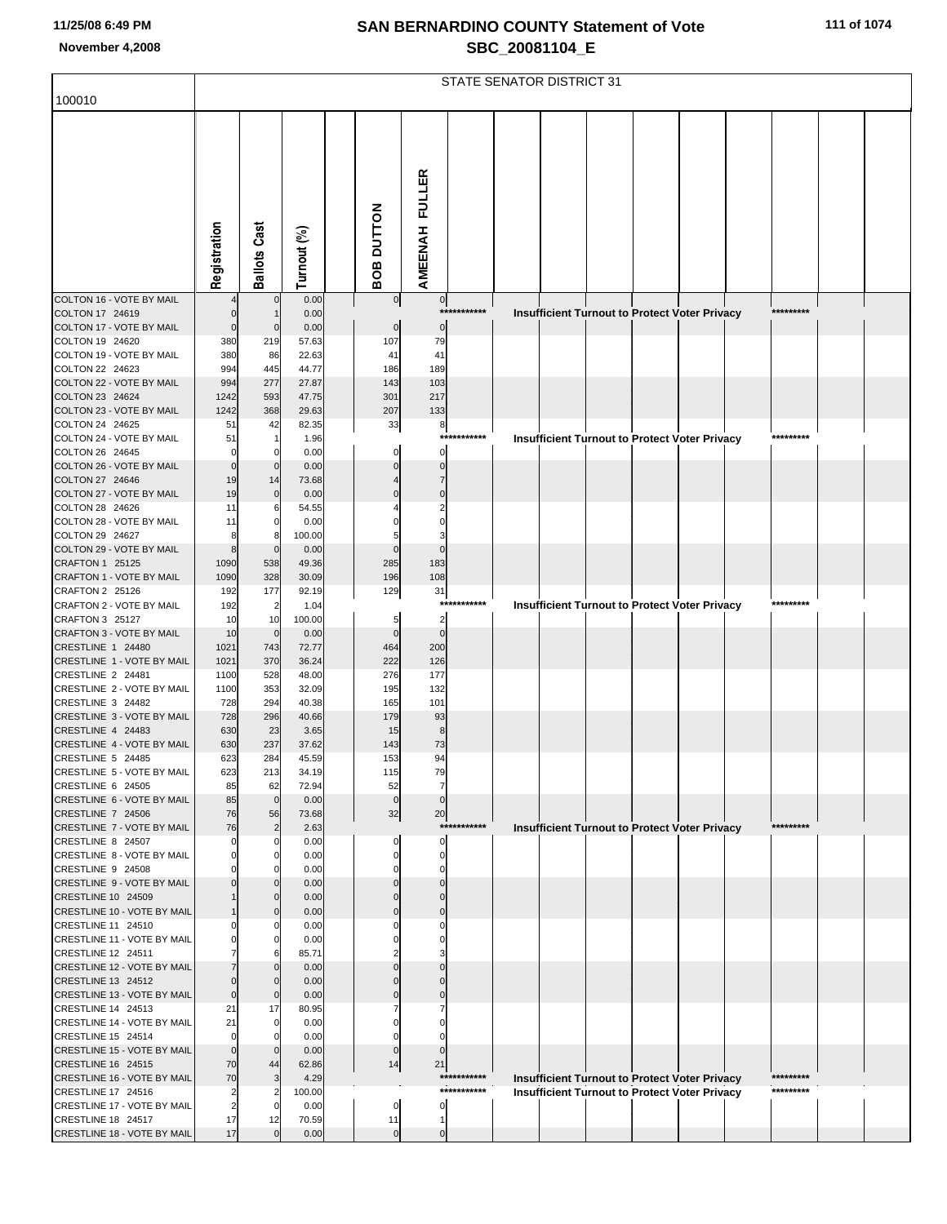|  |  | 111 of 1074 |
|--|--|-------------|
|  |  |             |

| 100010                                                   |                |                      |                |                            |                       |             | STATE SENATOR DISTRICT 31 |  |                                                                                                              |           |  |
|----------------------------------------------------------|----------------|----------------------|----------------|----------------------------|-----------------------|-------------|---------------------------|--|--------------------------------------------------------------------------------------------------------------|-----------|--|
|                                                          |                |                      |                |                            |                       |             |                           |  |                                                                                                              |           |  |
|                                                          | Registration   | <b>Ballots Cast</b>  | Turnout (%)    | <b>BOB DUTTON</b>          | <b>AMEENAH FULLER</b> |             |                           |  |                                                                                                              |           |  |
| COLTON 16 - VOTE BY MAIL                                 |                | $\overline{0}$       | 0.00           | $\overline{0}$             | $\overline{0}$        | *********** |                           |  |                                                                                                              | ********* |  |
| COLTON 17 24619<br>COLTON 17 - VOTE BY MAIL              | $\Omega$       | $\mathbf 0$          | 0.00<br>0.00   | $\mathbf 0$                | $\mathbf 0$           |             |                           |  | Insufficient Turnout to Protect Voter Privacy                                                                |           |  |
| COLTON 19 24620                                          | 380            | 219                  | 57.63          | 107                        | 79                    |             |                           |  |                                                                                                              |           |  |
| COLTON 19 - VOTE BY MAIL<br>COLTON 22 24623              | 380<br>994     | 86<br>445            | 22.63<br>44.77 | 41<br>186                  | 41<br>189             |             |                           |  |                                                                                                              |           |  |
| COLTON 22 - VOTE BY MAIL                                 | 994            | 277                  | 27.87          | 143                        | 103                   |             |                           |  |                                                                                                              |           |  |
| COLTON 23 24624                                          | 1242           | 593                  | 47.75          | 301                        | 217                   |             |                           |  |                                                                                                              |           |  |
| COLTON 23 - VOTE BY MAIL                                 | 1242           | 368                  | 29.63          | 207                        | 133                   |             |                           |  |                                                                                                              |           |  |
| COLTON 24 24625<br>COLTON 24 - VOTE BY MAIL              | 51<br>51       | 42                   | 82.35<br>1.96  | 33                         | 8                     | *********** |                           |  | <b>Insufficient Turnout to Protect Voter Privacy</b>                                                         | ********* |  |
| COLTON 26 24645                                          | $\Omega$       | 0                    | 0.00           | 0                          | $\mathbf 0$           |             |                           |  |                                                                                                              |           |  |
| COLTON 26 - VOTE BY MAIL                                 | $\Omega$       | $\mathbf 0$          | 0.00           | $\mathbf 0$                | $\Omega$              |             |                           |  |                                                                                                              |           |  |
| COLTON 27 24646<br>COLTON 27 - VOTE BY MAIL              | 19<br>19       | 14<br>$\mathbf 0$    | 73.68<br>0.00  | $\Omega$                   | 7<br>$\Omega$         |             |                           |  |                                                                                                              |           |  |
| COLTON 28 24626                                          | 11             | 6                    | 54.55          |                            |                       |             |                           |  |                                                                                                              |           |  |
| COLTON 28 - VOTE BY MAIL                                 | 11             | $\mathbf 0$          | 0.00           |                            |                       |             |                           |  |                                                                                                              |           |  |
| COLTON 29 24627                                          | 8              | 8                    | 100.00         | 5                          |                       |             |                           |  |                                                                                                              |           |  |
| COLTON 29 - VOTE BY MAIL<br>CRAFTON 1 25125              | 8<br>1090      | $\mathbf 0$<br>538   | 0.00<br>49.36  | $\mathbf 0$<br>285         | $\Omega$<br>183       |             |                           |  |                                                                                                              |           |  |
| <b>CRAFTON 1 - VOTE BY MAIL</b>                          | 1090           | 328                  | 30.09          | 196                        | 108                   |             |                           |  |                                                                                                              |           |  |
| CRAFTON 2 25126                                          | 192            | 177                  | 92.19          | 129                        | 31                    | *********** |                           |  |                                                                                                              | ********* |  |
| CRAFTON 2 - VOTE BY MAIL<br>CRAFTON 3 25127              | 192<br>10      | $\overline{2}$<br>10 | 1.04<br>100.00 | 5                          | $\overline{2}$        |             |                           |  | <b>Insufficient Turnout to Protect Voter Privacy</b>                                                         |           |  |
| <b>CRAFTON 3 - VOTE BY MAIL</b>                          | 10             | $\mathbf 0$          | 0.00           | $\mathbf 0$                | $\Omega$              |             |                           |  |                                                                                                              |           |  |
| CRESTLINE 1 24480                                        | 1021           | 743                  | 72.77          | 464                        | 200                   |             |                           |  |                                                                                                              |           |  |
| CRESTLINE 1 - VOTE BY MAIL<br>CRESTLINE 2 24481          | 1021<br>1100   | 370<br>528           | 36.24<br>48.00 | 222<br>276                 | 126<br>177            |             |                           |  |                                                                                                              |           |  |
| CRESTLINE 2 - VOTE BY MAIL                               | 1100           | 353                  | 32.09          | 195                        | 132                   |             |                           |  |                                                                                                              |           |  |
| CRESTLINE 3 24482                                        | 728            | 294                  | 40.38          | 165                        | 101                   |             |                           |  |                                                                                                              |           |  |
| CRESTLINE 3 - VOTE BY MAIL<br>CRESTLINE 4 24483          | 728            | 296                  | 40.66          | 179                        | 93                    |             |                           |  |                                                                                                              |           |  |
| CRESTLINE 4 - VOTE BY MAIL                               | 630<br>630     | 23<br>237            | 3.65<br>37.62  | 15<br>143                  | 8<br>73               |             |                           |  |                                                                                                              |           |  |
| CRESTLINE 5 24485                                        | 623            | 284                  | 45.59          | 153                        | 9                     |             |                           |  |                                                                                                              |           |  |
| CRESTLINE 5 - VOTE BY MAIL                               | 623            | 213                  | 34.19          | 115                        | 79                    |             |                           |  |                                                                                                              |           |  |
| CRESTLINE 6 24505<br>CRESTLINE 6 - VOTE BY MAIL          | 85<br>85       | 62<br>$\mathbf 0$    | 72.94<br>0.00  | 52<br>$\mathbf 0$          | 7<br>$\mathbf 0$      |             |                           |  |                                                                                                              |           |  |
| CRESTLINE 7 24506                                        | 76             | 56                   | 73.68          | 32                         | 20                    |             |                           |  |                                                                                                              |           |  |
| CRESTLINE 7 - VOTE BY MAIL                               | 76             | $\overline{2}$       | 2.63           |                            |                       | *********** |                           |  | <b>Insufficient Turnout to Protect Voter Privacy</b>                                                         | ********* |  |
| CRESTLINE 8 24507<br>CRESTLINE 8 - VOTE BY MAIL          | 0              | 0                    | 0.00<br>0.00   | 0<br>$\mathbf 0$           | 0<br>0                |             |                           |  |                                                                                                              |           |  |
| CRESTLINE 9 24508                                        |                |                      | 0.00           | 0                          | 0                     |             |                           |  |                                                                                                              |           |  |
| CRESTLINE 9 - VOTE BY MAIL                               |                | 0                    | 0.00           | $\mathbf 0$                | $\Omega$              |             |                           |  |                                                                                                              |           |  |
| CRESTLINE 10 24509<br>CRESTLINE 10 - VOTE BY MAIL        |                | 0                    | 0.00<br>0.00   | $\mathbf 0$<br>$\mathbf 0$ | $\Omega$              |             |                           |  |                                                                                                              |           |  |
| CRESTLINE 11 24510                                       |                | 0                    | 0.00           | $\Omega$                   | 0                     |             |                           |  |                                                                                                              |           |  |
| CRESTLINE 11 - VOTE BY MAIL                              |                | 0                    | 0.00           | $\Omega$                   |                       |             |                           |  |                                                                                                              |           |  |
| CRESTLINE 12 24511<br>CRESTLINE 12 - VOTE BY MAIL        |                | 6<br>$\Omega$        | 85.71          | $\mathbf 0$                |                       |             |                           |  |                                                                                                              |           |  |
| CRESTLINE 13 24512                                       |                | $\Omega$             | 0.00<br>0.00   | $\mathbf{0}$               |                       |             |                           |  |                                                                                                              |           |  |
| CRESTLINE 13 - VOTE BY MAIL                              | $\mathbf 0$    | $\mathbf 0$          | 0.00           | $\Omega$                   | 0                     |             |                           |  |                                                                                                              |           |  |
| CRESTLINE 14 24513                                       | 21             | 17                   | 80.95          | $\Omega$                   |                       |             |                           |  |                                                                                                              |           |  |
| CRESTLINE 14 - VOTE BY MAIL<br>CRESTLINE 15 24514        | 21<br>$\Omega$ | $\mathbf 0$<br>0     | 0.00<br>0.00   | 0                          |                       |             |                           |  |                                                                                                              |           |  |
| CRESTLINE 15 - VOTE BY MAIL                              | $\Omega$       | $\Omega$             | 0.00           | $\mathbf 0$                | $\Omega$              |             |                           |  |                                                                                                              |           |  |
| CRESTLINE 16 24515                                       | 70             | 44                   | 62.86          | 14                         | 21                    | *********** |                           |  |                                                                                                              | ********* |  |
| <b>CRESTLINE 16 - VOTE BY MAIL</b><br>CRESTLINE 17 24516 | 70<br>2        |                      | 4.29<br>100.00 |                            |                       | *********** |                           |  | <b>Insufficient Turnout to Protect Voter Privacy</b><br><b>Insufficient Turnout to Protect Voter Privacy</b> | ********* |  |
| CRESTLINE 17 - VOTE BY MAIL                              | $\overline{2}$ | - 0                  | 0.00           | $\mathbf 0$                | 0                     |             |                           |  |                                                                                                              |           |  |
| CRESTLINE 18 24517                                       | 17             | 12                   | 70.59          | 11                         | $\mathbf{1}$          |             |                           |  |                                                                                                              |           |  |
| CRESTLINE 18 - VOTE BY MAIL                              | 17             | $\mathbf 0$          | 0.00           | $\overline{0}$             | $\pmb{0}$             |             |                           |  |                                                                                                              |           |  |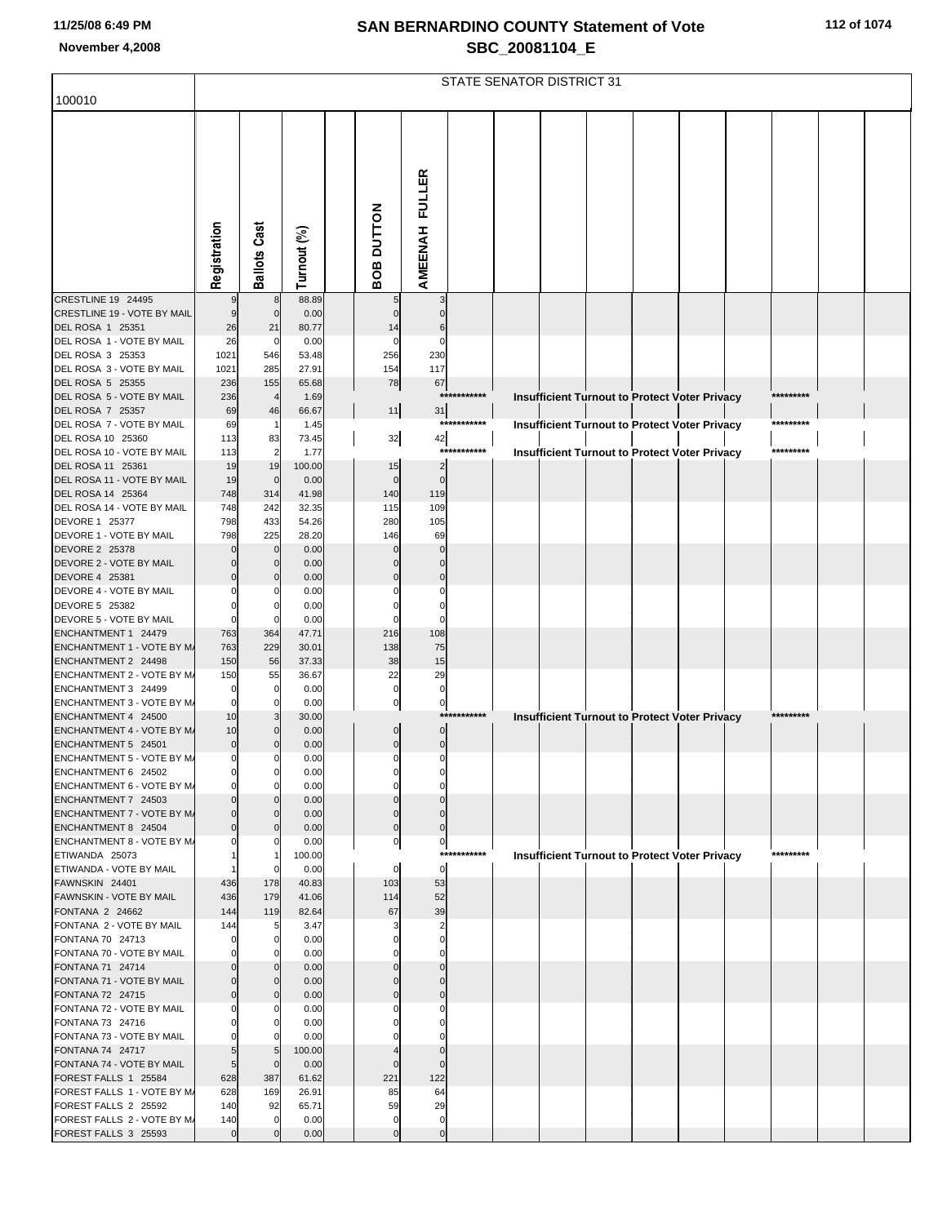| 112 of 1074 |  |  |  |  |
|-------------|--|--|--|--|
|-------------|--|--|--|--|

|                                                          |                         |                                  |                |                   |                               |                             |             | STATE SENATOR DISTRICT 31 |  |                                                      |           |  |
|----------------------------------------------------------|-------------------------|----------------------------------|----------------|-------------------|-------------------------------|-----------------------------|-------------|---------------------------|--|------------------------------------------------------|-----------|--|
| 100010                                                   |                         |                                  |                |                   |                               |                             |             |                           |  |                                                      |           |  |
|                                                          |                         |                                  |                |                   |                               |                             |             |                           |  |                                                      |           |  |
|                                                          |                         |                                  |                |                   |                               |                             |             |                           |  |                                                      |           |  |
|                                                          |                         |                                  |                |                   |                               |                             |             |                           |  |                                                      |           |  |
|                                                          |                         |                                  |                |                   |                               |                             |             |                           |  |                                                      |           |  |
|                                                          |                         |                                  |                |                   |                               |                             |             |                           |  |                                                      |           |  |
|                                                          |                         |                                  |                |                   |                               |                             |             |                           |  |                                                      |           |  |
|                                                          |                         |                                  |                |                   |                               |                             |             |                           |  |                                                      |           |  |
|                                                          |                         |                                  |                |                   |                               |                             |             |                           |  |                                                      |           |  |
|                                                          | Registration            | <b>Ballots Cast</b>              | Turnout (%)    | <b>BOB DUTTON</b> |                               | AMEENAH FULLER              |             |                           |  |                                                      |           |  |
| CRESTLINE 19 24495                                       |                         | 8                                | 88.89          |                   |                               | 3                           |             |                           |  |                                                      |           |  |
| CRESTLINE 19 - VOTE BY MAIL                              | 9                       | $\overline{0}$                   | 0.00           |                   | $\mathbf{0}$                  | $\Omega$                    |             |                           |  |                                                      |           |  |
| DEL ROSA 1 25351                                         | 26                      | 21                               | 80.77          |                   | 14                            | 6                           |             |                           |  |                                                      |           |  |
| DEL ROSA 1 - VOTE BY MAIL                                | 26                      | $\mathbf 0$                      | 0.00           |                   | 0                             | $\mathbf 0$                 |             |                           |  |                                                      |           |  |
| DEL ROSA 3 25353<br>DEL ROSA 3 - VOTE BY MAIL            | 1021<br>1021            | 546<br>285                       | 53.48<br>27.91 |                   | 256<br>154                    | 230<br>117                  |             |                           |  |                                                      |           |  |
| DEL ROSA 5 25355                                         | 236                     | 155                              | 65.68          |                   | 78                            | 67                          |             |                           |  |                                                      |           |  |
| DEL ROSA 5 - VOTE BY MAIL                                | 236                     | $\overline{4}$                   | 1.69           |                   |                               |                             | *********** |                           |  | Insufficient Turnout to Protect Voter Privacy        | ********* |  |
| DEL ROSA 7 25357                                         | 69                      | 46                               | 66.67          |                   | $11$                          | 31                          | *********** |                           |  |                                                      | ********* |  |
| DEL ROSA 7 - VOTE BY MAIL<br>DEL ROSA 10 25360           | 69<br>113               | -1<br>83                         | 1.45<br>73.45  |                   | 32                            | 42                          |             |                           |  | <b>Insufficient Turnout to Protect Voter Privacy</b> |           |  |
| DEL ROSA 10 - VOTE BY MAIL                               | 113                     | $\overline{2}$                   | 1.77           |                   |                               |                             | *********** |                           |  | <b>Insufficient Turnout to Protect Voter Privacy</b> | ********* |  |
| DEL ROSA 11 25361                                        | 19                      | 19                               | 100.00         |                   | 15                            | $\overline{2}$              |             |                           |  |                                                      |           |  |
| DEL ROSA 11 - VOTE BY MAIL                               | 19                      | $\mathbf 0$                      | 0.00           |                   | $\mathbf 0$                   | $\mathbf 0$                 |             |                           |  |                                                      |           |  |
| DEL ROSA 14 25364<br>DEL ROSA 14 - VOTE BY MAIL          | 748<br>748              | 314<br>242                       | 41.98<br>32.35 |                   | 140<br>115                    | 119<br>109                  |             |                           |  |                                                      |           |  |
| DEVORE 1 25377                                           | 798                     | 433                              | 54.26          |                   | 280                           | 105                         |             |                           |  |                                                      |           |  |
| DEVORE 1 - VOTE BY MAIL                                  | 798                     | 225                              | 28.20          |                   | 146                           | 69                          |             |                           |  |                                                      |           |  |
| DEVORE 2 25378                                           |                         | $\mathbf 0$                      | 0.00           |                   | $\Omega$                      | $\mathbf 0$                 |             |                           |  |                                                      |           |  |
| DEVORE 2 - VOTE BY MAIL<br>DEVORE 4 25381                |                         | $\mathbf 0$<br>$\mathbf{0}$      | 0.00<br>0.00   |                   | $\Omega$<br>$\Omega$          | $\mathbf 0$<br>$\Omega$     |             |                           |  |                                                      |           |  |
| DEVORE 4 - VOTE BY MAIL                                  |                         | 0                                | 0.00           |                   | $\Omega$                      | 0                           |             |                           |  |                                                      |           |  |
| DEVORE 5 25382                                           |                         | 0                                | 0.00           |                   | $\Omega$                      | $\Omega$                    |             |                           |  |                                                      |           |  |
| DEVORE 5 - VOTE BY MAIL                                  | $\Omega$                | $\mathbf 0$                      | 0.00           |                   | $\Omega$                      | $\mathbf 0$                 |             |                           |  |                                                      |           |  |
| ENCHANTMENT 1 24479<br><b>ENCHANTMENT 1 - VOTE BY M/</b> | 763<br>763              | 364<br>229                       | 47.71<br>30.01 |                   | 216<br>138                    | 108<br>75                   |             |                           |  |                                                      |           |  |
| ENCHANTMENT 2 24498                                      | 150                     | 56                               | 37.33          |                   | 38                            | 15                          |             |                           |  |                                                      |           |  |
| ENCHANTMENT 2 - VOTE BY M/                               | 150                     | 55                               | 36.67          |                   | 22                            | 29                          |             |                           |  |                                                      |           |  |
| ENCHANTMENT 3 24499                                      | $\Omega$<br>$\mathbf 0$ | 0<br>$\mathbf 0$                 | 0.00           |                   | $\pmb{0}$<br>$\mathbf{0}$     | $\pmb{0}$<br>$\mathbf{0}$   |             |                           |  |                                                      |           |  |
| <b>ENCHANTMENT 3 - VOTE BY M/</b><br>ENCHANTMENT 4 24500 | 10                      | 3                                | 0.00<br>30.00  |                   |                               |                             | *********** |                           |  | Insufficient Turnout to Protect Voter Privacy        | ********* |  |
| <b>ENCHANTMENT 4 - VOTE BY M/</b>                        | 10                      | $\mathbf{0}$                     | 0.00           |                   | $\mathbf 0$                   | $\overline{0}$              |             |                           |  |                                                      |           |  |
| ENCHANTMENT 5 24501                                      | $\pmb{0}$               | $\mathbf{0}$                     | 0.00           |                   | $\mathbf 0$                   | $\overline{0}$              |             |                           |  |                                                      |           |  |
| <b>ENCHANTMENT 5 - VOTE BY M/</b>                        | $\overline{0}$          | $\mathbf{0}$<br>$\overline{0}$   | 0.00           |                   | $\mathbf{0}$                  | $\mathbf{0}$                |             |                           |  |                                                      |           |  |
| ENCHANTMENT 6 24502<br>ENCHANTMENT 6 - VOTE BY M/        | $\Omega$                | $\Omega$                         | 0.00<br>0.00   |                   | 0                             | $\mathbf 0$                 |             |                           |  |                                                      |           |  |
| ENCHANTMENT 7 24503                                      |                         | $\mathbf 0$                      | 0.00           |                   | $\Omega$                      | $\Omega$                    |             |                           |  |                                                      |           |  |
| ENCHANTMENT 7 - VOTE BY M/                               | $\Omega$                | $\overline{0}$                   | 0.00           |                   | $\mathbf 0$                   | $\mathbf 0$                 |             |                           |  |                                                      |           |  |
| ENCHANTMENT 8 24504<br>ENCHANTMENT 8 - VOTE BY M/        |                         | $\mathbf{0}$<br>$\overline{0}$   | 0.00<br>0.00   |                   | $\mathbf 0$<br>$\overline{0}$ | $\mathbf 0$<br>$\mathbf{0}$ |             |                           |  |                                                      |           |  |
| ETIWANDA 25073                                           |                         | 1                                | 100.00         |                   |                               |                             | *********** |                           |  | <b>Insufficient Turnout to Protect Voter Privacy</b> | ********* |  |
| ETIWANDA - VOTE BY MAIL                                  |                         | $\overline{0}$                   | 0.00           |                   | $\mathbf 0$                   | $\overline{0}$              |             |                           |  |                                                      |           |  |
| FAWNSKIN 24401                                           | 436                     | 178                              | 40.83          |                   | 103                           | 53                          |             |                           |  |                                                      |           |  |
| <b>FAWNSKIN - VOTE BY MAIL</b><br>FONTANA 2 24662        | 436<br>144              | 179<br>119                       | 41.06<br>82.64 |                   | 114<br>67                     | 52<br>39                    |             |                           |  |                                                      |           |  |
| FONTANA 2 - VOTE BY MAIL                                 | 144                     | 5                                | 3.47           |                   | 3                             | $\overline{\mathbf{c}}$     |             |                           |  |                                                      |           |  |
| FONTANA 70 24713                                         |                         | $\mathbf 0$                      | 0.00           |                   | O                             | $\mathbf 0$                 |             |                           |  |                                                      |           |  |
| FONTANA 70 - VOTE BY MAIL                                |                         | $\Omega$                         | 0.00           |                   | 0                             | $\mathbf 0$<br>$\Omega$     |             |                           |  |                                                      |           |  |
| FONTANA 71 24714<br>FONTANA 71 - VOTE BY MAIL            |                         | $\overline{0}$<br>$\overline{0}$ | 0.00<br>0.00   |                   | $\mathbf 0$                   | $\mathbf 0$                 |             |                           |  |                                                      |           |  |
| FONTANA 72 24715                                         |                         | $\overline{0}$                   | 0.00           |                   | $\Omega$                      | $\mathbf 0$                 |             |                           |  |                                                      |           |  |
| FONTANA 72 - VOTE BY MAIL                                |                         | $\mathbf{0}$                     | 0.00           |                   | $\Omega$                      | $\mathbf 0$                 |             |                           |  |                                                      |           |  |
| FONTANA 73 24716<br>FONTANA 73 - VOTE BY MAIL            |                         | $\mathbf 0$<br>$\Omega$          | 0.00<br>0.00   |                   |                               | $\Omega$<br>$\Omega$        |             |                           |  |                                                      |           |  |
| FONTANA 74 24717                                         |                         | 5                                | 100.00         |                   |                               |                             |             |                           |  |                                                      |           |  |
| FONTANA 74 - VOTE BY MAIL                                | 5                       | $\overline{0}$                   | 0.00           |                   | $\mathbf{0}$                  | $\Omega$                    |             |                           |  |                                                      |           |  |
| FOREST FALLS 1 25584                                     | 628                     | 387                              | 61.62          |                   | 221                           | 122                         |             |                           |  |                                                      |           |  |
| FOREST FALLS 1 - VOTE BY M/<br>FOREST FALLS 2 25592      | 628<br>140              | 169<br>92                        | 26.91<br>65.71 |                   | 85<br>59                      | 64<br>29                    |             |                           |  |                                                      |           |  |
| FOREST FALLS 2 - VOTE BY M/                              | 140                     | $\mathbf 0$                      | 0.00           |                   | $\mathbf 0$                   | $\overline{0}$              |             |                           |  |                                                      |           |  |
| FOREST FALLS 3 25593                                     | $\overline{0}$          | $\overline{0}$                   | 0.00           |                   | $\mathbf 0$                   | $\overline{0}$              |             |                           |  |                                                      |           |  |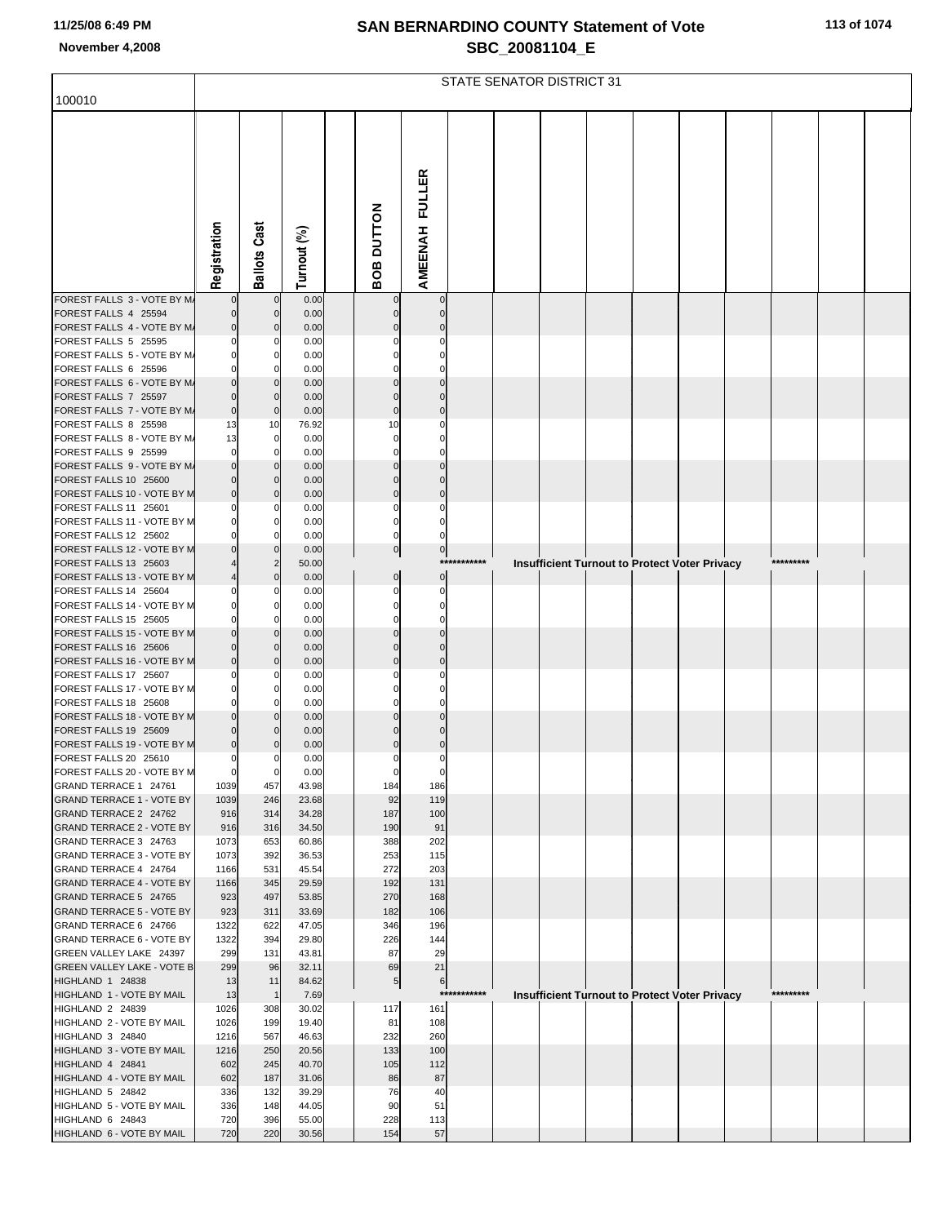| 100010                                                      |                     |                               |                |                            |                         |              | STATE SENATOR DISTRICT 31 |  |                                                      |           |  |
|-------------------------------------------------------------|---------------------|-------------------------------|----------------|----------------------------|-------------------------|--------------|---------------------------|--|------------------------------------------------------|-----------|--|
|                                                             |                     |                               |                |                            |                         |              |                           |  |                                                      |           |  |
|                                                             |                     |                               |                |                            |                         |              |                           |  |                                                      |           |  |
|                                                             |                     |                               |                |                            |                         |              |                           |  |                                                      |           |  |
|                                                             |                     |                               |                |                            |                         |              |                           |  |                                                      |           |  |
|                                                             |                     |                               |                |                            |                         |              |                           |  |                                                      |           |  |
|                                                             |                     |                               |                |                            |                         |              |                           |  |                                                      |           |  |
|                                                             |                     |                               |                |                            |                         |              |                           |  |                                                      |           |  |
|                                                             |                     |                               |                |                            |                         |              |                           |  |                                                      |           |  |
|                                                             | Registration        | <b>Ballots Cast</b>           | Turnout (%)    | BOB DUTTON                 | <b>AMEENAH FULLER</b>   |              |                           |  |                                                      |           |  |
| FOREST FALLS 3 - VOTE BY M/                                 |                     | $\mathbf 0$                   | 0.00           | $\mathbf 0$                | $\mathbf 0$             |              |                           |  |                                                      |           |  |
| FOREST FALLS 4 25594                                        |                     | $\mathbf 0$                   | 0.00           | $\overline{0}$             | $\mathbf 0$             |              |                           |  |                                                      |           |  |
| FOREST FALLS 4 - VOTE BY M/<br>FOREST FALLS 5 25595         |                     | $\mathbf 0$<br>0              | 0.00<br>0.00   | $\mathbf 0$<br>$\Omega$    | $\Omega$<br>0           |              |                           |  |                                                      |           |  |
| FOREST FALLS 5 - VOTE BY M/                                 | $\Omega$            | $\mathbf 0$                   | 0.00           | $\Omega$                   | $\Omega$                |              |                           |  |                                                      |           |  |
| FOREST FALLS 6 25596                                        |                     | $\mathbf 0$                   | 0.00           | $\mathbf 0$                | $\Omega$                |              |                           |  |                                                      |           |  |
| FOREST FALLS 6 - VOTE BY M/<br>FOREST FALLS 7 25597         | $\Omega$            | $\mathbf 0$<br>$\mathbf 0$    | 0.00<br>0.00   | $\Omega$<br>$\mathbf 0$    | $\Omega$<br>$\Omega$    |              |                           |  |                                                      |           |  |
| FOREST FALLS 7 - VOTE BY M/                                 | $\mathbf 0$         | $\mathbf 0$                   | 0.00           | $\mathbf 0$                | $\Omega$                |              |                           |  |                                                      |           |  |
| FOREST FALLS 8 25598                                        | 13                  | 10                            | 76.92          | 10                         | $\Omega$                |              |                           |  |                                                      |           |  |
| FOREST FALLS 8 - VOTE BY M/<br>FOREST FALLS 9 25599         | 13<br>O             | $\mathbf 0$<br>$\mathbf 0$    | 0.00<br>0.00   | $\mathbf 0$<br>$\mathbf 0$ | O<br>$\Omega$           |              |                           |  |                                                      |           |  |
| FOREST FALLS 9 - VOTE BY M/                                 |                     | $\mathbf 0$                   | 0.00           | $\mathbf 0$                | $\Omega$                |              |                           |  |                                                      |           |  |
| FOREST FALLS 10 25600                                       |                     | $\mathbf 0$                   | 0.00           | $\mathbf 0$                | $\mathbf 0$             |              |                           |  |                                                      |           |  |
| FOREST FALLS 10 - VOTE BY M<br>FOREST FALLS 11 25601        | $\Omega$            | $\mathbf 0$<br>0              | 0.00<br>0.00   | $\mathbf 0$<br>$\mathbf 0$ | $\Omega$<br>$\mathbf 0$ |              |                           |  |                                                      |           |  |
| FOREST FALLS 11 - VOTE BY M                                 |                     | $\mathbf 0$                   | 0.00           | $\mathbf 0$                | $\Omega$                |              |                           |  |                                                      |           |  |
| FOREST FALLS 12 25602                                       |                     | $\mathbf 0$                   | 0.00           | $\mathbf{0}$               | $\mathbf 0$             |              |                           |  |                                                      |           |  |
| FOREST FALLS 12 - VOTE BY M<br>FOREST FALLS 13 25603        |                     | $\mathbf 0$<br>$\overline{c}$ | 0.00<br>50.00  | $\overline{0}$             | $\pmb{0}$               | ***********  |                           |  | Insufficient Turnout to Protect Voter Privacy        | ********* |  |
| FOREST FALLS 13 - VOTE BY M                                 |                     | $\mathbf 0$                   | 0.00           | $\pmb{0}$                  | $\mathbf 0$             |              |                           |  |                                                      |           |  |
| FOREST FALLS 14 25604                                       |                     | 0                             | 0.00           | $\mathbf 0$                | $\mathbf 0$             |              |                           |  |                                                      |           |  |
| FOREST FALLS 14 - VOTE BY M<br>FOREST FALLS 15 25605        |                     | $\mathbf 0$<br>$\mathbf 0$    | 0.00<br>0.00   | $\mathbf 0$<br>$\mathbf 0$ | $\Omega$<br>$\mathbf 0$ |              |                           |  |                                                      |           |  |
| FOREST FALLS 15 - VOTE BY M                                 |                     | $\mathbf 0$                   | 0.00           | $\Omega$                   | $\Omega$                |              |                           |  |                                                      |           |  |
| FOREST FALLS 16 25606                                       |                     | $\mathbf 0$                   | 0.00           | $\mathbf 0$                | $\Omega$                |              |                           |  |                                                      |           |  |
| FOREST FALLS 16 - VOTE BY M<br>FOREST FALLS 17 25607        | $\Omega$            | $\mathbf 0$<br>0              | 0.00<br>0.00   | $\mathbf 0$<br>$\mathbf 0$ | $\Omega$<br>$\Omega$    |              |                           |  |                                                      |           |  |
| FOREST FALLS 17 - VOTE BY M                                 |                     | $\mathbf 0$                   | 0.00           | $\Omega$                   | ŋ                       |              |                           |  |                                                      |           |  |
| FOREST FALLS 18 25608                                       |                     | 0                             | 0.00           | $\mathbf 0$                | $\Omega$                |              |                           |  |                                                      |           |  |
| FOREST FALLS 18 - VOTE BY M<br>FOREST FALLS 19 25609        |                     | $\mathbf 0$<br>$\mathbf 0$    | 0.00<br>0.00   | $\Omega$<br>$\mathbf 0$    | $\Omega$<br>O           |              |                           |  |                                                      |           |  |
| FOREST FALLS 19 - VOTE BY M                                 | $\Omega$            | $\Omega$                      | 0.00           | $\mathbf 0$                | $\Omega$                |              |                           |  |                                                      |           |  |
| FOREST FALLS 20 25610                                       |                     |                               | 0.00           |                            |                         |              |                           |  |                                                      |           |  |
| FOREST FALLS 20 - VOTE BY M<br>GRAND TERRACE 1 24761        | $\mathbf 0$<br>1039 | 0<br>457                      | 0.00<br>43.98  | $\overline{0}$<br>184      | $\mathbf 0$<br>186      |              |                           |  |                                                      |           |  |
| <b>GRAND TERRACE 1 - VOTE BY</b>                            | 1039                | 246                           | 23.68          | 92                         | 119                     |              |                           |  |                                                      |           |  |
| GRAND TERRACE 2 24762                                       | 916                 | 314                           | 34.28          | 187                        | 100                     |              |                           |  |                                                      |           |  |
| <b>GRAND TERRACE 2 - VOTE BY</b><br>GRAND TERRACE 3 24763   | 916<br>1073         | 316<br>653                    | 34.50<br>60.86 | 190<br>388                 | 91<br>202               |              |                           |  |                                                      |           |  |
| <b>GRAND TERRACE 3 - VOTE BY</b>                            | 1073                | 392                           | 36.53          | 253                        | 115                     |              |                           |  |                                                      |           |  |
| GRAND TERRACE 4 24764                                       | 1166                | 531                           | 45.54          | 272                        | 203                     |              |                           |  |                                                      |           |  |
| <b>GRAND TERRACE 4 - VOTE BY</b><br>GRAND TERRACE 5 24765   | 1166<br>923         | 345<br>497                    | 29.59<br>53.85 | 192<br>270                 | 131<br>168              |              |                           |  |                                                      |           |  |
| <b>GRAND TERRACE 5 - VOTE BY</b>                            | 923                 | 311                           | 33.69          | 182                        | 106                     |              |                           |  |                                                      |           |  |
| GRAND TERRACE 6 24766                                       | 1322                | 622                           | 47.05          | 346                        | 196                     |              |                           |  |                                                      |           |  |
| <b>GRAND TERRACE 6 - VOTE BY</b><br>GREEN VALLEY LAKE 24397 | 1322<br>299         | 394<br>131                    | 29.80<br>43.81 | 226<br>87                  | 144<br>29               |              |                           |  |                                                      |           |  |
| <b>GREEN VALLEY LAKE - VOTE B</b>                           | 299                 | 96                            | 32.11          | 69                         | 21                      |              |                           |  |                                                      |           |  |
| HIGHLAND 1 24838                                            | 13                  | 11                            | 84.62          | 5                          | 6                       |              |                           |  |                                                      |           |  |
| HIGHLAND 1 - VOTE BY MAIL<br>HIGHLAND 2 24839               | 13<br>1026          | $\overline{1}$<br>308         | 7.69<br>30.02  | 117                        | 161                     | ************ |                           |  | <b>Insufficient Turnout to Protect Voter Privacy</b> | ********* |  |
| HIGHLAND 2 - VOTE BY MAIL                                   | 1026                | 199                           | 19.40          | 81                         | 108                     |              |                           |  |                                                      |           |  |
| HIGHLAND 3 24840                                            | 1216                | 567                           | 46.63          | 232                        | 260                     |              |                           |  |                                                      |           |  |
| HIGHLAND 3 - VOTE BY MAIL<br>HIGHLAND 4 24841               | 1216<br>602         | 250<br>245                    | 20.56<br>40.70 | 133<br>105                 | 100<br>112              |              |                           |  |                                                      |           |  |
| HIGHLAND 4 - VOTE BY MAIL                                   | 602                 | 187                           | 31.06          | 86                         | 87                      |              |                           |  |                                                      |           |  |
| HIGHLAND 5 24842                                            | 336                 | 132                           | 39.29          | 76                         | 40                      |              |                           |  |                                                      |           |  |
| HIGHLAND 5 - VOTE BY MAIL<br>HIGHLAND 6 24843               | 336<br>720          | 148<br>396                    | 44.05<br>55.00 | 90<br>228                  | 51<br>113               |              |                           |  |                                                      |           |  |
| HIGHLAND 6 - VOTE BY MAIL                                   | 720                 | 220                           | 30.56          | 154                        | 57                      |              |                           |  |                                                      |           |  |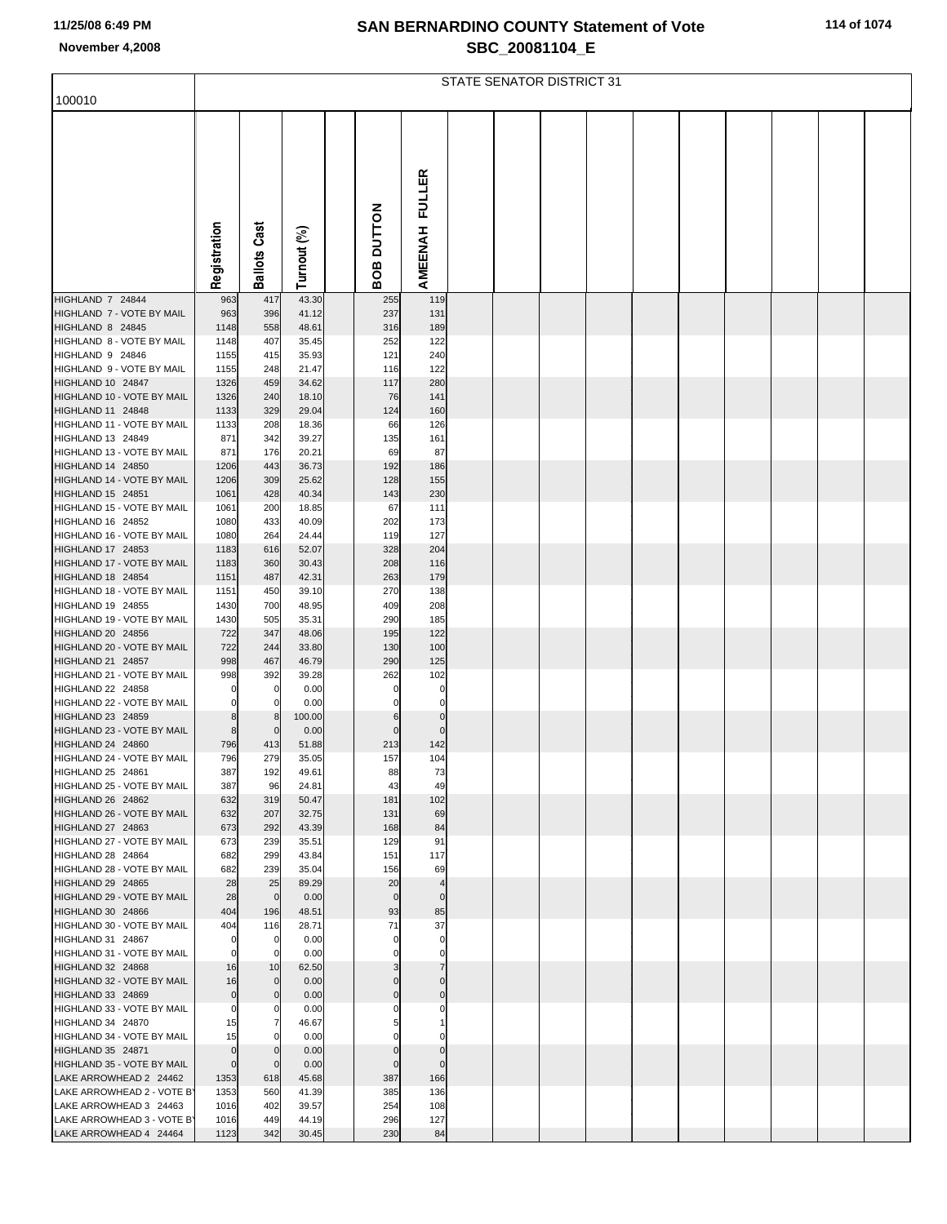|  |  |  |  |  | 114 of 1074 |
|--|--|--|--|--|-------------|
|--|--|--|--|--|-------------|

|                                                      |                                  |                             |                |                         |                               | STATE SENATOR DISTRICT 31 |  |  |  |  |
|------------------------------------------------------|----------------------------------|-----------------------------|----------------|-------------------------|-------------------------------|---------------------------|--|--|--|--|
| 100010                                               |                                  |                             |                |                         |                               |                           |  |  |  |  |
|                                                      |                                  |                             |                |                         |                               |                           |  |  |  |  |
|                                                      |                                  |                             |                |                         |                               |                           |  |  |  |  |
|                                                      |                                  |                             |                |                         |                               |                           |  |  |  |  |
|                                                      |                                  |                             |                |                         | <b>FULLER</b>                 |                           |  |  |  |  |
|                                                      |                                  |                             |                |                         |                               |                           |  |  |  |  |
|                                                      |                                  |                             |                |                         |                               |                           |  |  |  |  |
|                                                      |                                  |                             |                | <b>DUTTON</b>           |                               |                           |  |  |  |  |
|                                                      |                                  |                             |                |                         |                               |                           |  |  |  |  |
|                                                      | Registration                     | <b>Ballots Cast</b>         | Turnout (%)    | 8O<br>Ō                 | AMEENAH                       |                           |  |  |  |  |
| HIGHLAND 7 24844                                     | 963                              | 417                         | 43.30          | 255                     | 119                           |                           |  |  |  |  |
| HIGHLAND 7 - VOTE BY MAIL                            | 963                              | 396                         | 41.12          | 237                     | 131                           |                           |  |  |  |  |
| HIGHLAND 8 24845<br>HIGHLAND 8 - VOTE BY MAIL        | 1148<br>1148                     | 558<br>407                  | 48.61<br>35.45 | 316<br>252              | 189<br>122                    |                           |  |  |  |  |
| HIGHLAND 9 24846                                     | 1155                             | 415                         | 35.93          | 121                     | 240                           |                           |  |  |  |  |
| HIGHLAND 9 - VOTE BY MAIL                            | 1155                             | 248                         | 21.47          | 116                     | 122                           |                           |  |  |  |  |
| HIGHLAND 10 24847<br>HIGHLAND 10 - VOTE BY MAIL      | 1326<br>1326                     | 459                         | 34.62          | 117<br>76               | 280                           |                           |  |  |  |  |
| HIGHLAND 11 24848                                    | 1133                             | 240<br>329                  | 18.10<br>29.04 | 124                     | 141<br>160                    |                           |  |  |  |  |
| HIGHLAND 11 - VOTE BY MAIL                           | 1133                             | 208                         | 18.36          | 66                      | 126                           |                           |  |  |  |  |
| HIGHLAND 13 24849<br>HIGHLAND 13 - VOTE BY MAIL      | 871                              | 342                         | 39.27          | 135                     | 161                           |                           |  |  |  |  |
| HIGHLAND 14 24850                                    | 871<br>1206                      | 176<br>443                  | 20.21<br>36.73 | 69<br>192               | 87<br>186                     |                           |  |  |  |  |
| HIGHLAND 14 - VOTE BY MAIL                           | 1206                             | 309                         | 25.62          | 128                     | 155                           |                           |  |  |  |  |
| HIGHLAND 15 24851<br>HIGHLAND 15 - VOTE BY MAIL      | 1061                             | 428                         | 40.34          | 143                     | 230                           |                           |  |  |  |  |
| HIGHLAND 16 24852                                    | 1061<br>1080                     | 200<br>433                  | 18.85<br>40.09 | 67<br>202               | 111<br>173                    |                           |  |  |  |  |
| HIGHLAND 16 - VOTE BY MAIL                           | 1080                             | 264                         | 24.44          | 119                     | 127                           |                           |  |  |  |  |
| HIGHLAND 17 24853                                    | 1183                             | 616                         | 52.07          | 328                     | 204                           |                           |  |  |  |  |
| HIGHLAND 17 - VOTE BY MAIL<br>HIGHLAND 18 24854      | 1183<br>1151                     | 360<br>487                  | 30.43<br>42.31 | 208<br>263              | 116<br>179                    |                           |  |  |  |  |
| HIGHLAND 18 - VOTE BY MAIL                           | 1151                             | 450                         | 39.10          | 270                     | 138                           |                           |  |  |  |  |
| HIGHLAND 19 24855<br>HIGHLAND 19 - VOTE BY MAIL      | 1430                             | 700                         | 48.95          | 409                     | 208                           |                           |  |  |  |  |
| HIGHLAND 20 24856                                    | 1430<br>722                      | 505<br>347                  | 35.31<br>48.06 | 290<br>195              | 185<br>122                    |                           |  |  |  |  |
| HIGHLAND 20 - VOTE BY MAIL                           | 722                              | 244                         | 33.80          | 130                     | 100                           |                           |  |  |  |  |
| HIGHLAND 21 24857<br>HIGHLAND 21 - VOTE BY MAIL      | 998                              | 467                         | 46.79          | 290                     | 125                           |                           |  |  |  |  |
| HIGHLAND 22 24858                                    | 998<br>$\mathbf 0$               | 392<br>$\Omega$             | 39.28<br>0.00  | 262<br>$\Omega$         | 102<br>0                      |                           |  |  |  |  |
| HIGHLAND 22 - VOTE BY MAIL                           | 0                                | $\mathbf 0$                 | 0.00           | 0                       | 0                             |                           |  |  |  |  |
| HIGHLAND 23 24859<br>HIGHLAND 23 - VOTE BY MAIL      | 8<br>8                           | 8<br>$\mathbf{0}$           | 100.00         | 6<br>$\Omega$           | $\mathbf 0$<br>$\Omega$       |                           |  |  |  |  |
| HIGHLAND 24 24860                                    | 796                              | 413                         | 0.00<br>51.88  | 213                     | 142                           |                           |  |  |  |  |
| HIGHLAND 24 - VOTE BY MAIL                           | 796                              | 279                         | 35.05          | 157                     | 104                           |                           |  |  |  |  |
| HIGHLAND 25 24861<br>HIGHLAND 25 - VOTE BY MAIL      | 387<br>387                       | 192<br>96                   | 49.61<br>24.81 | 88<br>43                | 73<br>49                      |                           |  |  |  |  |
| HIGHLAND 26 24862                                    | 632                              | 319                         | 50.47          | 181                     | 102                           |                           |  |  |  |  |
| HIGHLAND 26 - VOTE BY MAIL                           | 632                              | 207                         | 32.75          | 131                     | 69                            |                           |  |  |  |  |
| HIGHLAND 27 24863<br>HIGHLAND 27 - VOTE BY MAIL      | 673<br>673                       | 292<br>239                  | 43.39<br>35.51 | 168<br>129              | 84<br>91                      |                           |  |  |  |  |
| HIGHLAND 28 24864                                    | 682                              | 299                         | 43.84          | 151                     | 117                           |                           |  |  |  |  |
| HIGHLAND 28 - VOTE BY MAIL                           | 682                              | 239                         | 35.04          | 156                     | 69                            |                           |  |  |  |  |
| HIGHLAND 29 24865<br>HIGHLAND 29 - VOTE BY MAIL      | 28<br>28                         | 25<br>$\overline{0}$        | 89.29<br>0.00  | 20<br>$\mathbf 0$       | $\overline{4}$<br>$\mathbf 0$ |                           |  |  |  |  |
| HIGHLAND 30 24866                                    | 404                              | 196                         | 48.51          | 93                      | 85                            |                           |  |  |  |  |
| HIGHLAND 30 - VOTE BY MAIL                           | 404                              | 116                         | 28.71          | 71                      | 37                            |                           |  |  |  |  |
| HIGHLAND 31 24867<br>HIGHLAND 31 - VOTE BY MAIL      | $\mathbf 0$<br>$\mathbf 0$       | $\mathbf{0}$<br>$\mathbf 0$ | 0.00<br>0.00   | $\mathbf 0$<br>$\Omega$ | $\mathbf 0$<br>$\mathbf 0$    |                           |  |  |  |  |
| HIGHLAND 32 24868                                    | 16                               | 10                          | 62.50          |                         | $\overline{7}$                |                           |  |  |  |  |
| HIGHLAND 32 - VOTE BY MAIL                           | 16                               | $\overline{0}$              | 0.00           | $\Omega$                | $\Omega$                      |                           |  |  |  |  |
| HIGHLAND 33 24869<br>HIGHLAND 33 - VOTE BY MAIL      | $\overline{0}$<br>0              | $\overline{0}$<br>0         | 0.00<br>0.00   | $\Omega$<br>0           | $\Omega$<br>0                 |                           |  |  |  |  |
| HIGHLAND 34 24870                                    | 15                               | $\overline{7}$              | 46.67          |                         |                               |                           |  |  |  |  |
| HIGHLAND 34 - VOTE BY MAIL                           | 15                               | $\mathbf{0}$                | 0.00           |                         |                               |                           |  |  |  |  |
| HIGHLAND 35 24871<br>HIGHLAND 35 - VOTE BY MAIL      | $\overline{0}$<br>$\overline{0}$ | $\Omega$<br>$\mathbf 0$     | 0.00<br>0.00   | $\Omega$<br>$\Omega$    | $\Omega$<br>$\mathbf 0$       |                           |  |  |  |  |
| LAKE ARROWHEAD 2 24462                               | 1353                             | 618                         | 45.68          | 387                     | 166                           |                           |  |  |  |  |
| LAKE ARROWHEAD 2 - VOTE B'                           | 1353                             | 560                         | 41.39          | 385                     | 136                           |                           |  |  |  |  |
| LAKE ARROWHEAD 3 24463<br>LAKE ARROWHEAD 3 - VOTE B' | 1016<br>1016                     | 402<br>449                  | 39.57<br>44.19 | 254<br>296              | 108<br>127                    |                           |  |  |  |  |
| LAKE ARROWHEAD 4 24464                               | 1123                             | 342                         | 30.45          | 230                     | 84                            |                           |  |  |  |  |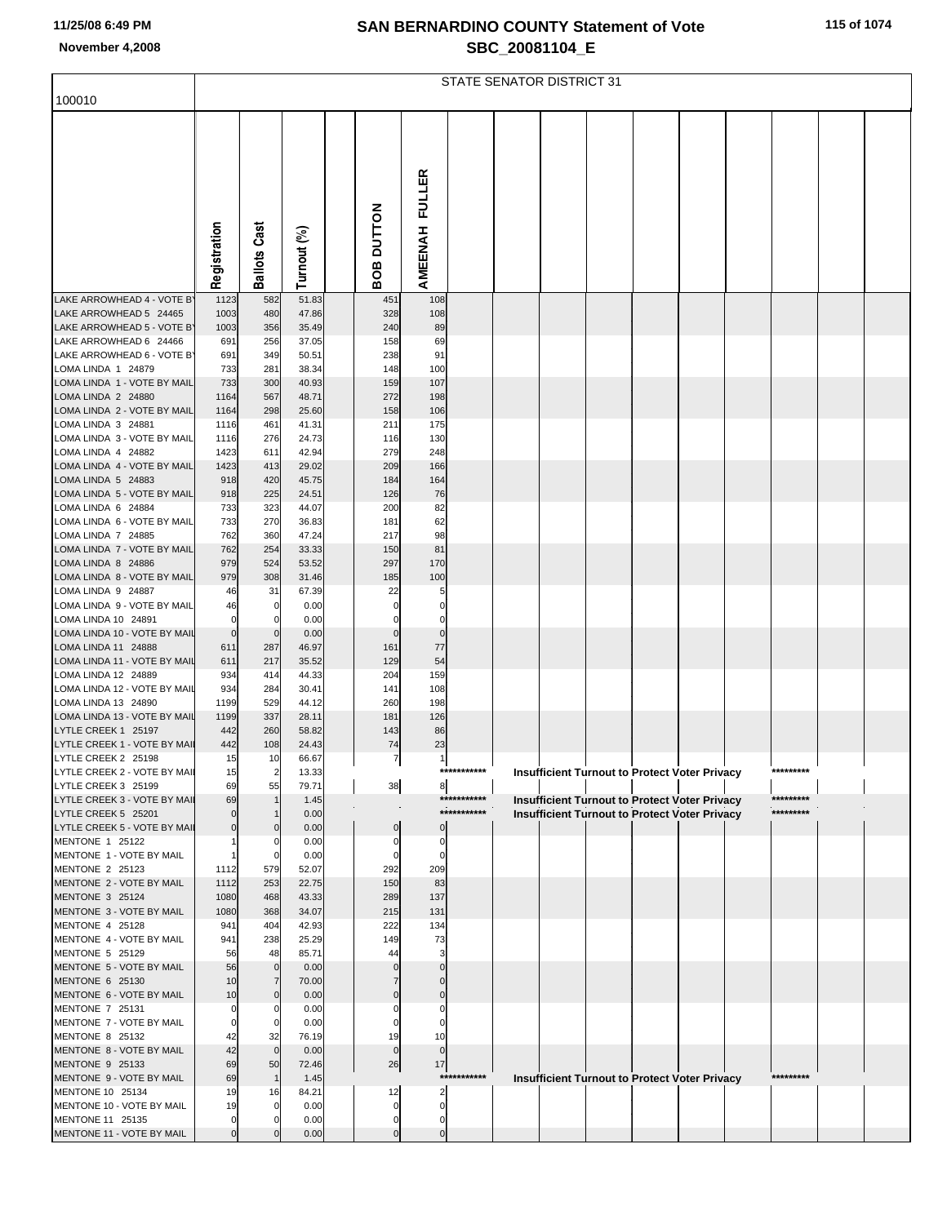|  |  |  |  |  | 115 of 1074 |  |
|--|--|--|--|--|-------------|--|
|--|--|--|--|--|-------------|--|

|                                                      |                            |                      |                |                     |                                |             | STATE SENATOR DISTRICT 31 |  |                                                      |           |  |
|------------------------------------------------------|----------------------------|----------------------|----------------|---------------------|--------------------------------|-------------|---------------------------|--|------------------------------------------------------|-----------|--|
| 100010                                               |                            |                      |                |                     |                                |             |                           |  |                                                      |           |  |
|                                                      |                            |                      |                |                     |                                |             |                           |  |                                                      |           |  |
|                                                      |                            |                      |                |                     |                                |             |                           |  |                                                      |           |  |
|                                                      |                            |                      |                |                     |                                |             |                           |  |                                                      |           |  |
|                                                      |                            |                      |                |                     | FULLER                         |             |                           |  |                                                      |           |  |
|                                                      |                            |                      |                |                     |                                |             |                           |  |                                                      |           |  |
|                                                      |                            |                      |                |                     |                                |             |                           |  |                                                      |           |  |
|                                                      |                            |                      |                |                     |                                |             |                           |  |                                                      |           |  |
|                                                      | Registration               | <b>Ballots Cast</b>  | Turnout (%)    | <b>BOB DUTTON</b>   | AMEENAH                        |             |                           |  |                                                      |           |  |
|                                                      |                            |                      |                |                     |                                |             |                           |  |                                                      |           |  |
| LAKE ARROWHEAD 4 - VOTE B'<br>LAKE ARROWHEAD 5 24465 | 1123<br>1003               | 582                  | 51.83          | 451                 | 108                            |             |                           |  |                                                      |           |  |
| LAKE ARROWHEAD 5 - VOTE B'                           | 1003                       | 480<br>356           | 47.86<br>35.49 | 328<br>240          | 108<br>89                      |             |                           |  |                                                      |           |  |
| LAKE ARROWHEAD 6 24466                               | 691                        | 256                  | 37.05          | 158                 | 69                             |             |                           |  |                                                      |           |  |
| LAKE ARROWHEAD 6 - VOTE B'<br>LOMA LINDA 1 24879     | 691<br>733                 | 349<br>281           | 50.51<br>38.34 | 238<br>148          | 91<br>100                      |             |                           |  |                                                      |           |  |
| LOMA LINDA 1 - VOTE BY MAIL                          | 733                        | 300                  | 40.93          | 159                 | 107                            |             |                           |  |                                                      |           |  |
| LOMA LINDA 2 24880                                   | 1164                       | 567                  | 48.71          | 272                 | 198                            |             |                           |  |                                                      |           |  |
| LOMA LINDA 2 - VOTE BY MAIL<br>LOMA LINDA 3 24881    | 1164<br>1116               | 298<br>461           | 25.60<br>41.31 | 158<br>211          | 106<br>175                     |             |                           |  |                                                      |           |  |
| LOMA LINDA 3 - VOTE BY MAIL                          | 1116                       | 276                  | 24.73          | 116                 | 130                            |             |                           |  |                                                      |           |  |
| LOMA LINDA 4 24882                                   | 1423                       | 611                  | 42.94          | 279                 | 248                            |             |                           |  |                                                      |           |  |
| LOMA LINDA 4 - VOTE BY MAIL<br>LOMA LINDA 5 24883    | 1423<br>918                | 413<br>420           | 29.02<br>45.75 | 209<br>184          | 166<br>164                     |             |                           |  |                                                      |           |  |
| LOMA LINDA 5 - VOTE BY MAIL                          | 918                        | 225                  | 24.51          | 126                 | 76                             |             |                           |  |                                                      |           |  |
| LOMA LINDA 6 24884<br>LOMA LINDA 6 - VOTE BY MAIL    | 733<br>733                 | 323<br>270           | 44.07<br>36.83 | 200<br>181          | 82<br>62                       |             |                           |  |                                                      |           |  |
| LOMA LINDA 7 24885                                   | 762                        | 360                  | 47.24          | 217                 | 98                             |             |                           |  |                                                      |           |  |
| LOMA LINDA 7 - VOTE BY MAIL                          | 762                        | 254                  | 33.33          | 150                 | 81                             |             |                           |  |                                                      |           |  |
| LOMA LINDA 8 24886<br>LOMA LINDA 8 - VOTE BY MAIL    | 979<br>979                 | 524<br>308           | 53.52<br>31.46 | 297<br>185          | 170<br>100                     |             |                           |  |                                                      |           |  |
| LOMA LINDA 9 24887                                   | 46                         | 31                   | 67.39          | 22                  | 5                              |             |                           |  |                                                      |           |  |
| LOMA LINDA 9 - VOTE BY MAIL                          | 46                         | 0                    | 0.00           | 0                   | 0                              |             |                           |  |                                                      |           |  |
| LOMA LINDA 10 24891<br>LOMA LINDA 10 - VOTE BY MAIL  | $\mathbf 0$<br>$\mathbf 0$ | 0<br>$\mathbf 0$     | 0.00<br>0.00   | 0<br>$\mathbf{0}$   | 0<br>$\mathbf 0$               |             |                           |  |                                                      |           |  |
| LOMA LINDA 11 24888                                  | 611                        | 287                  | 46.97          | 161                 | 77                             |             |                           |  |                                                      |           |  |
| LOMA LINDA 11 - VOTE BY MAIL<br>LOMA LINDA 12 24889  | 611<br>934                 | 217<br>414           | 35.52<br>44.33 | 129<br>204          | 54<br>159                      |             |                           |  |                                                      |           |  |
| LOMA LINDA 12 - VOTE BY MAIL                         | 934                        | 284                  | 30.41          | 141                 | 108                            |             |                           |  |                                                      |           |  |
| LOMA LINDA 13 24890                                  | 1199                       | 529                  | 44.12          | 260                 | 198                            |             |                           |  |                                                      |           |  |
| LOMA LINDA 13 - VOTE BY MAIL<br>LYTLE CREEK 1 25197  | 1199<br>442                | 337<br>260           | 28.11<br>58.82 | 181<br>143          | 126<br>86                      |             |                           |  |                                                      |           |  |
| LYTLE CREEK 1 - VOTE BY MAII                         | 442                        | 108                  | 24.43          | 74                  | 23                             |             |                           |  |                                                      |           |  |
| LYTLE CREEK 2 25198                                  | 15                         | 10                   | 66.67          | $\overline{7}$      | $\mathbf{1}$                   | *********** |                           |  |                                                      | ********* |  |
| LYTLE CREEK 2 - VOTE BY MAIL<br>LYTLE CREEK 3 25199  | 15<br>69                   | $\overline{2}$<br>55 | 13.33<br>79.71 | $^{\rm 38}$         | 8                              |             |                           |  | <b>Insufficient Turnout to Protect Voter Privacy</b> |           |  |
| LYTLE CREEK 3 - VOTE BY MAII                         | 69                         |                      | 1.45           |                     |                                | *********** |                           |  | <b>Insufficient Turnout to Protect Voter Privacy</b> | ********* |  |
| LYTLE CREEK 5 25201<br>LYTLE CREEK 5 - VOTE BY MAIL  | $\Omega$<br>$\Omega$       |                      | 0.00<br>0.00   | $\overline{0}$      | $\Omega$                       | *********** |                           |  | <b>Insufficient Turnout to Protect Voter Privacy</b> | ********* |  |
| MENTONE 1 25122                                      |                            | $\Omega$             | 0.00           | 0                   | $\mathbf 0$                    |             |                           |  |                                                      |           |  |
| MENTONE 1 - VOTE BY MAIL                             |                            |                      | 0.00           | 0                   | $\mathbf 0$                    |             |                           |  |                                                      |           |  |
| MENTONE 2 25123<br>MENTONE 2 - VOTE BY MAIL          | 1112<br>1112               | 579<br>253           | 52.07<br>22.75 | 292<br>150          | 209<br>83                      |             |                           |  |                                                      |           |  |
| MENTONE 3 25124                                      | 1080                       | 468                  | 43.33          | 289                 | 137                            |             |                           |  |                                                      |           |  |
| MENTONE 3 - VOTE BY MAIL<br>MENTONE 4 25128          | 1080                       | 368                  | 34.07          | 215                 | 131                            |             |                           |  |                                                      |           |  |
| MENTONE 4 - VOTE BY MAIL                             | 941<br>941                 | 404<br>238           | 42.93<br>25.29 | 222<br>149          | 134<br>73                      |             |                           |  |                                                      |           |  |
| MENTONE 5 25129                                      | 56                         | 48                   | 85.71          | 44                  | 3                              |             |                           |  |                                                      |           |  |
| MENTONE 5 - VOTE BY MAIL<br>MENTONE 6 25130          | 56<br>10                   | $\mathbf 0$<br>7     | 0.00<br>70.00  |                     |                                |             |                           |  |                                                      |           |  |
| MENTONE 6 - VOTE BY MAIL                             | 10                         | $\Omega$             | 0.00           |                     |                                |             |                           |  |                                                      |           |  |
| MENTONE 7 25131                                      | 0                          | 0                    | 0.00           |                     | 0                              |             |                           |  |                                                      |           |  |
| MENTONE 7 - VOTE BY MAIL<br>MENTONE 8 25132          | $\Omega$<br>42             | 32                   | 0.00<br>76.19  | 19                  | $\Omega$<br>10                 |             |                           |  |                                                      |           |  |
| MENTONE 8 - VOTE BY MAIL                             | 42                         | $\Omega$             | 0.00           | $\mathbf{0}$        | $\mathbf{0}$                   |             |                           |  |                                                      |           |  |
| MENTONE 9 25133<br>MENTONE 9 - VOTE BY MAIL          | 69<br>69                   | 50<br>$\mathbf{1}$   | 72.46<br>1.45  | 26                  | 17                             | *********** |                           |  | <b>Insufficient Turnout to Protect Voter Privacy</b> | ********* |  |
| MENTONE 10 25134                                     | 19                         | 16                   | 84.21          | 12                  | 2                              |             |                           |  |                                                      |           |  |
| MENTONE 10 - VOTE BY MAIL                            | 19                         |                      | 0.00           | $\Omega$            | 0                              |             |                           |  |                                                      |           |  |
| MENTONE 11 25135<br>MENTONE 11 - VOTE BY MAIL        | $\Omega$<br>$\Omega$       |                      | 0.00<br>0.00   | 0<br>$\overline{0}$ | $\mathbf{0}$<br>$\overline{0}$ |             |                           |  |                                                      |           |  |
|                                                      |                            |                      |                |                     |                                |             |                           |  |                                                      |           |  |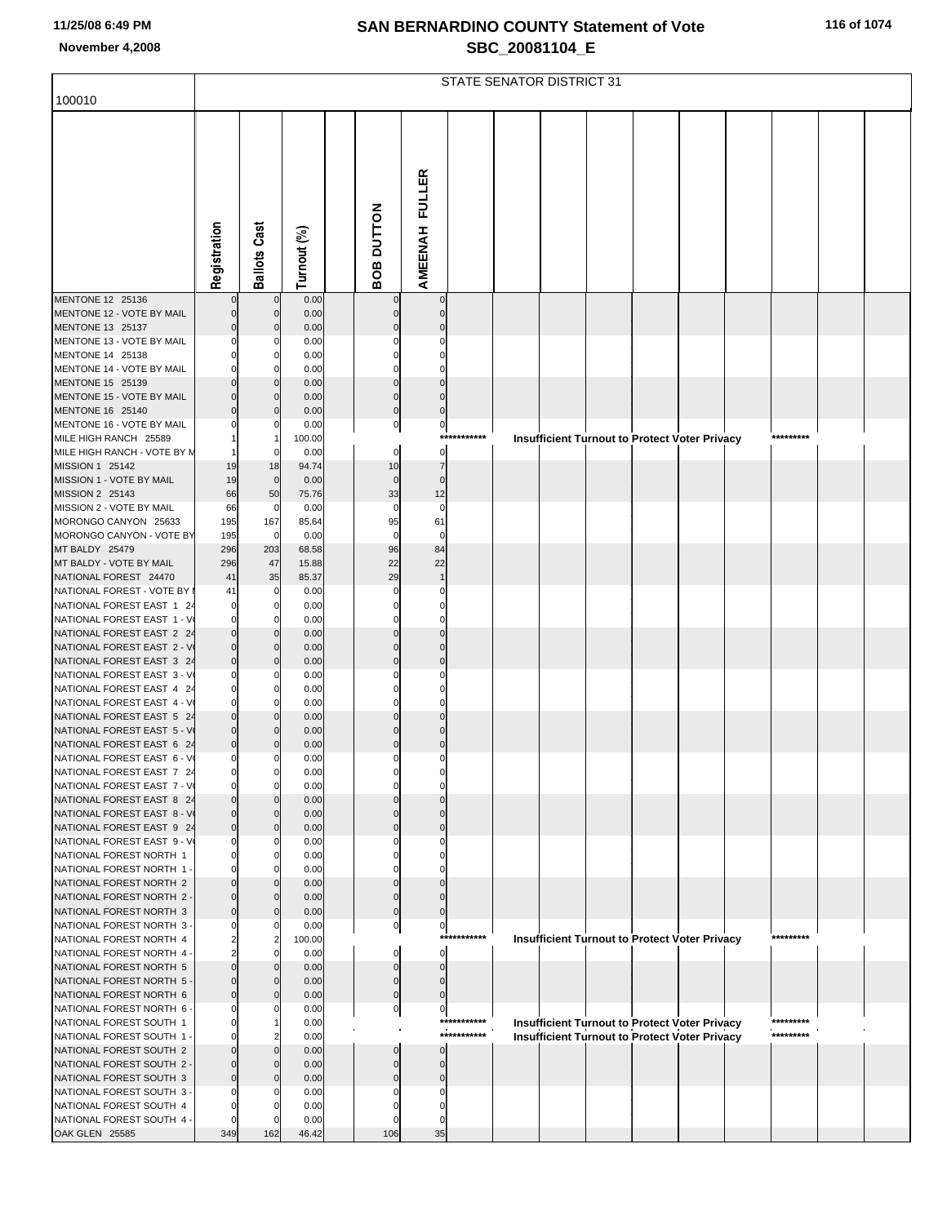|  |  |  |  |  | 116 of 1074 |
|--|--|--|--|--|-------------|
|--|--|--|--|--|-------------|

|                                                         |                            |                                |                |                         |                      |             | STATE SENATOR DISTRICT 31 |  |                                                      |           |  |
|---------------------------------------------------------|----------------------------|--------------------------------|----------------|-------------------------|----------------------|-------------|---------------------------|--|------------------------------------------------------|-----------|--|
| 100010                                                  |                            |                                |                |                         |                      |             |                           |  |                                                      |           |  |
|                                                         | Registration               | <b>Ballots Cast</b>            | Turnout (%)    | BOB DUTTON              | AMEENAH FULLER       |             |                           |  |                                                      |           |  |
| MENTONE 12 25136                                        |                            | $\mathbf 0$                    | 0.00           |                         | $\Omega$             |             |                           |  |                                                      |           |  |
| MENTONE 12 - VOTE BY MAIL<br>MENTONE 13 25137           |                            | $\overline{0}$<br>$\mathbf{0}$ | 0.00<br>0.00   |                         | $\Omega$             |             |                           |  |                                                      |           |  |
| MENTONE 13 - VOTE BY MAIL<br>MENTONE 14 25138           |                            | 0                              | 0.00<br>0.00   |                         |                      |             |                           |  |                                                      |           |  |
| MENTONE 14 - VOTE BY MAIL                               |                            | 0                              | 0.00           |                         |                      |             |                           |  |                                                      |           |  |
| MENTONE 15 25139                                        |                            |                                | 0.00           |                         |                      |             |                           |  |                                                      |           |  |
| MENTONE 15 - VOTE BY MAIL<br>MENTONE 16 25140           |                            | $\mathbf{0}$<br>$\Omega$       | 0.00<br>0.00   | $\mathbf 0$<br>$\Omega$ | $\Omega$<br>$\Omega$ |             |                           |  |                                                      |           |  |
| MENTONE 16 - VOTE BY MAIL                               |                            | 0                              | 0.00           | 0                       | $\pmb{0}$            |             |                           |  |                                                      |           |  |
| MILE HIGH RANCH 25589                                   |                            |                                | 100.00         |                         |                      | *********** |                           |  | <b>Insufficient Turnout to Protect Voter Privacy</b> | ********* |  |
| MILE HIGH RANCH - VOTE BY N<br>MISSION 1 25142          | 19                         | 0<br>18                        | 0.00<br>94.74  | 0<br>10                 | $\mathbf 0$          |             |                           |  |                                                      |           |  |
| MISSION 1 - VOTE BY MAIL                                | 19                         | $\overline{0}$                 | 0.00           | $\mathbf 0$             | $\mathbf 0$          |             |                           |  |                                                      |           |  |
| MISSION 2 25143                                         | 66                         | 50                             | 75.76          | 33                      | 12                   |             |                           |  |                                                      |           |  |
| MISSION 2 - VOTE BY MAIL                                | 66                         | $\mathbf 0$                    | 0.00           | $\Omega$                | $\Omega$             |             |                           |  |                                                      |           |  |
| MORONGO CANYON 25633<br>MORONGO CANYON - VOTE BY        | 195<br>195                 | 167<br>$\mathbf 0$             | 85.64<br>0.00  | 95<br>$\Omega$          | 61<br>$\Omega$       |             |                           |  |                                                      |           |  |
| MT BALDY 25479                                          | 296                        | 203                            | 68.58          | 96                      | 84                   |             |                           |  |                                                      |           |  |
| MT BALDY - VOTE BY MAIL                                 | 296                        | 47                             | 15.88          | 22                      | 22                   |             |                           |  |                                                      |           |  |
| NATIONAL FOREST 24470<br>NATIONAL FOREST - VOTE BY      | 41<br>41                   | 35<br>$\mathbf 0$              | 85.37<br>0.00  | 29                      | $\Omega$             |             |                           |  |                                                      |           |  |
| NATIONAL FOREST EAST 1 24                               | $\Omega$                   | $\Omega$                       | 0.00           |                         |                      |             |                           |  |                                                      |           |  |
| NATIONAL FOREST EAST 1 - V                              | $\Omega$                   | 0                              | 0.00           |                         |                      |             |                           |  |                                                      |           |  |
| NATIONAL FOREST EAST 2 24<br>NATIONAL FOREST EAST 2 - V | $\Omega$<br>$\mathbf 0$    | $\mathbf{0}$                   | 0.00<br>0.00   |                         | $\Omega$             |             |                           |  |                                                      |           |  |
| NATIONAL FOREST EAST 3 24                               | $\Omega$                   | $\Omega$                       | 0.00           |                         | $\Omega$             |             |                           |  |                                                      |           |  |
| NATIONAL FOREST EAST 3 - V                              | 0                          | 0                              | 0.00           |                         |                      |             |                           |  |                                                      |           |  |
| NATIONAL FOREST EAST 4 24                               | $\Omega$                   |                                | 0.00           |                         |                      |             |                           |  |                                                      |           |  |
| NATIONAL FOREST EAST 4 - V<br>NATIONAL FOREST EAST 5 24 | 0<br>$\Omega$              | $\mathbf 0$<br>$\Omega$        | 0.00<br>0.00   |                         |                      |             |                           |  |                                                      |           |  |
| NATIONAL FOREST EAST 5 - V                              | $\mathbf 0$                | $\mathbf 0$                    | 0.00           |                         | $\mathbf 0$          |             |                           |  |                                                      |           |  |
| NATIONAL FOREST EAST 6 24                               | $\pmb{0}$                  | $\Omega$                       | 0.00           | $\Omega$                | $\mathbf 0$          |             |                           |  |                                                      |           |  |
| NATIONAL FOREST EAST 6 - V<br>NATIONAL FOREST EAST 7 24 | $\mathbf{0}$               | $\mathbf{0}$<br>U              | 0.00<br>0.00   | $\mathbf 0$             | $\pmb{0}$            |             |                           |  |                                                      |           |  |
| NATIONAL FOREST EAST 7 - V                              | 0                          | $\Omega$                       | 0.00           |                         |                      |             |                           |  |                                                      |           |  |
| NATIONAL FOREST EAST 8 24                               | $\Omega$                   |                                | 0.00           |                         |                      |             |                           |  |                                                      |           |  |
| NATIONAL FOREST EAST 8 - V<br>NATIONAL FOREST EAST 9 24 | $\mathbf 0$<br>$\mathbf 0$ | $\mathbf{0}$<br>$\Omega$       | 0.00<br>0.00   |                         | 0                    |             |                           |  |                                                      |           |  |
| NATIONAL FOREST EAST 9 - V                              | $\Omega$                   | 0                              | 0.00           |                         |                      |             |                           |  |                                                      |           |  |
| NATIONAL FOREST NORTH 1                                 | $\Omega$                   | O                              | 0.00           |                         |                      |             |                           |  |                                                      |           |  |
| NATIONAL FOREST NORTH 1                                 |                            | $\Omega$                       | 0.00           |                         |                      |             |                           |  |                                                      |           |  |
| NATIONAL FOREST NORTH 2<br>NATIONAL FOREST NORTH 2      | $\Omega$                   | $\mathbf{0}$                   | 0.00<br>0.00   | 0                       |                      |             |                           |  |                                                      |           |  |
| NATIONAL FOREST NORTH 3                                 | $\Omega$                   | $\Omega$                       | 0.00           | $\Omega$                |                      |             |                           |  |                                                      |           |  |
| NATIONAL FOREST NORTH 3-                                | $\Omega$                   | 0                              | 0.00           | 0                       | 0                    | *********** |                           |  |                                                      | ********* |  |
| NATIONAL FOREST NORTH 4<br>NATIONAL FOREST NORTH 4 -    | $\overline{2}$             | $\Omega$                       | 100.00<br>0.00 |                         | O                    |             |                           |  | <b>Insufficient Turnout to Protect Voter Privacy</b> |           |  |
| NATIONAL FOREST NORTH 5                                 |                            |                                | 0.00           |                         |                      |             |                           |  |                                                      |           |  |
| NATIONAL FOREST NORTH 5                                 | $\Omega$                   | $\mathbf{0}$                   | 0.00           | $\mathbf 0$             | $\mathbf 0$          |             |                           |  |                                                      |           |  |
| NATIONAL FOREST NORTH 6<br>NATIONAL FOREST NORTH 6      | $\Omega$<br>$\Omega$       | 0                              | 0.00<br>0.00   | $\Omega$                | $\Omega$<br>$\Omega$ |             |                           |  |                                                      |           |  |
| NATIONAL FOREST SOUTH 1                                 |                            |                                | 0.00           | 0                       |                      | *********** |                           |  | Insufficient Turnout to Protect Voter Privacy        | ********* |  |
| NATIONAL FOREST SOUTH 1 -                               |                            |                                | 0.00           |                         |                      | *********** |                           |  | <b>Insufficient Turnout to Protect Voter Privacy</b> | ********* |  |
| NATIONAL FOREST SOUTH 2                                 |                            |                                | 0.00           |                         |                      |             |                           |  |                                                      |           |  |
| NATIONAL FOREST SOUTH 2 -<br>NATIONAL FOREST SOUTH 3    | $\Omega$<br>$\Omega$       | $\mathbf{0}$<br>$\Omega$       | 0.00<br>0.00   |                         | $\Omega$<br>$\Omega$ |             |                           |  |                                                      |           |  |
| NATIONAL FOREST SOUTH 3-                                |                            | $\Omega$                       | 0.00           |                         |                      |             |                           |  |                                                      |           |  |
| NATIONAL FOREST SOUTH 4                                 |                            |                                | 0.00           |                         |                      |             |                           |  |                                                      |           |  |
| NATIONAL FOREST SOUTH 4 -<br>OAK GLEN 25585             | $\Omega$<br>349            | 162                            | 0.00<br>46.42  | 106                     | 35                   |             |                           |  |                                                      |           |  |
|                                                         |                            |                                |                |                         |                      |             |                           |  |                                                      |           |  |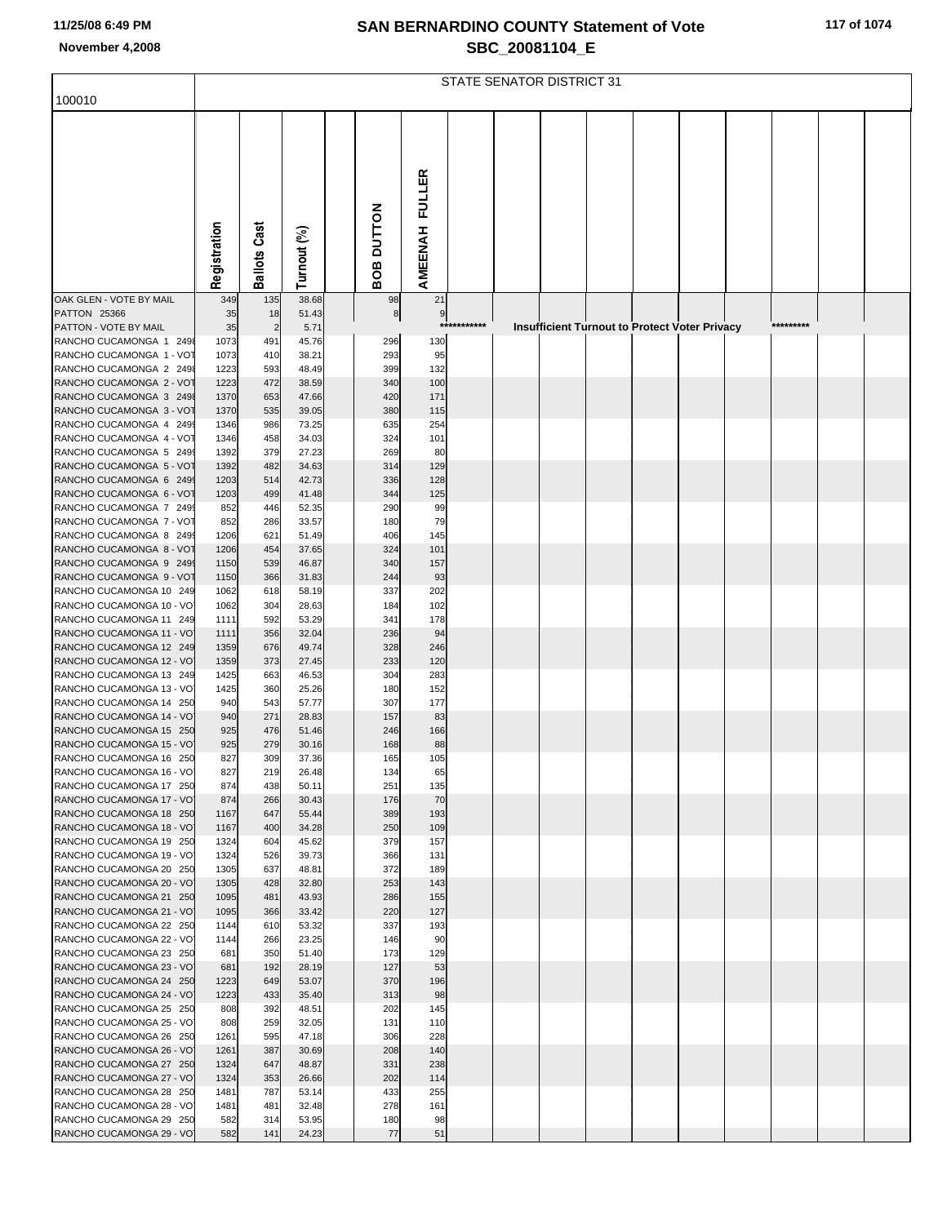| 117 of 1074 |  |
|-------------|--|
|-------------|--|

|                                                      |              |                       |                |               |               |          | STATE SENATOR DISTRICT 31 |  |                                                      |  |           |  |
|------------------------------------------------------|--------------|-----------------------|----------------|---------------|---------------|----------|---------------------------|--|------------------------------------------------------|--|-----------|--|
| 100010                                               |              |                       |                |               |               |          |                           |  |                                                      |  |           |  |
|                                                      |              |                       |                |               |               |          |                           |  |                                                      |  |           |  |
|                                                      |              |                       |                |               |               |          |                           |  |                                                      |  |           |  |
|                                                      |              |                       |                |               |               |          |                           |  |                                                      |  |           |  |
|                                                      |              |                       |                |               |               |          |                           |  |                                                      |  |           |  |
|                                                      |              |                       |                |               | <b>FULLER</b> |          |                           |  |                                                      |  |           |  |
|                                                      |              |                       |                |               |               |          |                           |  |                                                      |  |           |  |
|                                                      |              |                       |                |               |               |          |                           |  |                                                      |  |           |  |
|                                                      |              |                       |                | <b>NOLLON</b> |               |          |                           |  |                                                      |  |           |  |
|                                                      |              | <b>Ballots Cast</b>   |                |               | AMEENAH       |          |                           |  |                                                      |  |           |  |
|                                                      | Registration |                       | Turnout (%)    | BOB           |               |          |                           |  |                                                      |  |           |  |
| OAK GLEN - VOTE BY MAIL                              | 349          | 135                   | 38.68          | 98            | 21            |          |                           |  |                                                      |  |           |  |
| <b>PATTON 25366</b>                                  | 35           | 18                    | 51.43          | $^{\rm 8}$    | 9<br>$***$    | ******** |                           |  |                                                      |  | ********* |  |
| PATTON - VOTE BY MAIL<br>RANCHO CUCAMONGA 1 2498     | 35<br>1073   | $\overline{2}$<br>491 | 5.71<br>45.76  | 296           | 130           |          |                           |  | <b>Insufficient Turnout to Protect Voter Privacy</b> |  |           |  |
| RANCHO CUCAMONGA 1 - VOT                             | 1073         | 410                   | 38.21          | 293           | 95            |          |                           |  |                                                      |  |           |  |
| RANCHO CUCAMONGA 2 2498                              | 1223         | 593                   | 48.49          | 399           | 132           |          |                           |  |                                                      |  |           |  |
| RANCHO CUCAMONGA 2 - VOT                             | 1223         | 472                   | 38.59          | 340           | 100           |          |                           |  |                                                      |  |           |  |
| RANCHO CUCAMONGA 3 2498<br>RANCHO CUCAMONGA 3 - VOT  | 1370<br>1370 | 653<br>535            | 47.66<br>39.05 | 420<br>380    | 171<br>115    |          |                           |  |                                                      |  |           |  |
| RANCHO CUCAMONGA 4 2499                              | 1346         | 986                   | 73.25          | 635           | 254           |          |                           |  |                                                      |  |           |  |
| RANCHO CUCAMONGA 4 - VOT                             | 1346         | 458                   | 34.03          | 324           | 101           |          |                           |  |                                                      |  |           |  |
| RANCHO CUCAMONGA 5 2499<br>RANCHO CUCAMONGA 5 - VOT  | 1392         | 379                   | 27.23          | 269           | 80            |          |                           |  |                                                      |  |           |  |
| RANCHO CUCAMONGA 6 2499                              | 1392<br>1203 | 482<br>514            | 34.63<br>42.73 | 314<br>336    | 129<br>128    |          |                           |  |                                                      |  |           |  |
| RANCHO CUCAMONGA 6 - VOT                             | 1203         | 499                   | 41.48          | 344           | 125           |          |                           |  |                                                      |  |           |  |
| RANCHO CUCAMONGA 7 2499                              | 852          | 446                   | 52.35          | 290           | 99            |          |                           |  |                                                      |  |           |  |
| RANCHO CUCAMONGA 7 - VOT<br>RANCHO CUCAMONGA 8 2499  | 852<br>1206  | 286<br>621            | 33.57          | 180<br>406    | 79<br>145     |          |                           |  |                                                      |  |           |  |
| RANCHO CUCAMONGA 8 - VOT                             | 1206         | 454                   | 51.49<br>37.65 | 324           | 101           |          |                           |  |                                                      |  |           |  |
| RANCHO CUCAMONGA 9 2499                              | 1150         | 539                   | 46.87          | 340           | 157           |          |                           |  |                                                      |  |           |  |
| RANCHO CUCAMONGA 9 - VOT                             | 1150         | 366                   | 31.83          | 244           | 93            |          |                           |  |                                                      |  |           |  |
| RANCHO CUCAMONGA 10 249<br>RANCHO CUCAMONGA 10 - VO  | 1062<br>1062 | 618<br>304            | 58.19<br>28.63 | 337<br>184    | 202<br>102    |          |                           |  |                                                      |  |           |  |
| RANCHO CUCAMONGA 11 249                              | 1111         | 592                   | 53.29          | 341           | 178           |          |                           |  |                                                      |  |           |  |
| RANCHO CUCAMONGA 11 - VO                             | 1111         | 356                   | 32.04          | 236           | 94            |          |                           |  |                                                      |  |           |  |
| RANCHO CUCAMONGA 12 249                              | 1359         | 676                   | 49.74          | 328           | 246           |          |                           |  |                                                      |  |           |  |
| RANCHO CUCAMONGA 12 - VOJ<br>RANCHO CUCAMONGA 13 249 | 1359<br>1425 | 373<br>663            | 27.45<br>46.53 | 233<br>304    | 120<br>283    |          |                           |  |                                                      |  |           |  |
| RANCHO CUCAMONGA 13 - VO                             | 1425         | 360                   | 25.26          | 180           | 152           |          |                           |  |                                                      |  |           |  |
| RANCHO CUCAMONGA 14 250                              | 940          | 543                   | 57.77          | 307           | 177           |          |                           |  |                                                      |  |           |  |
| RANCHO CUCAMONGA 14 - VO                             | 940          | 271                   | 28.83          | 157           | 83            |          |                           |  |                                                      |  |           |  |
| RANCHO CUCAMONGA 15 250<br>RANCHO CUCAMONGA 15 - VO  | 925<br>925   | 476<br>279            | 51.46<br>30.16 | 246<br>168    | 166<br>88     |          |                           |  |                                                      |  |           |  |
| RANCHO CUCAMONGA 16 250                              | 827          | 309                   | 37.36          | 165           | 105           |          |                           |  |                                                      |  |           |  |
| RANCHO CUCAMONGA 16 - VO                             | 827          | 219                   | 26.48          | 134           | 65            |          |                           |  |                                                      |  |           |  |
| RANCHO CUCAMONGA 17 250<br>RANCHO CUCAMONGA 17 - VO  | 874          | 438                   | 50.11          | 251           | 135<br>70     |          |                           |  |                                                      |  |           |  |
| RANCHO CUCAMONGA 18 250                              | 874<br>1167  | 266<br>647            | 30.43<br>55.44 | 176<br>389    | 193           |          |                           |  |                                                      |  |           |  |
| RANCHO CUCAMONGA 18 - VO                             | 1167         | 400                   | 34.28          | 250           | 109           |          |                           |  |                                                      |  |           |  |
| RANCHO CUCAMONGA 19 250                              | 1324         | 604                   | 45.62          | 379           | 157           |          |                           |  |                                                      |  |           |  |
| RANCHO CUCAMONGA 19 - VO<br>RANCHO CUCAMONGA 20 250  | 1324<br>1305 | 526<br>637            | 39.73<br>48.81 | 366<br>372    | 131<br>189    |          |                           |  |                                                      |  |           |  |
| RANCHO CUCAMONGA 20 - VO                             | 1305         | 428                   | 32.80          | 253           | 143           |          |                           |  |                                                      |  |           |  |
| RANCHO CUCAMONGA 21 250                              | 1095         | 481                   | 43.93          | 286           | 155           |          |                           |  |                                                      |  |           |  |
| RANCHO CUCAMONGA 21 - VO                             | 1095         | 366                   | 33.42          | 220           | 127           |          |                           |  |                                                      |  |           |  |
| RANCHO CUCAMONGA 22 250<br>RANCHO CUCAMONGA 22 - VO  | 1144<br>1144 | 610<br>266            | 53.32<br>23.25 | 337<br>146    | 193<br>90     |          |                           |  |                                                      |  |           |  |
| RANCHO CUCAMONGA 23 250                              | 681          | 350                   | 51.40          | 173           | 129           |          |                           |  |                                                      |  |           |  |
| RANCHO CUCAMONGA 23 - VO                             | 681          | 192                   | 28.19          | 127           | 53            |          |                           |  |                                                      |  |           |  |
| RANCHO CUCAMONGA 24 250                              | 1223         | 649                   | 53.07          | 370           | 196           |          |                           |  |                                                      |  |           |  |
| RANCHO CUCAMONGA 24 - VO<br>RANCHO CUCAMONGA 25 250  | 1223<br>808  | 433<br>392            | 35.40<br>48.51 | 313<br>202    | 98<br>145     |          |                           |  |                                                      |  |           |  |
| RANCHO CUCAMONGA 25 - VO                             | 808          | 259                   | 32.05          | 131           | 110           |          |                           |  |                                                      |  |           |  |
| RANCHO CUCAMONGA 26 250                              | 1261         | 595                   | 47.18          | 306           | 228           |          |                           |  |                                                      |  |           |  |
| RANCHO CUCAMONGA 26 - VO                             | 1261         | 387                   | 30.69          | 208           | 140           |          |                           |  |                                                      |  |           |  |
| RANCHO CUCAMONGA 27 250<br>RANCHO CUCAMONGA 27 - VO  | 1324<br>1324 | 647<br>353            | 48.87<br>26.66 | 331<br>202    | 238<br>114    |          |                           |  |                                                      |  |           |  |
| RANCHO CUCAMONGA 28 250                              | 1481         | 787                   | 53.14          | 433           | 255           |          |                           |  |                                                      |  |           |  |
| RANCHO CUCAMONGA 28 - VO                             | 1481         | 481                   | 32.48          | 278           | 161           |          |                           |  |                                                      |  |           |  |
| RANCHO CUCAMONGA 29 250                              | 582          | 314                   | 53.95          | 180           | 98            |          |                           |  |                                                      |  |           |  |
| RANCHO CUCAMONGA 29 - VO                             | 582          | 141                   | 24.23          | 77            | 51            |          |                           |  |                                                      |  |           |  |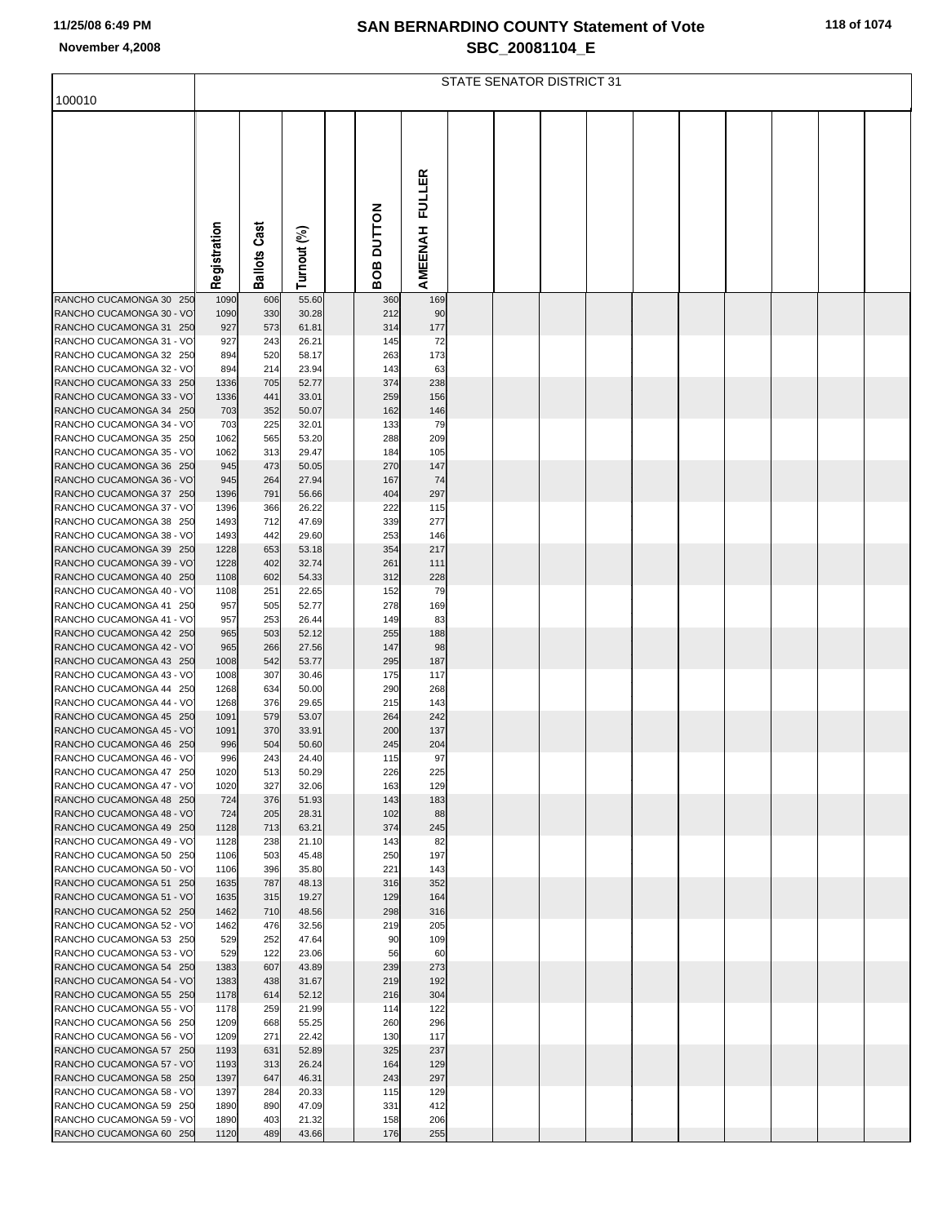|  |  |  |  |  | 118 of 1074 |
|--|--|--|--|--|-------------|
|--|--|--|--|--|-------------|

|                                                     |              | STATE SENATOR DISTRICT 31 |                |  |                   |               |  |  |  |  |  |  |  |
|-----------------------------------------------------|--------------|---------------------------|----------------|--|-------------------|---------------|--|--|--|--|--|--|--|
| 100010                                              |              |                           |                |  |                   |               |  |  |  |  |  |  |  |
|                                                     |              |                           |                |  |                   |               |  |  |  |  |  |  |  |
|                                                     |              |                           |                |  |                   |               |  |  |  |  |  |  |  |
|                                                     |              |                           |                |  |                   |               |  |  |  |  |  |  |  |
|                                                     |              |                           |                |  |                   | <b>FULLER</b> |  |  |  |  |  |  |  |
|                                                     |              |                           |                |  |                   |               |  |  |  |  |  |  |  |
|                                                     |              |                           |                |  |                   |               |  |  |  |  |  |  |  |
|                                                     |              | Cast                      |                |  |                   |               |  |  |  |  |  |  |  |
|                                                     | Registration |                           |                |  | <b>ROB DUTTON</b> | AMEENAH       |  |  |  |  |  |  |  |
|                                                     |              | Ballots                   | Turnout (%)    |  |                   |               |  |  |  |  |  |  |  |
| RANCHO CUCAMONGA 30 250                             | 1090         | 606                       | 55.60          |  | 360               | 169           |  |  |  |  |  |  |  |
| RANCHO CUCAMONGA 30 - VO<br>RANCHO CUCAMONGA 31 250 | 1090<br>927  | 330<br>573                | 30.28<br>61.81 |  | 212<br>314        | 90<br>177     |  |  |  |  |  |  |  |
| RANCHO CUCAMONGA 31 - VO                            | 927          | 243                       | 26.21          |  | 145               | 72            |  |  |  |  |  |  |  |
| RANCHO CUCAMONGA 32 250                             | 894          | 520                       | 58.17          |  | 263               | 173           |  |  |  |  |  |  |  |
| RANCHO CUCAMONGA 32 - VO<br>RANCHO CUCAMONGA 33 250 | 894<br>1336  | 214<br>705                | 23.94<br>52.77 |  | 143<br>374        | 63<br>238     |  |  |  |  |  |  |  |
| RANCHO CUCAMONGA 33 - VO                            | 1336         | 441                       | 33.01          |  | 259               | 156           |  |  |  |  |  |  |  |
| RANCHO CUCAMONGA 34 250<br>RANCHO CUCAMONGA 34 - VO | 703<br>703   | 352<br>225                | 50.07<br>32.01 |  | 162<br>133        | 146<br>79     |  |  |  |  |  |  |  |
| RANCHO CUCAMONGA 35 250                             | 1062         | 565                       | 53.20          |  | 288               | 209           |  |  |  |  |  |  |  |
| RANCHO CUCAMONGA 35 - VO                            | 1062         | 313                       | 29.47          |  | 184               | 105           |  |  |  |  |  |  |  |
| RANCHO CUCAMONGA 36 250<br>RANCHO CUCAMONGA 36 - VO | 945<br>945   | 473<br>264                | 50.05<br>27.94 |  | 270<br>167        | 147<br>74     |  |  |  |  |  |  |  |
| RANCHO CUCAMONGA 37 250                             | 1396         | 791                       | 56.66          |  | 404               | 297           |  |  |  |  |  |  |  |
| RANCHO CUCAMONGA 37 - VO                            | 1396         | 366                       | 26.22          |  | 222               | 115           |  |  |  |  |  |  |  |
| RANCHO CUCAMONGA 38 250<br>RANCHO CUCAMONGA 38 - VO | 1493<br>1493 | 712<br>442                | 47.69<br>29.60 |  | 339<br>253        | 277<br>146    |  |  |  |  |  |  |  |
| RANCHO CUCAMONGA 39 250                             | 1228         | 653                       | 53.18          |  | 354               | 217           |  |  |  |  |  |  |  |
| RANCHO CUCAMONGA 39 - VO<br>RANCHO CUCAMONGA 40 250 | 1228<br>1108 | 402<br>602                | 32.74<br>54.33 |  | 261<br>312        | 111<br>228    |  |  |  |  |  |  |  |
| RANCHO CUCAMONGA 40 - VO                            | 1108         | 251                       | 22.65          |  | 152               | 79            |  |  |  |  |  |  |  |
| RANCHO CUCAMONGA 41 250                             | 957          | 505                       | 52.77          |  | 278               | 169           |  |  |  |  |  |  |  |
| RANCHO CUCAMONGA 41 - VO<br>RANCHO CUCAMONGA 42 250 | 957<br>965   | 253<br>503                | 26.44<br>52.12 |  | 149<br>255        | 83<br>188     |  |  |  |  |  |  |  |
| RANCHO CUCAMONGA 42 - VO                            | 965          | 266                       | 27.56          |  | 147               | 98            |  |  |  |  |  |  |  |
| RANCHO CUCAMONGA 43 250                             | 1008         | 542                       | 53.77          |  | 295               | 187           |  |  |  |  |  |  |  |
| RANCHO CUCAMONGA 43 - VO<br>RANCHO CUCAMONGA 44 250 | 1008<br>1268 | 307<br>634                | 30.46<br>50.00 |  | 175<br>290        | 117<br>268    |  |  |  |  |  |  |  |
| RANCHO CUCAMONGA 44 - VO                            | 1268         | 376                       | 29.65          |  | 215               | 143           |  |  |  |  |  |  |  |
| RANCHO CUCAMONGA 45 250<br>RANCHO CUCAMONGA 45 - VO | 1091<br>1091 | 579<br>370                | 53.07<br>33.91 |  | 264<br>200        | 242<br>137    |  |  |  |  |  |  |  |
| RANCHO CUCAMONGA 46 250                             | 996          | 504                       | 50.60          |  | 245               | 204           |  |  |  |  |  |  |  |
| RANCHO CUCAMONGA 46 - VO                            | 996          | 243                       | 24.40          |  | 115               | 97            |  |  |  |  |  |  |  |
| RANCHO CUCAMONGA 47 250<br>RANCHO CUCAMONGA 47 - VO | 1020<br>1020 | 513<br>327                | 50.29<br>32.06 |  | 226<br>163        | 225<br>129    |  |  |  |  |  |  |  |
| RANCHO CUCAMONGA 48 250                             | 724          | 376                       | 51.93          |  | 143               | 183           |  |  |  |  |  |  |  |
| RANCHO CUCAMONGA 48 - VO<br>RANCHO CUCAMONGA 49 250 | 724<br>1128  | 205<br>713                | 28.31<br>63.21 |  | 102<br>374        | 88<br>245     |  |  |  |  |  |  |  |
| RANCHO CUCAMONGA 49 - VO                            | 1128         | 238                       | 21.10          |  | 143               | 82            |  |  |  |  |  |  |  |
| RANCHO CUCAMONGA 50 250                             | 1106         | 503                       | 45.48          |  | 250               | 197           |  |  |  |  |  |  |  |
| RANCHO CUCAMONGA 50 - VO<br>RANCHO CUCAMONGA 51 250 | 1106<br>1635 | 396<br>787                | 35.80<br>48.13 |  | 221<br>316        | 143<br>352    |  |  |  |  |  |  |  |
| RANCHO CUCAMONGA 51 - VO                            | 1635         | 315                       | 19.27          |  | 129               | 164           |  |  |  |  |  |  |  |
| RANCHO CUCAMONGA 52 250<br>RANCHO CUCAMONGA 52 - VO | 1462         | 710<br>476                | 48.56          |  | 298               | 316           |  |  |  |  |  |  |  |
| RANCHO CUCAMONGA 53 250                             | 1462<br>529  | 252                       | 32.56<br>47.64 |  | 219<br>90         | 205<br>109    |  |  |  |  |  |  |  |
| RANCHO CUCAMONGA 53 - VO                            | 529          | 122                       | 23.06          |  | 56                | 60            |  |  |  |  |  |  |  |
| RANCHO CUCAMONGA 54 250<br>RANCHO CUCAMONGA 54 - VO | 1383<br>1383 | 607<br>438                | 43.89<br>31.67 |  | 239<br>219        | 273<br>192    |  |  |  |  |  |  |  |
| RANCHO CUCAMONGA 55 250                             | 1178         | 614                       | 52.12          |  | 216               | 304           |  |  |  |  |  |  |  |
| RANCHO CUCAMONGA 55 - VO                            | 1178         | 259                       | 21.99          |  | 114               | 122           |  |  |  |  |  |  |  |
| RANCHO CUCAMONGA 56 250<br>RANCHO CUCAMONGA 56 - VO | 1209<br>1209 | 668<br>271                | 55.25<br>22.42 |  | 260<br>130        | 296<br>117    |  |  |  |  |  |  |  |
| RANCHO CUCAMONGA 57 250                             | 1193         | 631                       | 52.89          |  | 325               | 237           |  |  |  |  |  |  |  |
| RANCHO CUCAMONGA 57 - VO<br>RANCHO CUCAMONGA 58 250 | 1193<br>1397 | 313<br>647                | 26.24<br>46.31 |  | 164<br>243        | 129<br>297    |  |  |  |  |  |  |  |
| RANCHO CUCAMONGA 58 - VO                            | 1397         | 284                       | 20.33          |  | 115               | 129           |  |  |  |  |  |  |  |
| RANCHO CUCAMONGA 59 250                             | 1890         | 890                       | 47.09          |  | 331               | 412           |  |  |  |  |  |  |  |
| RANCHO CUCAMONGA 59 - VO<br>RANCHO CUCAMONGA 60 250 | 1890<br>1120 | 403<br>489                | 21.32<br>43.66 |  | 158<br>176        | 206<br>255    |  |  |  |  |  |  |  |
|                                                     |              |                           |                |  |                   |               |  |  |  |  |  |  |  |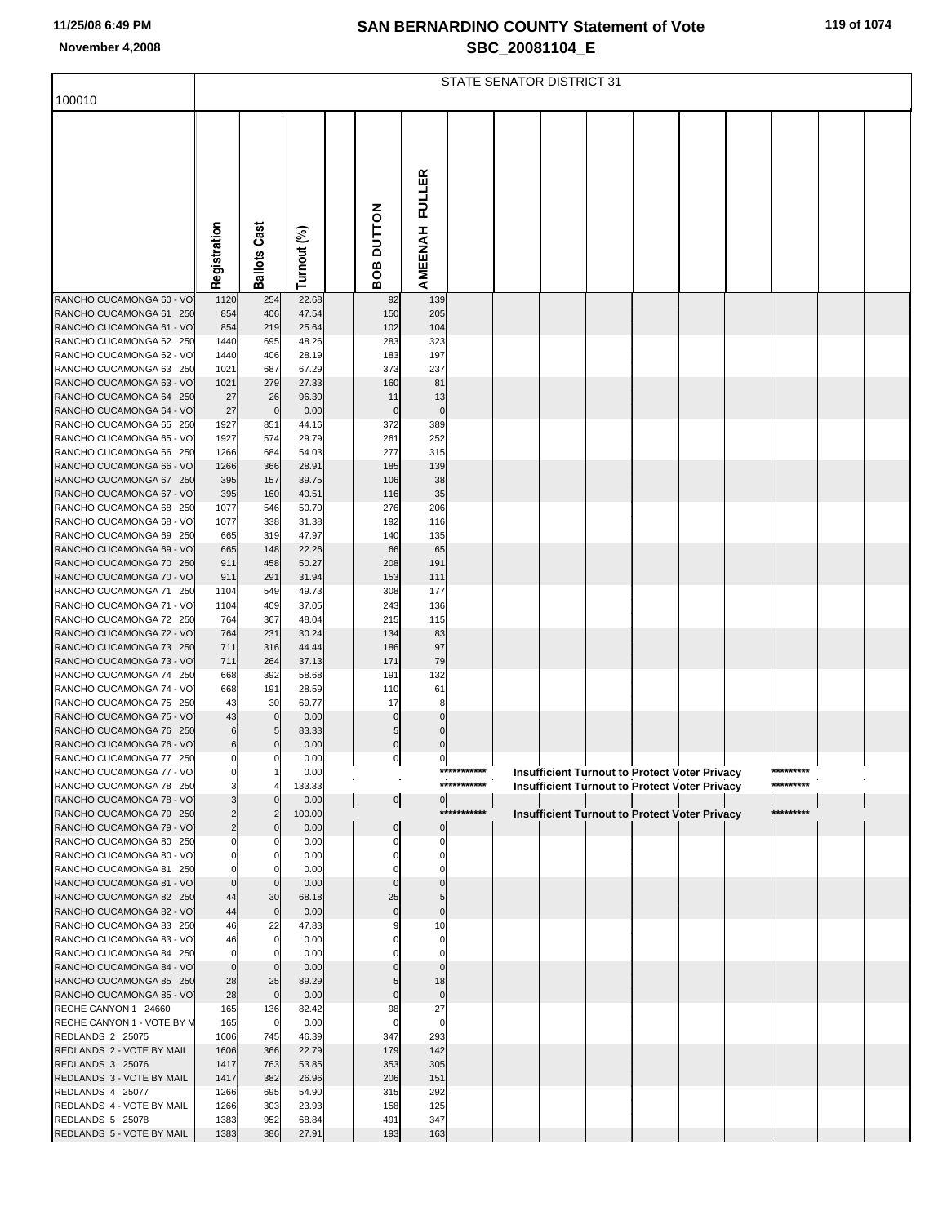|  |  |  |  |  | 119 of 1074 |
|--|--|--|--|--|-------------|
|--|--|--|--|--|-------------|

|                                                      |                                  |                            |                |                  |                  | STATE SENATOR DISTRICT 31 |  |  |                                                      |           |  |
|------------------------------------------------------|----------------------------------|----------------------------|----------------|------------------|------------------|---------------------------|--|--|------------------------------------------------------|-----------|--|
| 100010                                               |                                  |                            |                |                  |                  |                           |  |  |                                                      |           |  |
|                                                      |                                  |                            |                |                  |                  |                           |  |  |                                                      |           |  |
|                                                      |                                  |                            |                |                  |                  |                           |  |  |                                                      |           |  |
|                                                      |                                  |                            |                | BOB DUTTON       | AMEENAH FULLER   |                           |  |  |                                                      |           |  |
|                                                      | Registration                     | <b>Ballots Cast</b>        | Turnout (%)    |                  |                  |                           |  |  |                                                      |           |  |
|                                                      |                                  |                            |                |                  |                  |                           |  |  |                                                      |           |  |
| RANCHO CUCAMONGA 60 - VO                             | 1120                             | 254                        | 22.68          | 92               | 139              |                           |  |  |                                                      |           |  |
| RANCHO CUCAMONGA 61 250                              | 854                              | 406                        | 47.54          | 150              | 205              |                           |  |  |                                                      |           |  |
| RANCHO CUCAMONGA 61 - VOJ<br>RANCHO CUCAMONGA 62 250 | 854<br>1440                      | 219<br>695                 | 25.64<br>48.26 | 102<br>283       | 104<br>323       |                           |  |  |                                                      |           |  |
| RANCHO CUCAMONGA 62 - VO                             | 1440                             | 406                        | 28.19          | 183              | 197              |                           |  |  |                                                      |           |  |
| RANCHO CUCAMONGA 63 250                              | 1021                             | 687                        | 67.29          | 373              | 237              |                           |  |  |                                                      |           |  |
| RANCHO CUCAMONGA 63 - VO                             | 1021                             | 279                        | 27.33          | 160              | 81               |                           |  |  |                                                      |           |  |
| RANCHO CUCAMONGA 64 250<br>RANCHO CUCAMONGA 64 - VO  | 27<br>27                         | 26<br>$\overline{0}$       | 96.30          | 11<br>$\bf{0}$   | 13<br>$\pmb{0}$  |                           |  |  |                                                      |           |  |
| RANCHO CUCAMONGA 65 250                              | 1927                             | 851                        | 0.00<br>44.16  | 372              | 389              |                           |  |  |                                                      |           |  |
| RANCHO CUCAMONGA 65 - VO                             | 1927                             | 574                        | 29.79          | 261              | 252              |                           |  |  |                                                      |           |  |
| RANCHO CUCAMONGA 66 250                              | 1266                             | 684                        | 54.03          | 277              | 315              |                           |  |  |                                                      |           |  |
| RANCHO CUCAMONGA 66 - VO                             | 1266                             | 366                        | 28.91          | 185              | 139              |                           |  |  |                                                      |           |  |
| RANCHO CUCAMONGA 67 250<br>RANCHO CUCAMONGA 67 - VO  | 395<br>395                       | 157<br>160                 | 39.75<br>40.51 | 106<br>116       | 38<br>35         |                           |  |  |                                                      |           |  |
| RANCHO CUCAMONGA 68 250                              | 1077                             | 546                        | 50.70          | 276              | 206              |                           |  |  |                                                      |           |  |
| RANCHO CUCAMONGA 68 - VO                             | 1077                             | 338                        | 31.38          | 192              | 116              |                           |  |  |                                                      |           |  |
| RANCHO CUCAMONGA 69 250                              | 665                              | 319                        | 47.97          | 140              | 135              |                           |  |  |                                                      |           |  |
| RANCHO CUCAMONGA 69 - VO                             | 665                              | 148                        | 22.26          | 66               | 65               |                           |  |  |                                                      |           |  |
| RANCHO CUCAMONGA 70 250<br>RANCHO CUCAMONGA 70 - VO  | 911<br>911                       | 458<br>291                 | 50.27<br>31.94 | 208<br>153       | 191<br>111       |                           |  |  |                                                      |           |  |
| RANCHO CUCAMONGA 71 250                              | 1104                             | 549                        | 49.73          | 308              | 177              |                           |  |  |                                                      |           |  |
| RANCHO CUCAMONGA 71 - VO                             | 1104                             | 409                        | 37.05          | 243              | 136              |                           |  |  |                                                      |           |  |
| RANCHO CUCAMONGA 72 250                              | 764                              | 367                        | 48.04          | 215              | 115              |                           |  |  |                                                      |           |  |
| RANCHO CUCAMONGA 72 - VO                             | 764                              | 231                        | 30.24          | 134              | 83               |                           |  |  |                                                      |           |  |
| RANCHO CUCAMONGA 73 250<br>RANCHO CUCAMONGA 73 - VO  | 711<br>711                       | 316<br>264                 | 44.44<br>37.13 | 186<br>171       | 97<br>79         |                           |  |  |                                                      |           |  |
| RANCHO CUCAMONGA 74 250                              | 668                              | 392                        | 58.68          | 191              | 132              |                           |  |  |                                                      |           |  |
| RANCHO CUCAMONGA 74 - VO                             | 668                              | 191                        | 28.59          | 110              | 61               |                           |  |  |                                                      |           |  |
| RANCHO CUCAMONGA 75 250                              | 43                               | 30                         | 69.77          | 17               | 8                |                           |  |  |                                                      |           |  |
| RANCHO CUCAMONGA 75 - VO                             | 43                               | $\mathbf 0$                | 0.00           | $\Omega$         | $\Omega$         |                           |  |  |                                                      |           |  |
| RANCHO CUCAMONGA 76 250<br>RANCHO CUCAMONGA 76 - VOJ | 6<br>6                           | 5<br>$\mathbf 0$           | 83.33<br>0.00  | 5<br>$\mathbf 0$ | $\mathbf 0$<br>0 |                           |  |  |                                                      |           |  |
| RANCHO CUCAMONGA 77 250                              | $\overline{0}$                   | $\overline{0}$             | 0.00           | 0                | 0                |                           |  |  |                                                      |           |  |
| RANCHO CUCAMONGA 77 - VO                             | $\mathbf{0}$                     |                            | 0.00           |                  |                  | ***********               |  |  | <b>Insufficient Turnout to Protect Voter Privacy</b> | ********* |  |
| RANCHO CUCAMONGA 78 250                              | 3                                |                            | 133.33         |                  |                  | ***********               |  |  | <b>Insufficient Turnout to Protect Voter Privacy</b> | ********* |  |
| RANCHO CUCAMONGA 78 - VO                             | 3                                |                            | 0.00           | $\overline{0}$   | $\overline{0}$   | ***********               |  |  |                                                      | ********* |  |
| RANCHO CUCAMONGA 79 250<br>RANCHO CUCAMONGA 79 - VO  | $\overline{2}$<br>$\overline{2}$ | $\overline{2}$<br>$\Omega$ | 100.00<br>0.00 | $\pmb{0}$        | $\mathbf 0$      |                           |  |  | <b>Insufficient Turnout to Protect Voter Privacy</b> |           |  |
| RANCHO CUCAMONGA 80 250                              | $\overline{0}$                   | $\mathbf 0$                | 0.00           | 0                | $\Omega$         |                           |  |  |                                                      |           |  |
| RANCHO CUCAMONGA 80 - VO                             | $\overline{0}$                   |                            | 0.00           |                  | 0                |                           |  |  |                                                      |           |  |
| RANCHO CUCAMONGA 81 250                              | $\overline{0}$                   | $\Omega$                   | 0.00           |                  | 0                |                           |  |  |                                                      |           |  |
| RANCHO CUCAMONGA 81 - VO<br>RANCHO CUCAMONGA 82 250  | $\overline{0}$<br>44             | $\Omega$<br>30             | 0.00<br>68.18  | 25               | 5                |                           |  |  |                                                      |           |  |
| RANCHO CUCAMONGA 82 - VO                             | 44                               | $\overline{0}$             | 0.00           | $\Omega$         | $\Omega$         |                           |  |  |                                                      |           |  |
| RANCHO CUCAMONGA 83 250                              | 46                               | 22                         | 47.83          |                  | 10               |                           |  |  |                                                      |           |  |
| RANCHO CUCAMONGA 83 - VO                             | 46                               |                            | 0.00           |                  | 0                |                           |  |  |                                                      |           |  |
| RANCHO CUCAMONGA 84 250                              | $\overline{0}$                   |                            | 0.00           |                  | $\Omega$         |                           |  |  |                                                      |           |  |
| RANCHO CUCAMONGA 84 - VO<br>RANCHO CUCAMONGA 85 250  | $\mathbf 0$<br>28                | $\Omega$<br>25             | 0.00<br>89.29  | 5                | 18               |                           |  |  |                                                      |           |  |
| RANCHO CUCAMONGA 85 - VO                             | 28                               | $\mathbf 0$                | 0.00           | $\Omega$         | $\mathbf 0$      |                           |  |  |                                                      |           |  |
| RECHE CANYON 1 24660                                 | 165                              | 136                        | 82.42          | 98               | 27               |                           |  |  |                                                      |           |  |
| RECHE CANYON 1 - VOTE BY M                           | 165                              | $\overline{0}$             | 0.00           |                  | $\Omega$         |                           |  |  |                                                      |           |  |
| REDLANDS 2 25075                                     | 1606                             | 745                        | 46.39          | 347              | 293              |                           |  |  |                                                      |           |  |
| REDLANDS 2 - VOTE BY MAIL<br>REDLANDS 3 25076        | 1606<br>1417                     | 366<br>763                 | 22.79<br>53.85 | 179<br>353       | 142<br>305       |                           |  |  |                                                      |           |  |
| REDLANDS 3 - VOTE BY MAIL                            | 1417                             | 382                        | 26.96          | 206              | 151              |                           |  |  |                                                      |           |  |
| REDLANDS 4 25077                                     | 1266                             | 695                        | 54.90          | 315              | 292              |                           |  |  |                                                      |           |  |
| REDLANDS 4 - VOTE BY MAIL                            | 1266                             | 303                        | 23.93          | 158              | 125              |                           |  |  |                                                      |           |  |
| REDLANDS 5 25078                                     | 1383                             | 952                        | 68.84          | 491              | 347              |                           |  |  |                                                      |           |  |
| REDLANDS 5 - VOTE BY MAIL                            | 1383                             | 386                        | 27.91          | 193              | 163              |                           |  |  |                                                      |           |  |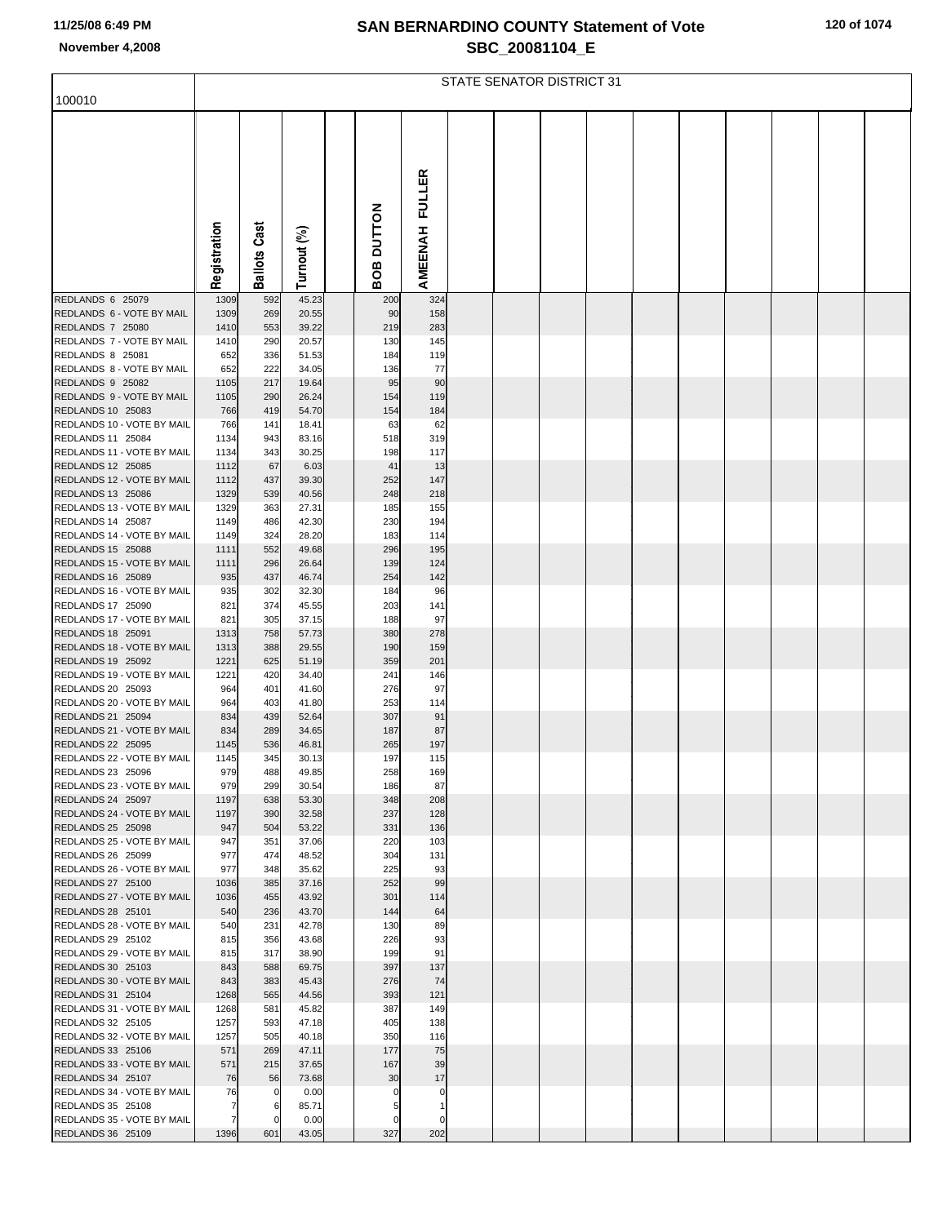|  |  |  | 120 of 1074 |
|--|--|--|-------------|
|--|--|--|-------------|

|                                                        |                     |                     |                |               |               | STATE SENATOR DISTRICT 31 |  |  |  |  |
|--------------------------------------------------------|---------------------|---------------------|----------------|---------------|---------------|---------------------------|--|--|--|--|
| 100010                                                 |                     |                     |                |               |               |                           |  |  |  |  |
|                                                        |                     |                     |                |               |               |                           |  |  |  |  |
|                                                        |                     |                     |                |               |               |                           |  |  |  |  |
|                                                        |                     |                     |                |               |               |                           |  |  |  |  |
|                                                        |                     |                     |                |               |               |                           |  |  |  |  |
|                                                        |                     |                     |                |               | <b>FULLER</b> |                           |  |  |  |  |
|                                                        |                     |                     |                |               |               |                           |  |  |  |  |
|                                                        |                     |                     |                |               |               |                           |  |  |  |  |
|                                                        |                     |                     |                | <b>DUTTON</b> |               |                           |  |  |  |  |
|                                                        |                     |                     |                |               |               |                           |  |  |  |  |
|                                                        | Registration        | <b>Ballots Cast</b> | Turnout (%)    | BOB           | AMEENAH       |                           |  |  |  |  |
| REDLANDS 6 25079                                       | 1309                | 592                 | 45.23          | 200           | 324           |                           |  |  |  |  |
| REDLANDS 6 - VOTE BY MAIL                              | 1309                | 269                 | 20.55          | 90            | 158           |                           |  |  |  |  |
| REDLANDS 7 25080                                       | 1410                | 553                 | 39.22          | 219           | 283           |                           |  |  |  |  |
| REDLANDS 7 - VOTE BY MAIL                              | 1410                | 290                 | 20.57          | 130           | 145           |                           |  |  |  |  |
| REDLANDS 8 25081<br>REDLANDS 8 - VOTE BY MAIL          | 652<br>652          | 336<br>222          | 51.53<br>34.05 | 184<br>136    | 119<br>77     |                           |  |  |  |  |
| REDLANDS 9 25082                                       | 1105                | 217                 | 19.64          | 95            | 90            |                           |  |  |  |  |
| REDLANDS 9 - VOTE BY MAIL                              | 1105                | 290                 | 26.24          | 154           | 119           |                           |  |  |  |  |
| <b>REDLANDS 10 25083</b>                               | 766                 | 419                 | 54.70          | 154           | 184           |                           |  |  |  |  |
| REDLANDS 10 - VOTE BY MAIL<br>REDLANDS 11 25084        | 766<br>1134         | 141<br>943          | 18.41<br>83.16 | 63<br>518     | 62<br>319     |                           |  |  |  |  |
| REDLANDS 11 - VOTE BY MAIL                             | 1134                | 343                 | 30.25          | 198           | 117           |                           |  |  |  |  |
| REDLANDS 12 25085                                      | 1112                | 67                  | 6.03           | 41            | 13            |                           |  |  |  |  |
| REDLANDS 12 - VOTE BY MAIL                             | 1112                | 437                 | 39.30          | 252           | 147           |                           |  |  |  |  |
| REDLANDS 13 25086<br>REDLANDS 13 - VOTE BY MAIL        | 1329<br>1329        | 539<br>363          | 40.56<br>27.31 | 248<br>185    | 218<br>155    |                           |  |  |  |  |
| REDLANDS 14 25087                                      | 1149                | 486                 | 42.30          | 230           | 194           |                           |  |  |  |  |
| REDLANDS 14 - VOTE BY MAIL                             | 1149                | 324                 | 28.20          | 183           | 114           |                           |  |  |  |  |
| REDLANDS 15 25088                                      | 1111                | 552                 | 49.68          | 296           | 195           |                           |  |  |  |  |
| REDLANDS 15 - VOTE BY MAIL<br>REDLANDS 16 25089        | 1111<br>935         | 296<br>437          | 26.64<br>46.74 | 139<br>254    | 124<br>142    |                           |  |  |  |  |
| REDLANDS 16 - VOTE BY MAIL                             | 935                 | 302                 | 32.30          | 184           | 96            |                           |  |  |  |  |
| REDLANDS 17 25090                                      | 821                 | 374                 | 45.55          | 203           | 141           |                           |  |  |  |  |
| REDLANDS 17 - VOTE BY MAIL                             | 821                 | 305                 | 37.15          | 188           | 97            |                           |  |  |  |  |
| <b>REDLANDS 18 25091</b><br>REDLANDS 18 - VOTE BY MAIL | 1313<br>1313        | 758<br>388          | 57.73<br>29.55 | 380<br>190    | 278<br>159    |                           |  |  |  |  |
| <b>REDLANDS 19 25092</b>                               | 1221                | 625                 | 51.19          | 359           | 201           |                           |  |  |  |  |
| REDLANDS 19 - VOTE BY MAIL                             | 1221                | 420                 | 34.40          | 241           | 146           |                           |  |  |  |  |
| REDLANDS 20 25093                                      | 964                 | 401                 | 41.60          | 276           | 97            |                           |  |  |  |  |
| REDLANDS 20 - VOTE BY MAIL<br>REDLANDS 21 25094        | 964<br>834          | 403<br>439          | 41.80<br>52.64 | 253<br>307    | 114<br>91     |                           |  |  |  |  |
| REDLANDS 21 - VOTE BY MAIL                             | 834                 | 289                 | 34.65          | 187           | 87            |                           |  |  |  |  |
| <b>REDLANDS 22 25095</b>                               | 1145                | 536                 | 46.81          | 265           | 197           |                           |  |  |  |  |
| REDLANDS 22 - VOTE BY MAIL                             | 1145                | 345                 | 30.13          | 197           | 115           |                           |  |  |  |  |
| REDLANDS 23 25096<br>REDLANDS 23 - VOTE BY MAIL        | 979<br>979          | 488<br>299          | 49.85<br>30.54 | 258<br>186    | 169<br>87     |                           |  |  |  |  |
| REDLANDS 24 25097                                      | 1197                | 638                 | 53.30          | 348           | 208           |                           |  |  |  |  |
| REDLANDS 24 - VOTE BY MAIL                             | 1197                | 390                 | 32.58          | 237           | 128           |                           |  |  |  |  |
| REDLANDS 25 25098<br>REDLANDS 25 - VOTE BY MAIL        | 947                 | 504<br>351          | 53.22          | 331           | 136           |                           |  |  |  |  |
| REDLANDS 26 25099                                      | 947<br>977          | 474                 | 37.06<br>48.52 | 220<br>304    | 103<br>131    |                           |  |  |  |  |
| REDLANDS 26 - VOTE BY MAIL                             | 977                 | 348                 | 35.62          | 225           | 93            |                           |  |  |  |  |
| <b>REDLANDS 27 25100</b>                               | 1036                | 385                 | 37.16          | 252           | 99            |                           |  |  |  |  |
| REDLANDS 27 - VOTE BY MAIL<br>REDLANDS 28 25101        | 1036<br>540         | 455<br>236          | 43.92<br>43.70 | 301<br>144    | 114<br>64     |                           |  |  |  |  |
| REDLANDS 28 - VOTE BY MAIL                             | 540                 | 231                 | 42.78          | 130           | 89            |                           |  |  |  |  |
| REDLANDS 29 25102                                      | 815                 | 356                 | 43.68          | 226           | 93            |                           |  |  |  |  |
| REDLANDS 29 - VOTE BY MAIL                             | 815                 | 317                 | 38.90          | 199           | 91            |                           |  |  |  |  |
| REDLANDS 30 25103<br>REDLANDS 30 - VOTE BY MAIL        | 843<br>843          | 588<br>383          | 69.75<br>45.43 | 397<br>276    | 137<br>74     |                           |  |  |  |  |
| REDLANDS 31 25104                                      | 1268                | 565                 | 44.56          | 393           | 121           |                           |  |  |  |  |
| REDLANDS 31 - VOTE BY MAIL                             | 1268                | 581                 | 45.82          | 387           | 149           |                           |  |  |  |  |
| REDLANDS 32 25105                                      | 1257                | 593                 | 47.18          | 405           | 138           |                           |  |  |  |  |
| REDLANDS 32 - VOTE BY MAIL<br>REDLANDS 33 25106        | 1257<br>571         | 505<br>269          | 40.18<br>47.11 | 350<br>177    | 116<br>75     |                           |  |  |  |  |
| REDLANDS 33 - VOTE BY MAIL                             | 571                 | 215                 | 37.65          | 167           | 39            |                           |  |  |  |  |
| REDLANDS 34 25107                                      | 76                  | 56                  | 73.68          | 30            | 17            |                           |  |  |  |  |
| REDLANDS 34 - VOTE BY MAIL                             | 76                  | 0                   | 0.00           |               | 0             |                           |  |  |  |  |
| REDLANDS 35 25108<br>REDLANDS 35 - VOTE BY MAIL        | 7<br>$\overline{7}$ | 6<br>0              | 85.71<br>0.00  | 0             | 0             |                           |  |  |  |  |
| REDLANDS 36 25109                                      | 1396                | 601                 | 43.05          | 327           | 202           |                           |  |  |  |  |
|                                                        |                     |                     |                |               |               |                           |  |  |  |  |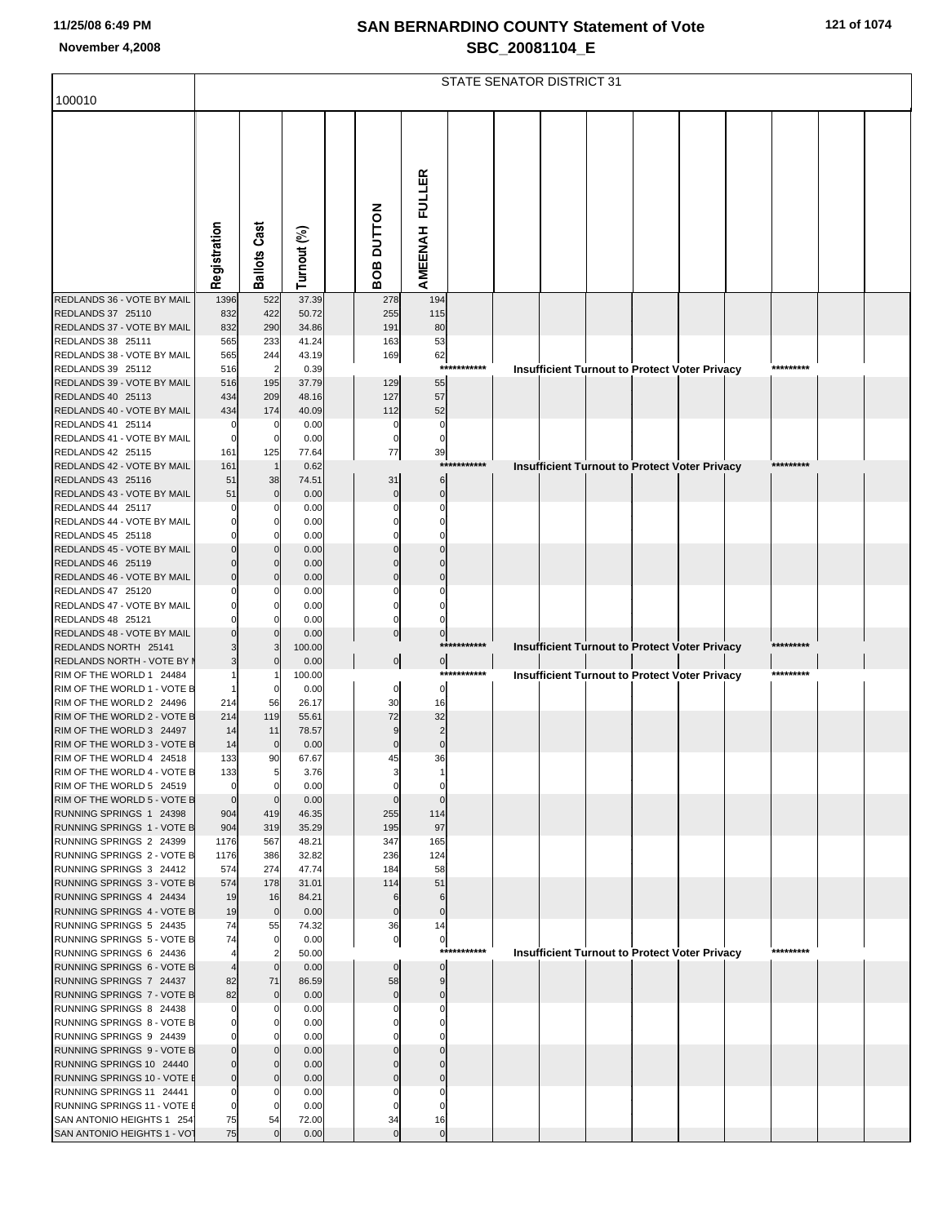| 121 of 1074 |
|-------------|
|-------------|

|                                                          |                    |                               |                |                   |                      |             | STATE SENATOR DISTRICT 31 |  |                                                      |           |  |
|----------------------------------------------------------|--------------------|-------------------------------|----------------|-------------------|----------------------|-------------|---------------------------|--|------------------------------------------------------|-----------|--|
| 100010                                                   |                    |                               |                |                   |                      |             |                           |  |                                                      |           |  |
|                                                          |                    |                               |                |                   |                      |             |                           |  |                                                      |           |  |
|                                                          |                    |                               |                |                   | FULLER               |             |                           |  |                                                      |           |  |
|                                                          |                    |                               |                |                   |                      |             |                           |  |                                                      |           |  |
|                                                          |                    |                               |                |                   |                      |             |                           |  |                                                      |           |  |
|                                                          | Registration       | <b>Ballots Cast</b>           | Turnout (%)    | <b>BOB DUTTON</b> | AMEENAH              |             |                           |  |                                                      |           |  |
| REDLANDS 36 - VOTE BY MAIL                               | 1396               | 522                           | 37.39          | 278               | 194                  |             |                           |  |                                                      |           |  |
| REDLANDS 37 25110                                        | 832                | 422                           | 50.72          | 255               | 115                  |             |                           |  |                                                      |           |  |
| REDLANDS 37 - VOTE BY MAIL                               | 832                | 290                           | 34.86          | 191               | 80                   |             |                           |  |                                                      |           |  |
| REDLANDS 38 25111<br>REDLANDS 38 - VOTE BY MAIL          | 565<br>565         | 233<br>244                    | 41.24<br>43.19 | 163<br>169        | 53<br>62             |             |                           |  |                                                      |           |  |
| REDLANDS 39 25112                                        | 516                | $\overline{2}$                | 0.39           |                   |                      | *********** |                           |  | Insufficient Turnout to Protect Voter Privacy        | ********* |  |
| REDLANDS 39 - VOTE BY MAIL                               | 516                | 195                           | 37.79          | 129               | 55                   |             |                           |  |                                                      |           |  |
| REDLANDS 40 25113                                        | 434                | 209                           | 48.16          | 127               | 57                   |             |                           |  |                                                      |           |  |
| REDLANDS 40 - VOTE BY MAIL<br>REDLANDS 41 25114          | 434<br>C           | 174<br>0                      | 40.09<br>0.00  | 112<br>$\Omega$   | 52<br>$\mathbf 0$    |             |                           |  |                                                      |           |  |
| REDLANDS 41 - VOTE BY MAIL                               | 0                  | 0                             | 0.00           | 0                 | $\mathsf{C}$         |             |                           |  |                                                      |           |  |
| REDLANDS 42 25115                                        | 161                | 125                           | 77.64          | 77                | 39                   |             |                           |  |                                                      |           |  |
| REDLANDS 42 - VOTE BY MAIL                               | 161                |                               | 0.62           |                   |                      | *********** |                           |  | <b>Insufficient Turnout to Protect Voter Privacy</b> | ********* |  |
| REDLANDS 43 25116                                        | 51                 | 38                            | 74.51          | 31                | 6                    |             |                           |  |                                                      |           |  |
| REDLANDS 43 - VOTE BY MAIL<br>REDLANDS 44 25117          | 51                 | $\Omega$<br>$\Omega$          | 0.00<br>0.00   | $\Omega$          | $\Omega$<br>ſ        |             |                           |  |                                                      |           |  |
| REDLANDS 44 - VOTE BY MAIL                               |                    |                               | 0.00           |                   |                      |             |                           |  |                                                      |           |  |
| REDLANDS 45 25118                                        |                    |                               | 0.00           |                   |                      |             |                           |  |                                                      |           |  |
| REDLANDS 45 - VOTE BY MAIL                               |                    |                               | 0.00           |                   |                      |             |                           |  |                                                      |           |  |
| REDLANDS 46 25119                                        |                    | $\Omega$<br>$\Omega$          | 0.00           |                   | C                    |             |                           |  |                                                      |           |  |
| REDLANDS 46 - VOTE BY MAIL<br>REDLANDS 47 25120          |                    | 0                             | 0.00<br>0.00   |                   | C                    |             |                           |  |                                                      |           |  |
| REDLANDS 47 - VOTE BY MAIL                               |                    |                               | 0.00           |                   |                      |             |                           |  |                                                      |           |  |
| REDLANDS 48 25121                                        |                    |                               | 0.00           | 0                 |                      |             |                           |  |                                                      |           |  |
| REDLANDS 48 - VOTE BY MAIL                               |                    |                               | 0.00           | 0                 | $\mathbf 0$          | *********** |                           |  |                                                      | ********* |  |
| REDLANDS NORTH 25141<br>REDLANDS NORTH - VOTE BY I       |                    | 3                             | 100.00<br>0.00 | $\overline{0}$    | $\overline{0}$       |             |                           |  | Insufficient Turnout to Protect Voter Privacy        |           |  |
| RIM OF THE WORLD 1 24484                                 |                    |                               | 100.00         |                   |                      | *********** |                           |  | <b>Insufficient Turnout to Protect Voter Privacy</b> | ********* |  |
| RIM OF THE WORLD 1 - VOTE B                              |                    |                               | 0.00           | 0                 | $\Omega$             |             |                           |  |                                                      |           |  |
| RIM OF THE WORLD 2 24496                                 | 214                | 56                            | 26.17          | 30                | 16                   |             |                           |  |                                                      |           |  |
| RIM OF THE WORLD 2 - VOTE B<br>RIM OF THE WORLD 3 24497  | 214<br>14          | 119<br>11                     | 55.61<br>78.57 | 72<br>9           | 32<br>$\overline{2}$ |             |                           |  |                                                      |           |  |
| RIM OF THE WORLD 3 - VOTE B                              | 14                 | $\mathbf 0$                   | 0.00           | $\mathbf 0$       | $\mathbf 0$          |             |                           |  |                                                      |           |  |
| RIM OF THE WORLD 4 24518                                 | 133                | 90                            | 67.67          | 45                | 36                   |             |                           |  |                                                      |           |  |
| RIM OF THE WORLD 4 - VOTE B                              | 133                | 5                             | 3.76           |                   |                      |             |                           |  |                                                      |           |  |
| RIM OF THE WORLD 5 24519                                 | $\mathbf 0$        | $\mathbf 0$                   | 0.00           |                   |                      |             |                           |  |                                                      |           |  |
| RIM OF THE WORLD 5 - VOTE B<br>RUNNING SPRINGS 1 24398   | $\mathbf 0$<br>904 | $\Omega$<br>419               | 0.00<br>46.35  | 255               | $\sqrt{ }$<br>114    |             |                           |  |                                                      |           |  |
| RUNNING SPRINGS 1 - VOTE B                               | 904                | 319                           | 35.29          | 195               | 97                   |             |                           |  |                                                      |           |  |
| RUNNING SPRINGS 2 24399                                  | 1176               | 567                           | 48.21          | 347               | 165                  |             |                           |  |                                                      |           |  |
| RUNNING SPRINGS 2 - VOTE B                               | 1176               | 386                           | 32.82          | 236               | 124                  |             |                           |  |                                                      |           |  |
| RUNNING SPRINGS 3 24412<br>RUNNING SPRINGS 3 - VOTE B    | 574<br>574         | 274<br>178                    | 47.74<br>31.01 | 184<br>114        | 58<br>51             |             |                           |  |                                                      |           |  |
| RUNNING SPRINGS 4 24434                                  | 19                 | 16                            | 84.21          | 6                 | 6                    |             |                           |  |                                                      |           |  |
| RUNNING SPRINGS 4 - VOTE B                               | 19                 | $\mathbf 0$                   | 0.00           | $\mathbf 0$       | $\mathbf 0$          |             |                           |  |                                                      |           |  |
| RUNNING SPRINGS 5 24435                                  | 74                 | 55                            | 74.32          | 36                | 14                   |             |                           |  |                                                      |           |  |
| RUNNING SPRINGS 5 - VOTE B<br>RUNNING SPRINGS 6 24436    | 74                 | $\mathbf 0$<br>$\overline{2}$ | 0.00<br>50.00  | $\overline{0}$    | 0                    | *********** |                           |  |                                                      | ********* |  |
| RUNNING SPRINGS 6 - VOTE B                               |                    | $\Omega$                      | 0.00           | $\mathbf 0$       | $\mathbf{0}$         |             |                           |  | <b>Insufficient Turnout to Protect Voter Privacy</b> |           |  |
| RUNNING SPRINGS 7 24437                                  | 82                 | 71                            | 86.59          | 58                | 9                    |             |                           |  |                                                      |           |  |
| RUNNING SPRINGS 7 - VOTE B                               | 82                 | $\mathbf 0$                   | 0.00           | $\mathbf 0$       | $\Omega$             |             |                           |  |                                                      |           |  |
| RUNNING SPRINGS 8 24438                                  | $\Omega$           | $\Omega$                      | 0.00           | C                 | $\mathsf{C}$         |             |                           |  |                                                      |           |  |
| RUNNING SPRINGS 8 - VOTE B<br>RUNNING SPRINGS 9 24439    |                    | O<br>$\Omega$                 | 0.00<br>0.00   |                   |                      |             |                           |  |                                                      |           |  |
| RUNNING SPRINGS 9 - VOTE B                               |                    | 0                             | 0.00           |                   |                      |             |                           |  |                                                      |           |  |
| RUNNING SPRINGS 10 24440                                 | $\Omega$           | $\mathbf 0$                   | 0.00           |                   |                      |             |                           |  |                                                      |           |  |
| RUNNING SPRINGS 10 - VOTE E                              | $\mathbf 0$        | $\Omega$                      | 0.00           |                   |                      |             |                           |  |                                                      |           |  |
| RUNNING SPRINGS 11 24441                                 | $\Omega$           | 0                             | 0.00           |                   | $\mathsf{C}$         |             |                           |  |                                                      |           |  |
| RUNNING SPRINGS 11 - VOTE E<br>SAN ANTONIO HEIGHTS 1 254 | $\Omega$<br>75     | 54                            | 0.00<br>72.00  | 34                | 16                   |             |                           |  |                                                      |           |  |
| SAN ANTONIO HEIGHTS 1 - VOT                              | 75                 |                               | 0.00           | $\mathbf{0}$      | $\mathbf 0$          |             |                           |  |                                                      |           |  |
|                                                          |                    |                               |                |                   |                      |             |                           |  |                                                      |           |  |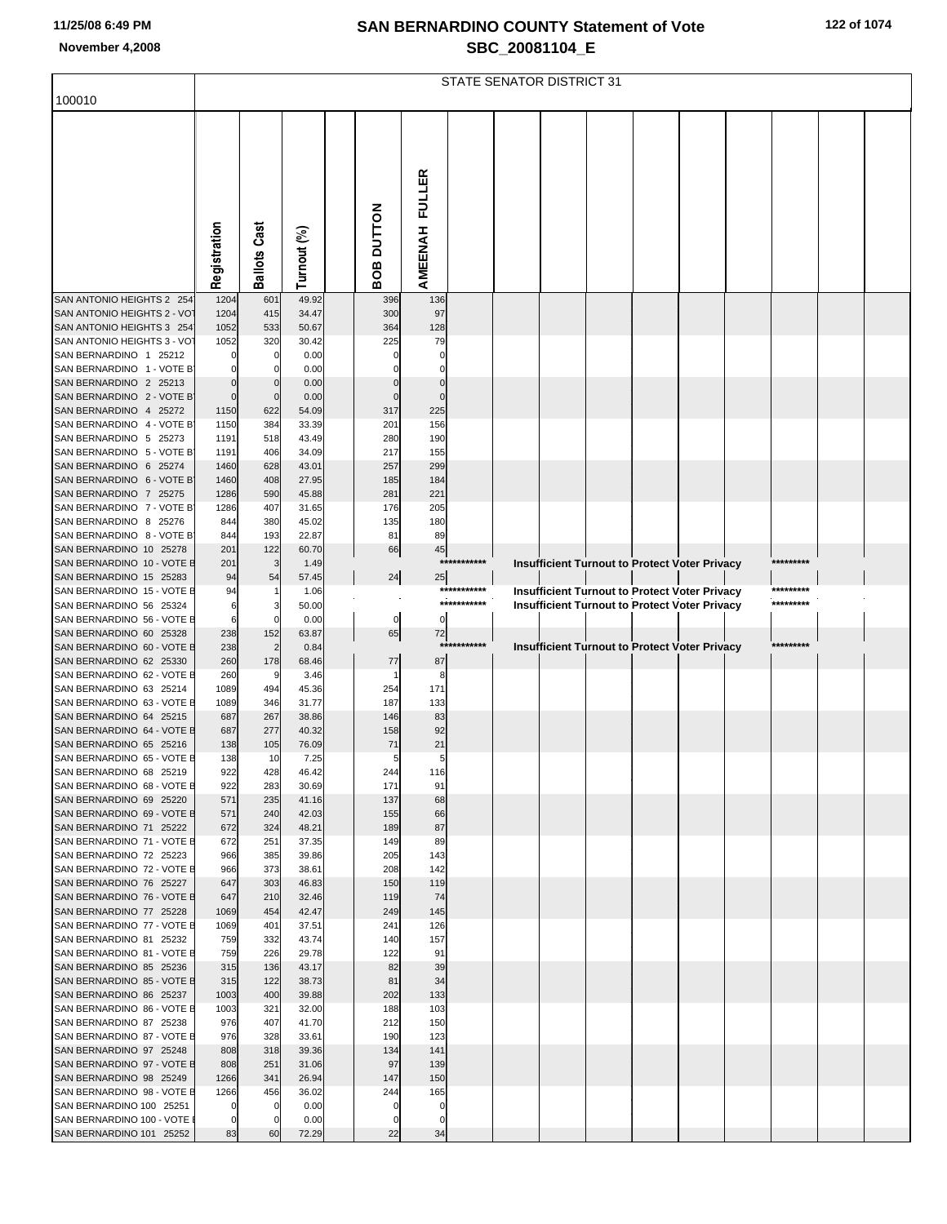|  |  |  | 122 of 1074 |
|--|--|--|-------------|
|--|--|--|-------------|

|                                                         | STATE SENATOR DISTRICT 31 |                       |                |  |            |            |             |  |  |  |  |                                                      |  |           |  |
|---------------------------------------------------------|---------------------------|-----------------------|----------------|--|------------|------------|-------------|--|--|--|--|------------------------------------------------------|--|-----------|--|
| 100010                                                  |                           |                       |                |  |            |            |             |  |  |  |  |                                                      |  |           |  |
|                                                         |                           |                       |                |  |            |            |             |  |  |  |  |                                                      |  |           |  |
|                                                         |                           |                       |                |  |            |            |             |  |  |  |  |                                                      |  |           |  |
|                                                         |                           |                       |                |  |            |            |             |  |  |  |  |                                                      |  |           |  |
|                                                         |                           |                       |                |  |            | FULLER     |             |  |  |  |  |                                                      |  |           |  |
|                                                         |                           |                       |                |  |            |            |             |  |  |  |  |                                                      |  |           |  |
|                                                         |                           |                       |                |  |            |            |             |  |  |  |  |                                                      |  |           |  |
|                                                         |                           |                       |                |  |            |            |             |  |  |  |  |                                                      |  |           |  |
|                                                         |                           |                       |                |  |            |            |             |  |  |  |  |                                                      |  |           |  |
|                                                         | Registration              | <b>Ballots Cast</b>   | Turnout (%)    |  | BOB DUTTON | AMEENAH    |             |  |  |  |  |                                                      |  |           |  |
| SAN ANTONIO HEIGHTS 2 254                               | 1204                      | 601                   | 49.92          |  | 396        | 136        |             |  |  |  |  |                                                      |  |           |  |
| SAN ANTONIO HEIGHTS 2 - VOT                             | 1204                      | 415                   | 34.47          |  | 300        | 97         |             |  |  |  |  |                                                      |  |           |  |
| SAN ANTONIO HEIGHTS 3 254                               | 1052                      | 533                   | 50.67          |  | 364        | 128        |             |  |  |  |  |                                                      |  |           |  |
| SAN ANTONIO HEIGHTS 3 - VOT<br>SAN BERNARDINO 1 25212   | 1052                      | 320                   | 30.42<br>0.00  |  | 225        | 79         |             |  |  |  |  |                                                      |  |           |  |
| SAN BERNARDINO 1 - VOTE B                               |                           |                       | 0.00           |  |            |            |             |  |  |  |  |                                                      |  |           |  |
| SAN BERNARDINO 2 25213                                  | $\Omega$                  |                       | 0.00           |  |            |            |             |  |  |  |  |                                                      |  |           |  |
| SAN BERNARDINO 2 - VOTE B                               | $\Omega$                  | $\Omega$              | 0.00           |  | $\Omega$   |            |             |  |  |  |  |                                                      |  |           |  |
| SAN BERNARDINO 4 25272<br>SAN BERNARDINO 4 - VOTE B     | 1150<br>1150              | 622<br>384            | 54.09<br>33.39 |  | 317<br>201 | 225<br>156 |             |  |  |  |  |                                                      |  |           |  |
| SAN BERNARDINO 5 25273                                  | 1191                      | 518                   | 43.49          |  | 280        | 190        |             |  |  |  |  |                                                      |  |           |  |
| SAN BERNARDINO 5 - VOTE B<br>SAN BERNARDINO 6 25274     | 1191<br>1460              | 406<br>628            | 34.09<br>43.01 |  | 217<br>257 | 155<br>299 |             |  |  |  |  |                                                      |  |           |  |
| SAN BERNARDINO 6 - VOTE B                               | 1460                      | 408                   | 27.95          |  | 185        | 184        |             |  |  |  |  |                                                      |  |           |  |
| SAN BERNARDINO 7 25275                                  | 1286                      | 590                   | 45.88          |  | 281        | 221        |             |  |  |  |  |                                                      |  |           |  |
| SAN BERNARDINO 7 - VOTE B                               | 1286                      | 407                   | 31.65          |  | 176        | 205        |             |  |  |  |  |                                                      |  |           |  |
| SAN BERNARDINO 8 25276<br>SAN BERNARDINO 8 - VOTE B     | 844<br>844                | 380<br>193            | 45.02<br>22.87 |  | 135<br>81  | 180<br>89  |             |  |  |  |  |                                                      |  |           |  |
| SAN BERNARDINO 10 25278                                 | 201                       | 122                   | 60.70          |  | 66         | 45         |             |  |  |  |  |                                                      |  |           |  |
| SAN BERNARDINO 10 - VOTE E                              | 201                       | 3                     | 1.49           |  |            |            | *********** |  |  |  |  | <b>Insufficient Turnout to Protect Voter Privacy</b> |  | ********* |  |
| SAN BERNARDINO 15 25283<br>SAN BERNARDINO 15 - VOTE E   | 94<br>94                  | 54                    | 57.45<br>1.06  |  | 24         | 25         | *********** |  |  |  |  | Insufficient Turnout to Protect Voter Privacy        |  | ********* |  |
| SAN BERNARDINO 56 25324                                 | 6                         |                       | 50.00          |  |            |            | *********** |  |  |  |  | <b>Insufficient Turnout to Protect Voter Privacy</b> |  | ********* |  |
| SAN BERNARDINO 56 - VOTE E                              | 6                         |                       | 0.00           |  | 0          | $\Omega$   |             |  |  |  |  |                                                      |  |           |  |
| SAN BERNARDINO 60 25328<br>SAN BERNARDINO 60 - VOTE E   | 238<br>238                | 152<br>$\overline{2}$ | 63.87<br>0.84  |  | 65         | 72         | *********** |  |  |  |  | <b>Insufficient Turnout to Protect Voter Privacy</b> |  | ********* |  |
| SAN BERNARDINO 62 25330                                 | 260                       | 178                   | 68.46          |  | 77         | 87         |             |  |  |  |  |                                                      |  |           |  |
| SAN BERNARDINO 62 - VOTE E                              | 260                       | 9                     | 3.46           |  |            | 8          |             |  |  |  |  |                                                      |  |           |  |
| SAN BERNARDINO 63 25214<br>SAN BERNARDINO 63 - VOTE E   | 1089<br>1089              | 494<br>346            | 45.36<br>31.77 |  | 254<br>187 | 171<br>133 |             |  |  |  |  |                                                      |  |           |  |
| SAN BERNARDINO 64 25215                                 | 687                       | 267                   | 38.86          |  | 146        | 83         |             |  |  |  |  |                                                      |  |           |  |
| SAN BERNARDINO 64 - VOTE E<br>SAN BERNARDINO 65 25216   | 687<br>138                | 277<br>105            | 40.32<br>76.09 |  | 158<br>71  | 92<br>21   |             |  |  |  |  |                                                      |  |           |  |
| SAN BERNARDINO 65 - VOTE E                              | 138                       | 10                    | 7.25           |  | 5          | 5          |             |  |  |  |  |                                                      |  |           |  |
| SAN BERNARDINO 68 25219                                 | 922                       | 428                   | 46.42          |  | 244        | 116        |             |  |  |  |  |                                                      |  |           |  |
| SAN BERNARDINO 68 - VOTE E<br>SAN BERNARDINO 69 25220   | 922<br>571                | 283                   | 30.69<br>41.16 |  | 171<br>137 | 91<br>68   |             |  |  |  |  |                                                      |  |           |  |
| SAN BERNARDINO 69 - VOTE E                              | 571                       | 235<br>240            | 42.03          |  | 155        | 66         |             |  |  |  |  |                                                      |  |           |  |
| SAN BERNARDINO 71 25222                                 | 672                       | 324                   | 48.21          |  | 189        | 87         |             |  |  |  |  |                                                      |  |           |  |
| SAN BERNARDINO 71 - VOTE E<br>SAN BERNARDINO 72 25223   | 672<br>966                | 251<br>385            | 37.35<br>39.86 |  | 149<br>205 | 89<br>143  |             |  |  |  |  |                                                      |  |           |  |
| SAN BERNARDINO 72 - VOTE E                              | 966                       | 373                   | 38.61          |  | 208        | 142        |             |  |  |  |  |                                                      |  |           |  |
| SAN BERNARDINO 76 25227                                 | 647                       | 303                   | 46.83          |  | 150        | 119        |             |  |  |  |  |                                                      |  |           |  |
| SAN BERNARDINO 76 - VOTE E<br>SAN BERNARDINO 77 25228   | 647<br>1069               | 210<br>454            | 32.46<br>42.47 |  | 119<br>249 | 74<br>145  |             |  |  |  |  |                                                      |  |           |  |
| SAN BERNARDINO 77 - VOTE E                              | 1069                      | 401                   | 37.51          |  | 241        | 126        |             |  |  |  |  |                                                      |  |           |  |
| SAN BERNARDINO 81 25232                                 | 759                       | 332                   | 43.74          |  | 140        | 157        |             |  |  |  |  |                                                      |  |           |  |
| SAN BERNARDINO 81 - VOTE E<br>SAN BERNARDINO 85 25236   | 759<br>315                | 226<br>136            | 29.78<br>43.17 |  | 122<br>82  | 91<br>39   |             |  |  |  |  |                                                      |  |           |  |
| SAN BERNARDINO 85 - VOTE E                              | 315                       | 122                   | 38.73          |  | 81         | 34         |             |  |  |  |  |                                                      |  |           |  |
| SAN BERNARDINO 86 25237                                 | 1003                      | 400                   | 39.88          |  | 202        | 133        |             |  |  |  |  |                                                      |  |           |  |
| SAN BERNARDINO 86 - VOTE E<br>SAN BERNARDINO 87 25238   | 1003<br>976               | 321<br>407            | 32.00<br>41.70 |  | 188<br>212 | 103<br>150 |             |  |  |  |  |                                                      |  |           |  |
| SAN BERNARDINO 87 - VOTE E                              | 976                       | 328                   | 33.61          |  | 190        | 123        |             |  |  |  |  |                                                      |  |           |  |
| SAN BERNARDINO 97 25248                                 | 808                       | 318                   | 39.36          |  | 134        | 141        |             |  |  |  |  |                                                      |  |           |  |
| SAN BERNARDINO 97 - VOTE E<br>SAN BERNARDINO 98 25249   | 808<br>1266               | 251<br>341            | 31.06<br>26.94 |  | 97<br>147  | 139<br>150 |             |  |  |  |  |                                                      |  |           |  |
| SAN BERNARDINO 98 - VOTE E                              | 1266                      | 456                   | 36.02          |  | 244        | 165        |             |  |  |  |  |                                                      |  |           |  |
| SAN BERNARDINO 100 25251                                | $\mathbf 0$               | 0                     | 0.00           |  | 0          | 0          |             |  |  |  |  |                                                      |  |           |  |
| SAN BERNARDINO 100 - VOTE I<br>SAN BERNARDINO 101 25252 | $\mathbf 0$<br>83         | 0<br>60               | 0.00<br>72.29  |  | 0<br>22    | 0<br>34    |             |  |  |  |  |                                                      |  |           |  |
|                                                         |                           |                       |                |  |            |            |             |  |  |  |  |                                                      |  |           |  |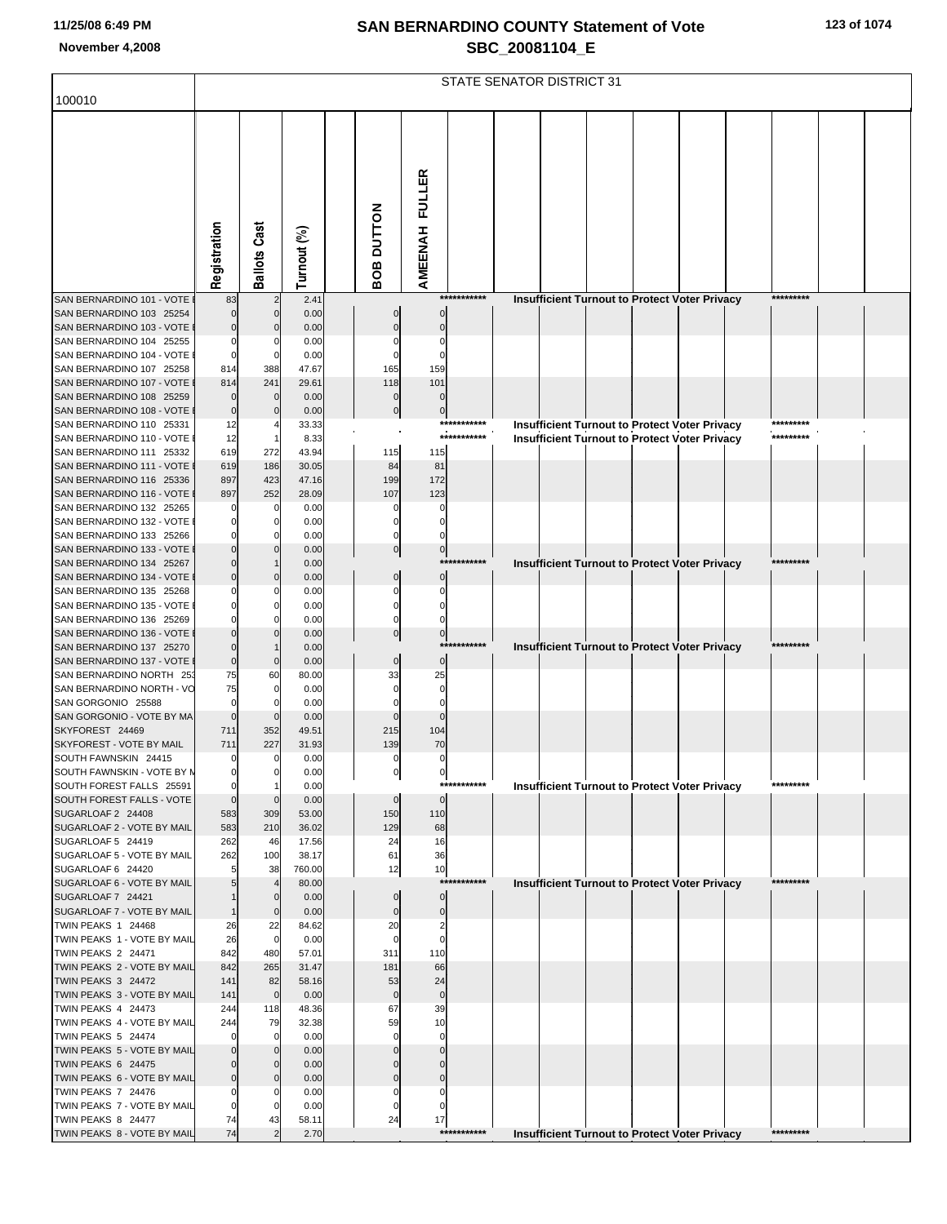|  | 123 of 1074 |  |  |  |
|--|-------------|--|--|--|
|--|-------------|--|--|--|

|                                                          | STATE SENATOR DISTRICT 31 |                                |                 |                               |                               |             |                                                      |  |  |           |  |  |  |
|----------------------------------------------------------|---------------------------|--------------------------------|-----------------|-------------------------------|-------------------------------|-------------|------------------------------------------------------|--|--|-----------|--|--|--|
| 100010                                                   |                           |                                |                 |                               |                               |             |                                                      |  |  |           |  |  |  |
|                                                          |                           |                                |                 |                               |                               |             |                                                      |  |  |           |  |  |  |
|                                                          |                           |                                |                 |                               |                               |             |                                                      |  |  |           |  |  |  |
|                                                          |                           |                                |                 |                               |                               |             |                                                      |  |  |           |  |  |  |
|                                                          |                           |                                |                 |                               |                               |             |                                                      |  |  |           |  |  |  |
|                                                          |                           |                                |                 |                               |                               |             |                                                      |  |  |           |  |  |  |
|                                                          |                           |                                |                 |                               |                               |             |                                                      |  |  |           |  |  |  |
|                                                          |                           |                                |                 |                               |                               |             |                                                      |  |  |           |  |  |  |
|                                                          |                           |                                |                 |                               |                               |             |                                                      |  |  |           |  |  |  |
|                                                          | Registration              | <b>Ballots Cast</b>            | Turnout (%)     | <b>ROB DUTTON</b>             | AMEENAH FULLER                |             |                                                      |  |  |           |  |  |  |
| SAN BERNARDINO 101 - VOTE                                | 83                        |                                | 2.41            |                               |                               | *********** | Insufficient Turnout to Protect Voter Privacy        |  |  | ********* |  |  |  |
| SAN BERNARDINO 103 25254                                 |                           | $\mathbf{0}$                   | 0.00            |                               |                               |             |                                                      |  |  |           |  |  |  |
| SAN BERNARDINO 103 - VOTE                                |                           |                                | 0.00            |                               |                               |             |                                                      |  |  |           |  |  |  |
| SAN BERNARDINO 104 25255<br>SAN BERNARDINO 104 - VOTE    | $\Omega$<br>$\mathbf 0$   | $\Omega$                       | 0.00<br>0.00    |                               | 0                             |             |                                                      |  |  |           |  |  |  |
| SAN BERNARDINO 107 25258                                 | 814                       | 388                            | 47.67           | 165                           | 159                           |             |                                                      |  |  |           |  |  |  |
| SAN BERNARDINO 107 - VOTE                                | 814                       | 241                            | 29.61           | 118                           | 101                           |             |                                                      |  |  |           |  |  |  |
| SAN BERNARDINO 108 25259<br>SAN BERNARDINO 108 - VOTE    | $\Omega$<br>$\mathbf 0$   | $\Omega$<br>$\Omega$           | 0.00<br>0.00    | 0<br>$\mathbf 0$              | $\Omega$                      |             |                                                      |  |  |           |  |  |  |
| SAN BERNARDINO 110 25331                                 | 12                        |                                | 33.33           |                               | $\mathbf 0$                   | *********** | <b>Insufficient Turnout to Protect Voter Privacy</b> |  |  | ********* |  |  |  |
| SAN BERNARDINO 110 - VOTE                                | 12                        |                                | 8.33            |                               |                               | *********** | <b>Insufficient Turnout to Protect Voter Privacy</b> |  |  | ********* |  |  |  |
| SAN BERNARDINO 111 25332<br>SAN BERNARDINO 111 - VOTE    | 619                       | 272                            | 43.94           | 115                           | 115                           |             |                                                      |  |  |           |  |  |  |
| SAN BERNARDINO 116 25336                                 | 619<br>897                | 186<br>423                     | 30.05<br>47.16  | 84<br>199                     | 81<br>172                     |             |                                                      |  |  |           |  |  |  |
| SAN BERNARDINO 116 - VOTE                                | 897                       | 252                            | 28.09           | 107                           | 123                           |             |                                                      |  |  |           |  |  |  |
| SAN BERNARDINO 132 25265                                 | 0                         | $\mathbf 0$                    | 0.00            | 0                             |                               |             |                                                      |  |  |           |  |  |  |
| SAN BERNARDINO 132 - VOTE<br>SAN BERNARDINO 133 25266    |                           |                                | 0.00<br>0.00    |                               |                               |             |                                                      |  |  |           |  |  |  |
| SAN BERNARDINO 133 - VOTE                                |                           |                                | 0.00            | $\mathbf 0$                   | $\bf{0}$                      |             |                                                      |  |  |           |  |  |  |
| SAN BERNARDINO 134 25267                                 |                           |                                | 0.00            |                               |                               | *********** | Insufficient Turnout to Protect Voter Privacy        |  |  | ********* |  |  |  |
| SAN BERNARDINO 134 - VOTE<br>SAN BERNARDINO 135 25268    |                           | $\mathbf{0}$<br>$\Omega$       | 0.00<br>0.00    | $\Omega$                      | $\Omega$                      |             |                                                      |  |  |           |  |  |  |
| SAN BERNARDINO 135 - VOTE                                |                           |                                | 0.00            |                               |                               |             |                                                      |  |  |           |  |  |  |
| SAN BERNARDINO 136 25269                                 |                           |                                | 0.00            |                               |                               |             |                                                      |  |  |           |  |  |  |
| SAN BERNARDINO 136 - VOTE<br>SAN BERNARDINO 137 25270    | $\Omega$                  |                                | 0.00<br>0.00    | $\mathbf 0$                   | $\mathbf 0$                   | *********** |                                                      |  |  | ********* |  |  |  |
| SAN BERNARDINO 137 - VOTE                                | $\overline{0}$            | $\mathbf 0$                    | 0.00            | $\mathbf 0$                   | $\Omega$                      |             | Insufficient Turnout to Protect Voter Privacy        |  |  |           |  |  |  |
| SAN BERNARDINO NORTH 25.                                 | 75                        | 60                             | 80.00           | 33                            | 25                            |             |                                                      |  |  |           |  |  |  |
| SAN BERNARDINO NORTH - VC<br>SAN GORGONIO 25588          | 75<br>$\mathbf 0$         |                                | 0.00<br>0.00    |                               |                               |             |                                                      |  |  |           |  |  |  |
| SAN GORGONIO - VOTE BY MA                                | $\Omega$                  | $\mathbf 0$                    | 0.00            |                               |                               |             |                                                      |  |  |           |  |  |  |
| SKYFOREST 24469                                          | 711                       | 352                            | 49.51           | 215                           | 104                           |             |                                                      |  |  |           |  |  |  |
| SKYFOREST - VOTE BY MAIL                                 | 711<br>$\mathbf 0$        | 227                            | 31.93           | 139                           | 70                            |             |                                                      |  |  |           |  |  |  |
| SOUTH FAWNSKIN 24415<br>SOUTH FAWNSKIN - VOTE BY N       | $\mathbf 0$               | $\overline{0}$<br>$\mathbf{0}$ | 0.00<br>0.00    | $\mathbf 0$<br>$\overline{0}$ | $\mathbf 0$<br>$\overline{0}$ |             |                                                      |  |  |           |  |  |  |
| SOUTH FOREST FALLS 25591                                 | $\mathbf 0$               |                                | 0.00            |                               |                               | *********** | <b>Insufficient Turnout to Protect Voter Privacy</b> |  |  | ********* |  |  |  |
| SOUTH FOREST FALLS - VOTE                                | $\mathbf 0$               | $\mathbf 0$                    | 0.00            | $\mathbf 0$                   | $\mathbf{0}$                  |             |                                                      |  |  |           |  |  |  |
| SUGARLOAF 2 24408<br>SUGARLOAF 2 - VOTE BY MAIL          | 583<br>583                | 309<br>210                     | 53.00<br>36.02  | 150<br>129                    | 110<br>68                     |             |                                                      |  |  |           |  |  |  |
| SUGARLOAF 5 24419                                        | 262                       | 46                             | 17.56           | 24                            | 16                            |             |                                                      |  |  |           |  |  |  |
| SUGARLOAF 5 - VOTE BY MAIL                               | 262                       | 100                            | 38.17           | 61                            | 36                            |             |                                                      |  |  |           |  |  |  |
| SUGARLOAF 6 24420<br>SUGARLOAF 6 - VOTE BY MAIL          | 5                         | 38<br>$\overline{4}$           | 760.00<br>80.00 | 12                            | 10                            | *********** | <b>Insufficient Turnout to Protect Voter Privacy</b> |  |  | ********* |  |  |  |
| SUGARLOAF 7 24421                                        |                           | $\overline{0}$                 | 0.00            | $\mathbf 0$                   | $\mathbf 0$                   |             |                                                      |  |  |           |  |  |  |
| SUGARLOAF 7 - VOTE BY MAIL                               |                           | $\mathbf 0$                    | 0.00            | $\mathbf 0$                   | $\mathbf 0$                   |             |                                                      |  |  |           |  |  |  |
| TWIN PEAKS 1 24468<br>TWIN PEAKS 1 - VOTE BY MAIL        | 26<br>26                  | 22<br>$\mathbf 0$              | 84.62<br>0.00   | 20<br>$\Omega$                | $\overline{2}$<br>$\Omega$    |             |                                                      |  |  |           |  |  |  |
| <b>TWIN PEAKS 2 24471</b>                                | 842                       | 480                            | 57.01           | 311                           | 110                           |             |                                                      |  |  |           |  |  |  |
| TWIN PEAKS 2 - VOTE BY MAIL                              | 842                       | 265                            | 31.47           | 181                           | 66                            |             |                                                      |  |  |           |  |  |  |
| TWIN PEAKS 3 24472<br>TWIN PEAKS 3 - VOTE BY MAIL        | 141<br>141                | 82<br>$\mathbf 0$              | 58.16<br>0.00   | 53<br>$\mathbf 0$             | 24<br>$\mathbf 0$             |             |                                                      |  |  |           |  |  |  |
| TWIN PEAKS 4 24473                                       | 244                       | 118                            | 48.36           | 67                            | 39                            |             |                                                      |  |  |           |  |  |  |
| TWIN PEAKS 4 - VOTE BY MAIL                              | 244                       | 79                             | 32.38           | 59                            | 10                            |             |                                                      |  |  |           |  |  |  |
| <b>TWIN PEAKS 5 24474</b><br>TWIN PEAKS 5 - VOTE BY MAIL | $\Omega$                  | $\mathbf{0}$<br>$\mathbf{0}$   | 0.00<br>0.00    | $\Omega$                      | $\Omega$                      |             |                                                      |  |  |           |  |  |  |
| TWIN PEAKS 6 24475                                       |                           | $\overline{0}$                 | 0.00            |                               | $\Omega$                      |             |                                                      |  |  |           |  |  |  |
| TWIN PEAKS 6 - VOTE BY MAIL                              |                           | $\mathbf{0}$                   | 0.00            |                               | $\Omega$                      |             |                                                      |  |  |           |  |  |  |
| <b>TWIN PEAKS 7 24476</b><br>TWIN PEAKS 7 - VOTE BY MAIL | $\Omega$                  | 0<br>$\Omega$                  | 0.00<br>0.00    | 0<br>0                        | 0                             |             |                                                      |  |  |           |  |  |  |
| TWIN PEAKS 8 24477                                       | 74                        | 43                             | 58.11           | 24                            | 17                            |             |                                                      |  |  |           |  |  |  |
| TWIN PEAKS 8 - VOTE BY MAIL                              | 74                        |                                | 2.70            |                               |                               | *********** | <b>Insufficient Turnout to Protect Voter Privacy</b> |  |  | ********* |  |  |  |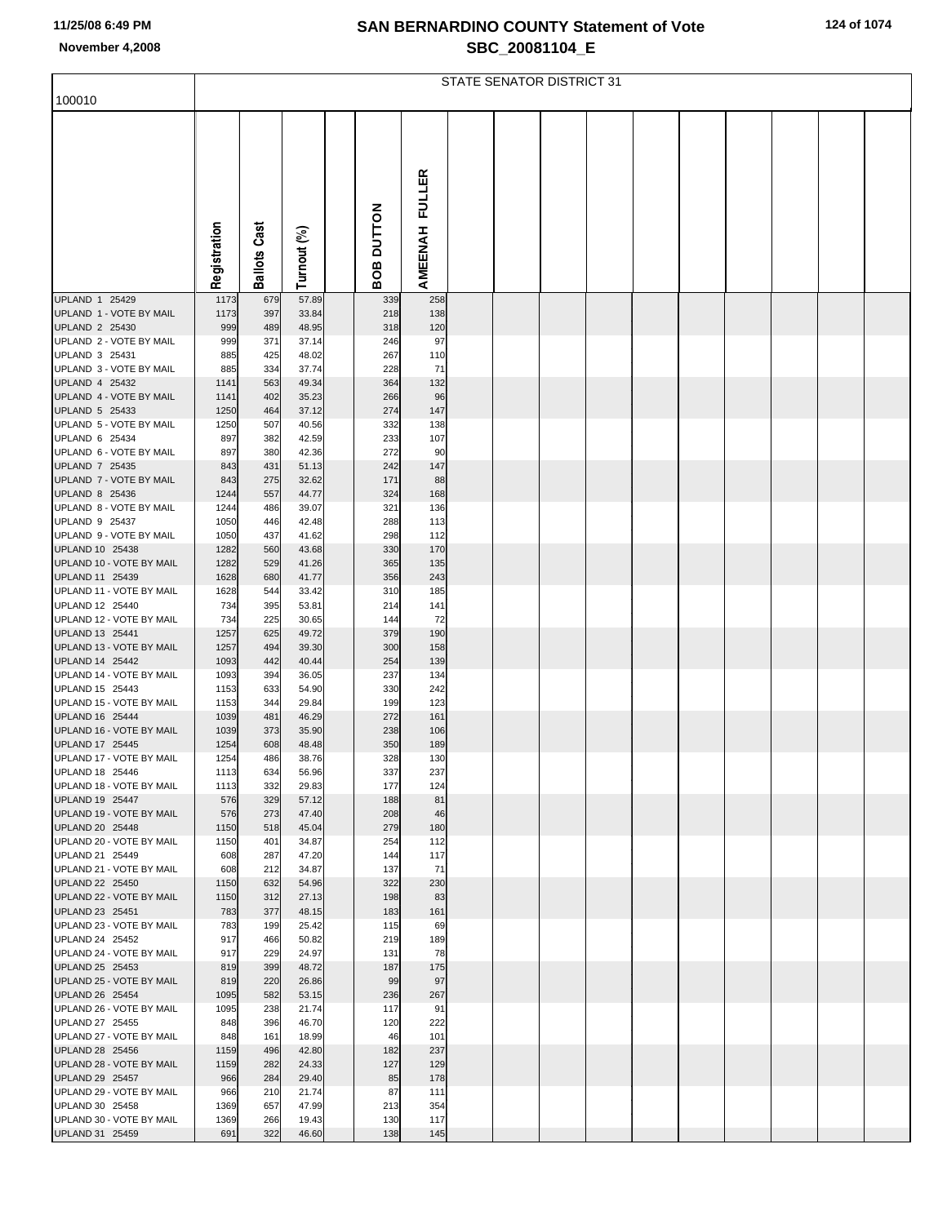|  |  |  |  | 124 of 1074 |  |
|--|--|--|--|-------------|--|
|--|--|--|--|-------------|--|

|                                             | STATE SENATOR DISTRICT 31 |                |                |  |               |               |  |  |  |  |  |  |  |  |  |
|---------------------------------------------|---------------------------|----------------|----------------|--|---------------|---------------|--|--|--|--|--|--|--|--|--|
| 100010                                      |                           |                |                |  |               |               |  |  |  |  |  |  |  |  |  |
|                                             |                           |                |                |  |               |               |  |  |  |  |  |  |  |  |  |
|                                             |                           |                |                |  |               |               |  |  |  |  |  |  |  |  |  |
|                                             |                           |                |                |  |               |               |  |  |  |  |  |  |  |  |  |
|                                             |                           |                |                |  |               | <b>FULLER</b> |  |  |  |  |  |  |  |  |  |
|                                             |                           |                |                |  |               |               |  |  |  |  |  |  |  |  |  |
|                                             |                           | Cast           |                |  |               |               |  |  |  |  |  |  |  |  |  |
|                                             |                           |                |                |  | <b>NOLLON</b> |               |  |  |  |  |  |  |  |  |  |
|                                             | Registration              | <b>Ballots</b> | Turnout (%)    |  | 8O            | AMEENAH       |  |  |  |  |  |  |  |  |  |
|                                             |                           |                |                |  | m             |               |  |  |  |  |  |  |  |  |  |
| UPLAND 1 25429<br>UPLAND 1 - VOTE BY MAIL   | 1173<br>1173              | 679<br>397     | 57.89<br>33.84 |  | 339<br>218    | 258<br>138    |  |  |  |  |  |  |  |  |  |
| UPLAND 2 25430                              | 999                       | 489            | 48.95          |  | 318           | 120           |  |  |  |  |  |  |  |  |  |
| UPLAND 2 - VOTE BY MAIL<br>UPLAND 3 25431   | 999<br>885                | 371<br>425     | 37.14<br>48.02 |  | 246<br>267    | 97<br>110     |  |  |  |  |  |  |  |  |  |
| UPLAND 3 - VOTE BY MAIL                     | 885                       | 334            | 37.74          |  | 228           | 71            |  |  |  |  |  |  |  |  |  |
| UPLAND 4 25432                              | 1141                      | 563            | 49.34          |  | 364           | 132           |  |  |  |  |  |  |  |  |  |
| UPLAND 4 - VOTE BY MAIL<br>UPLAND 5 25433   | 1141<br>1250              | 402<br>464     | 35.23<br>37.12 |  | 266<br>274    | 96<br>147     |  |  |  |  |  |  |  |  |  |
| UPLAND 5 - VOTE BY MAIL                     | 1250                      | 507            | 40.56          |  | 332           | 138           |  |  |  |  |  |  |  |  |  |
| UPLAND 6 25434<br>UPLAND 6 - VOTE BY MAIL   | 897<br>897                | 382<br>380     | 42.59<br>42.36 |  | 233<br>272    | 107<br>90     |  |  |  |  |  |  |  |  |  |
| <b>UPLAND 7 25435</b>                       | 843                       | 431            | 51.13          |  | 242           | 147           |  |  |  |  |  |  |  |  |  |
| UPLAND 7 - VOTE BY MAIL<br>UPLAND 8 25436   | 843<br>1244               | 275<br>557     | 32.62<br>44.77 |  | 171<br>324    | 88<br>168     |  |  |  |  |  |  |  |  |  |
| UPLAND 8 - VOTE BY MAIL                     | 1244                      | 486            | 39.07          |  | 321           | 136           |  |  |  |  |  |  |  |  |  |
| UPLAND 9 25437<br>UPLAND 9 - VOTE BY MAIL   | 1050<br>1050              | 446<br>437     | 42.48<br>41.62 |  | 288<br>298    | 113           |  |  |  |  |  |  |  |  |  |
| UPLAND 10 25438                             | 1282                      | 560            | 43.68          |  | 330           | 112<br>170    |  |  |  |  |  |  |  |  |  |
| UPLAND 10 - VOTE BY MAIL                    | 1282                      | 529            | 41.26          |  | 365           | 135           |  |  |  |  |  |  |  |  |  |
| UPLAND 11 25439<br>UPLAND 11 - VOTE BY MAIL | 1628<br>1628              | 680<br>544     | 41.77<br>33.42 |  | 356<br>310    | 243<br>185    |  |  |  |  |  |  |  |  |  |
| UPLAND 12 25440                             | 734                       | 395            | 53.81          |  | 214           | 141           |  |  |  |  |  |  |  |  |  |
| UPLAND 12 - VOTE BY MAIL<br>UPLAND 13 25441 | 734<br>1257               | 225<br>625     | 30.65<br>49.72 |  | 144<br>379    | 72<br>190     |  |  |  |  |  |  |  |  |  |
| UPLAND 13 - VOTE BY MAIL                    | 1257                      | 494            | 39.30          |  | 300           | 158           |  |  |  |  |  |  |  |  |  |
| UPLAND 14 25442<br>UPLAND 14 - VOTE BY MAIL | 1093<br>1093              | 442<br>394     | 40.44<br>36.05 |  | 254<br>237    | 139<br>134    |  |  |  |  |  |  |  |  |  |
| UPLAND 15 25443                             | 1153                      | 633            | 54.90          |  | 330           | 242           |  |  |  |  |  |  |  |  |  |
| UPLAND 15 - VOTE BY MAIL<br>UPLAND 16 25444 | 1153<br>1039              | 344<br>481     | 29.84<br>46.29 |  | 199<br>272    | 123<br>161    |  |  |  |  |  |  |  |  |  |
| UPLAND 16 - VOTE BY MAIL                    | 1039                      | 373            | 35.90          |  | 238           | 106           |  |  |  |  |  |  |  |  |  |
| UPLAND 17 25445                             | 1254                      | 608            | 48.48          |  | 350           | 189           |  |  |  |  |  |  |  |  |  |
| UPLAND 17 - VOTE BY MAIL<br>UPLAND 18 25446 | 1254<br>1113              | 486<br>634     | 38.76<br>56.96 |  | 328<br>337    | 130<br>237    |  |  |  |  |  |  |  |  |  |
| UPLAND 18 - VOTE BY MAIL                    | 1113                      | 332            | 29.83          |  | 177           | 124           |  |  |  |  |  |  |  |  |  |
| UPLAND 19 25447<br>UPLAND 19 - VOTE BY MAIL | 576<br>576                | 329<br>273     | 57.12<br>47.40 |  | 188<br>208    | 81<br>46      |  |  |  |  |  |  |  |  |  |
| UPLAND 20 25448                             | 1150                      | 518            | 45.04          |  | 279           | 180           |  |  |  |  |  |  |  |  |  |
| UPLAND 20 - VOTE BY MAIL<br>UPLAND 21 25449 | 1150<br>608               | 401<br>287     | 34.87<br>47.20 |  | 254<br>144    | 112<br>117    |  |  |  |  |  |  |  |  |  |
| UPLAND 21 - VOTE BY MAIL                    | 608                       | 212            | 34.87          |  | 137           | 71            |  |  |  |  |  |  |  |  |  |
| UPLAND 22 25450<br>UPLAND 22 - VOTE BY MAIL | 1150<br>1150              | 632<br>312     | 54.96<br>27.13 |  | 322<br>198    | 230<br>83     |  |  |  |  |  |  |  |  |  |
| UPLAND 23 25451                             | 783                       | 377            | 48.15          |  | 183           | 161           |  |  |  |  |  |  |  |  |  |
| UPLAND 23 - VOTE BY MAIL                    | 783                       | 199            | 25.42          |  | 115           | 69            |  |  |  |  |  |  |  |  |  |
| UPLAND 24 25452<br>UPLAND 24 - VOTE BY MAIL | 917<br>917                | 466<br>229     | 50.82<br>24.97 |  | 219<br>131    | 189<br>78     |  |  |  |  |  |  |  |  |  |
| UPLAND 25 25453                             | 819                       | 399            | 48.72          |  | 187           | 175           |  |  |  |  |  |  |  |  |  |
| UPLAND 25 - VOTE BY MAIL<br>UPLAND 26 25454 | 819<br>1095               | 220<br>582     | 26.86<br>53.15 |  | 99<br>236     | 97<br>267     |  |  |  |  |  |  |  |  |  |
| UPLAND 26 - VOTE BY MAIL                    | 1095                      | 238            | 21.74          |  | 117           | 91            |  |  |  |  |  |  |  |  |  |
| UPLAND 27 25455<br>UPLAND 27 - VOTE BY MAIL | 848<br>848                | 396<br>161     | 46.70<br>18.99 |  | 120<br>46     | 222<br>101    |  |  |  |  |  |  |  |  |  |
| UPLAND 28 25456                             | 1159                      | 496            | 42.80          |  | 182           | 237           |  |  |  |  |  |  |  |  |  |
| UPLAND 28 - VOTE BY MAIL<br>UPLAND 29 25457 | 1159<br>966               | 282<br>284     | 24.33<br>29.40 |  | 127<br>85     | 129<br>178    |  |  |  |  |  |  |  |  |  |
| UPLAND 29 - VOTE BY MAIL                    | 966                       | 210            | 21.74          |  | 87            | 111           |  |  |  |  |  |  |  |  |  |
| UPLAND 30 25458<br>UPLAND 30 - VOTE BY MAIL | 1369<br>1369              | 657<br>266     | 47.99<br>19.43 |  | 213<br>130    | 354<br>117    |  |  |  |  |  |  |  |  |  |
| UPLAND 31 25459                             | 691                       | 322            | 46.60          |  | 138           | 145           |  |  |  |  |  |  |  |  |  |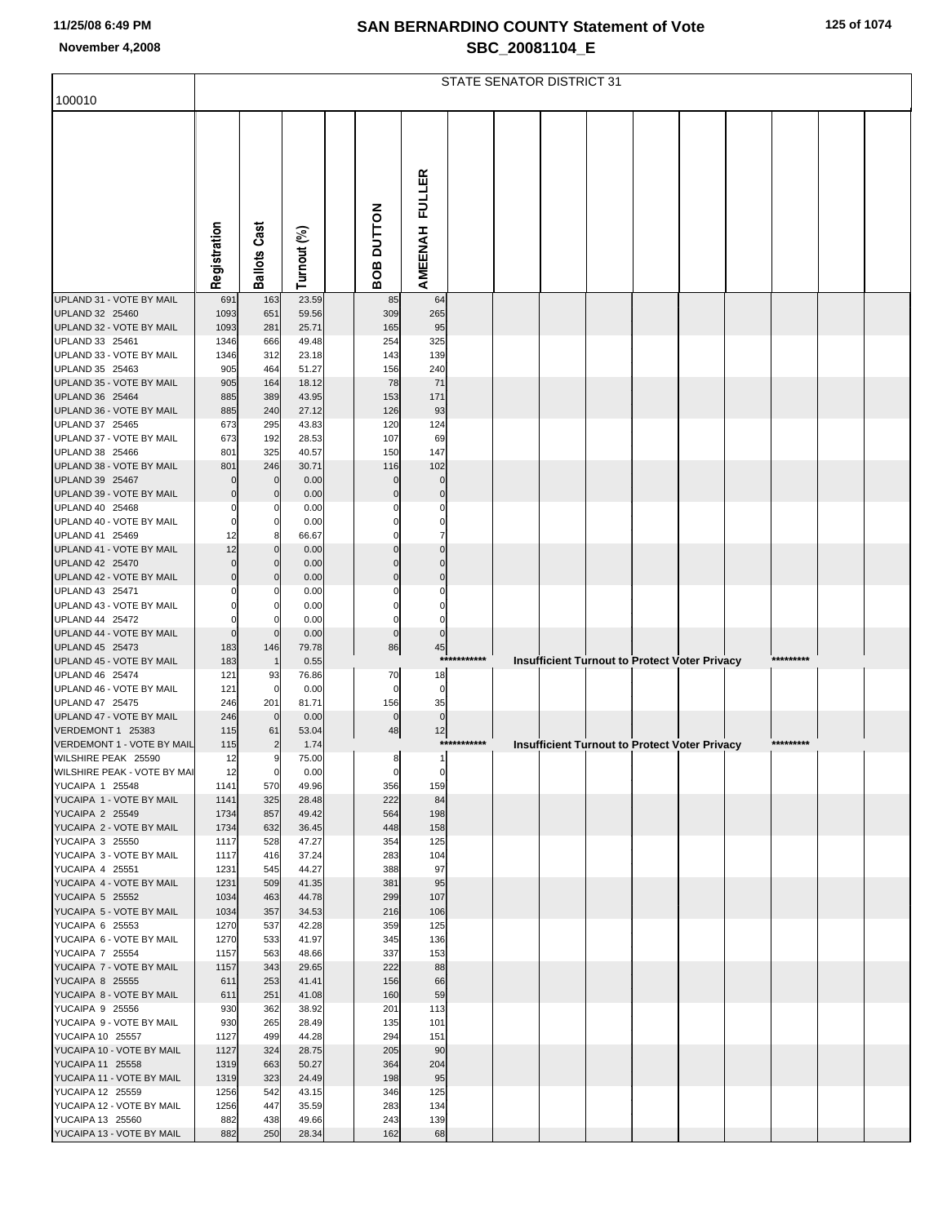|  |  |  |  | 125 of 1074 |  |
|--|--|--|--|-------------|--|
|--|--|--|--|-------------|--|

|                                                    | STATE SENATOR DISTRICT 31 |                     |                |  |                       |                            |             |  |  |  |  |                                                      |  |           |  |
|----------------------------------------------------|---------------------------|---------------------|----------------|--|-----------------------|----------------------------|-------------|--|--|--|--|------------------------------------------------------|--|-----------|--|
| 100010                                             |                           |                     |                |  |                       |                            |             |  |  |  |  |                                                      |  |           |  |
|                                                    | Registration              | <b>Ballots Cast</b> | Turnout (%)    |  | <b>OB DUTTON</b><br>m | AMEENAH FULLER             |             |  |  |  |  |                                                      |  |           |  |
| UPLAND 31 - VOTE BY MAIL                           | 691                       | 163                 | 23.59          |  | 85                    | 64                         |             |  |  |  |  |                                                      |  |           |  |
| UPLAND 32 25460                                    | 1093                      | 651                 | 59.56          |  | 309                   | 265                        |             |  |  |  |  |                                                      |  |           |  |
| UPLAND 32 - VOTE BY MAIL<br>UPLAND 33 25461        | 1093<br>1346              | 281<br>666          | 25.71<br>49.48 |  | 165<br>254            | 95<br>325                  |             |  |  |  |  |                                                      |  |           |  |
| UPLAND 33 - VOTE BY MAIL                           | 1346                      | 312                 | 23.18          |  | 143                   | 139                        |             |  |  |  |  |                                                      |  |           |  |
| UPLAND 35 25463                                    | 905                       | 464                 | 51.27          |  | 156                   | 240                        |             |  |  |  |  |                                                      |  |           |  |
| UPLAND 35 - VOTE BY MAIL                           | 905                       | 164                 | 18.12          |  | 78                    | 71                         |             |  |  |  |  |                                                      |  |           |  |
| UPLAND 36 25464                                    | 885                       | 389                 | 43.95          |  | 153                   | 171                        |             |  |  |  |  |                                                      |  |           |  |
| UPLAND 36 - VOTE BY MAIL<br>UPLAND 37 25465        | 885<br>673                | 240<br>295          | 27.12<br>43.83 |  | 126<br>120            | 93<br>124                  |             |  |  |  |  |                                                      |  |           |  |
| UPLAND 37 - VOTE BY MAIL                           | 673                       | 192                 | 28.53          |  | 107                   | 69                         |             |  |  |  |  |                                                      |  |           |  |
| UPLAND 38 25466                                    | 801                       | 325                 | 40.57          |  | 150                   | 147                        |             |  |  |  |  |                                                      |  |           |  |
| UPLAND 38 - VOTE BY MAIL                           | 801                       | 246                 | 30.71          |  | 116                   | 102                        |             |  |  |  |  |                                                      |  |           |  |
| UPLAND 39 25467<br>UPLAND 39 - VOTE BY MAIL        | $\Omega$<br>$\mathbf 0$   | 0<br>$\Omega$       | 0.00<br>0.00   |  | 0<br>$\Omega$         | $\mathbf 0$<br>$\mathbf 0$ |             |  |  |  |  |                                                      |  |           |  |
| UPLAND 40 25468                                    | 0                         | 0                   | 0.00           |  |                       | 0                          |             |  |  |  |  |                                                      |  |           |  |
| UPLAND 40 - VOTE BY MAIL                           | $\mathbf 0$               | 0                   | 0.00           |  |                       | 0                          |             |  |  |  |  |                                                      |  |           |  |
| UPLAND 41 25469                                    | 12                        | 8                   | 66.67          |  |                       | 7                          |             |  |  |  |  |                                                      |  |           |  |
| UPLAND 41 - VOTE BY MAIL                           | 12                        | 0                   | 0.00           |  |                       | $\Omega$                   |             |  |  |  |  |                                                      |  |           |  |
| UPLAND 42 25470<br>UPLAND 42 - VOTE BY MAIL        | $\mathbf 0$<br>$\Omega$   | 0                   | 0.00<br>0.00   |  |                       | $\Omega$<br>$\Omega$       |             |  |  |  |  |                                                      |  |           |  |
| UPLAND 43 25471                                    |                           |                     | 0.00           |  |                       |                            |             |  |  |  |  |                                                      |  |           |  |
| UPLAND 43 - VOTE BY MAIL                           |                           |                     | 0.00           |  |                       | O                          |             |  |  |  |  |                                                      |  |           |  |
| UPLAND 44 25472                                    | $\Omega$                  |                     | 0.00           |  | 0                     | 0                          |             |  |  |  |  |                                                      |  |           |  |
| UPLAND 44 - VOTE BY MAIL<br>UPLAND 45 25473        | $\mathbf{0}$              | $\mathbf 0$         | 0.00           |  | $\mathbf 0$           | $\overline{0}$             |             |  |  |  |  |                                                      |  |           |  |
| UPLAND 45 - VOTE BY MAIL                           | 183<br>183                | 146                 | 79.78<br>0.55  |  | 86                    | 45<br>****                 | *******     |  |  |  |  | Insufficient Turnout to Protect Voter Privacy        |  | ********* |  |
| UPLAND 46 25474                                    | 121                       | 93                  | 76.86          |  | 70                    | 18                         |             |  |  |  |  |                                                      |  |           |  |
| UPLAND 46 - VOTE BY MAIL                           | 121                       | 0                   | 0.00           |  | 0                     | $\mathbf 0$                |             |  |  |  |  |                                                      |  |           |  |
| UPLAND 47 25475                                    | 246                       | 201                 | 81.71          |  | 156                   | 35                         |             |  |  |  |  |                                                      |  |           |  |
| UPLAND 47 - VOTE BY MAIL<br>VERDEMONT 1 25383      | 246<br>115                | $\mathbf 0$<br>61   | 0.00<br>53.04  |  | $\mathbf 0$<br>48     | $\overline{0}$<br>12       |             |  |  |  |  |                                                      |  |           |  |
| VERDEMONT 1 - VOTE BY MAIL                         | 115                       |                     | 1.74           |  |                       |                            | *********** |  |  |  |  | <b>Insufficient Turnout to Protect Voter Privacy</b> |  | ********* |  |
| WILSHIRE PEAK 25590                                | 12                        | 9                   | 75.00          |  | 8                     | 1                          |             |  |  |  |  |                                                      |  |           |  |
| WILSHIRE PEAK - VOTE BY MAI                        | 12                        | $\mathbf{0}$        | 0.00           |  | $\overline{0}$        | $\mathbf 0$                |             |  |  |  |  |                                                      |  |           |  |
| <b>YUCAIPA 1 25548</b><br>YUCAIPA 1 - VOTE BY MAIL | 1141<br>1141              | 570<br>325          | 49.96<br>28.48 |  | 356<br>222            | 159<br>84                  |             |  |  |  |  |                                                      |  |           |  |
| <b>YUCAIPA 2 25549</b>                             | 1734                      | 857                 | 49.42          |  | 564                   | 198                        |             |  |  |  |  |                                                      |  |           |  |
| YUCAIPA 2 - VOTE BY MAIL                           | 1734                      | 632                 | 36.45          |  | 448                   | 158                        |             |  |  |  |  |                                                      |  |           |  |
| YUCAIPA 3 25550                                    | 1117                      | 528                 | 47.27          |  | 354                   | 125                        |             |  |  |  |  |                                                      |  |           |  |
| YUCAIPA 3 - VOTE BY MAIL<br>YUCAIPA 4 25551        | 1117<br>1231              | 416                 | 37.24<br>44.27 |  | 283<br>388            | 104<br>97                  |             |  |  |  |  |                                                      |  |           |  |
| YUCAIPA 4 - VOTE BY MAIL                           | 1231                      | 545<br>509          | 41.35          |  | 381                   | 95                         |             |  |  |  |  |                                                      |  |           |  |
| <b>YUCAIPA 5 25552</b>                             | 1034                      | 463                 | 44.78          |  | 299                   | 107                        |             |  |  |  |  |                                                      |  |           |  |
| YUCAIPA 5 - VOTE BY MAIL                           | 1034                      | 357                 | 34.53          |  | 216                   | 106                        |             |  |  |  |  |                                                      |  |           |  |
| YUCAIPA 6 25553                                    | 1270                      | 537                 | 42.28          |  | 359                   | 125                        |             |  |  |  |  |                                                      |  |           |  |
| YUCAIPA 6 - VOTE BY MAIL<br><b>YUCAIPA 7 25554</b> | 1270<br>1157              | 533<br>563          | 41.97<br>48.66 |  | 345<br>337            | 136<br>153                 |             |  |  |  |  |                                                      |  |           |  |
| YUCAIPA 7 - VOTE BY MAIL                           | 1157                      | 343                 | 29.65          |  | 222                   | 88                         |             |  |  |  |  |                                                      |  |           |  |
| <b>YUCAIPA 8 25555</b>                             | 611                       | 253                 | 41.41          |  | 156                   | 66                         |             |  |  |  |  |                                                      |  |           |  |
| YUCAIPA 8 - VOTE BY MAIL                           | 611                       | 251                 | 41.08          |  | 160                   | 59                         |             |  |  |  |  |                                                      |  |           |  |
| YUCAIPA 9 25556                                    | 930                       | 362                 | 38.92          |  | 201                   | 113                        |             |  |  |  |  |                                                      |  |           |  |
| YUCAIPA 9 - VOTE BY MAIL<br>YUCAIPA 10 25557       | 930<br>1127               | 265<br>499          | 28.49<br>44.28 |  | 135<br>294            | 101<br>151                 |             |  |  |  |  |                                                      |  |           |  |
| YUCAIPA 10 - VOTE BY MAIL                          | 1127                      | 324                 | 28.75          |  | 205                   | 90                         |             |  |  |  |  |                                                      |  |           |  |
| YUCAIPA 11 25558                                   | 1319                      | 663                 | 50.27          |  | 364                   | 204                        |             |  |  |  |  |                                                      |  |           |  |
| YUCAIPA 11 - VOTE BY MAIL                          | 1319                      | 323                 | 24.49          |  | 198                   | 95                         |             |  |  |  |  |                                                      |  |           |  |
| YUCAIPA 12 25559                                   | 1256                      | 542                 | 43.15          |  | 346                   | 125                        |             |  |  |  |  |                                                      |  |           |  |
| YUCAIPA 12 - VOTE BY MAIL<br>YUCAIPA 13 25560      | 1256<br>882               | 447<br>438          | 35.59<br>49.66 |  | 283<br>243            | 134<br>139                 |             |  |  |  |  |                                                      |  |           |  |
| YUCAIPA 13 - VOTE BY MAIL                          | 882                       | 250                 | 28.34          |  | 162                   | 68                         |             |  |  |  |  |                                                      |  |           |  |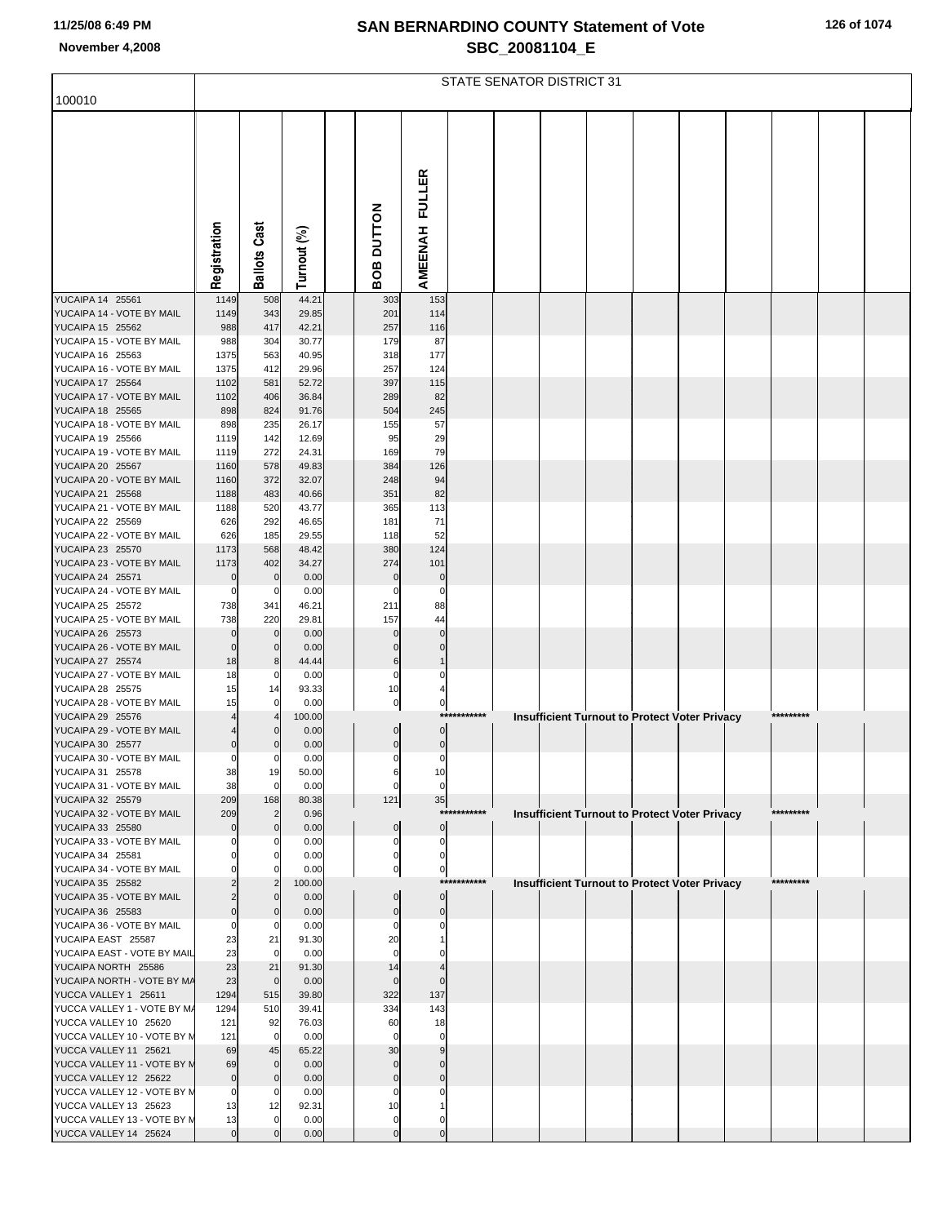|  |  | 126 of 1074 |
|--|--|-------------|
|--|--|-------------|

|                                                      | STATE SENATOR DISTRICT 31 |                            |                |  |                         |                                |             |  |  |  |  |                                                      |  |            |  |
|------------------------------------------------------|---------------------------|----------------------------|----------------|--|-------------------------|--------------------------------|-------------|--|--|--|--|------------------------------------------------------|--|------------|--|
| 100010                                               |                           |                            |                |  |                         |                                |             |  |  |  |  |                                                      |  |            |  |
|                                                      |                           |                            |                |  |                         |                                |             |  |  |  |  |                                                      |  |            |  |
|                                                      |                           |                            |                |  |                         |                                |             |  |  |  |  |                                                      |  |            |  |
|                                                      |                           |                            |                |  |                         |                                |             |  |  |  |  |                                                      |  |            |  |
|                                                      |                           |                            |                |  |                         | AMEENAH FULLER                 |             |  |  |  |  |                                                      |  |            |  |
|                                                      |                           |                            |                |  |                         |                                |             |  |  |  |  |                                                      |  |            |  |
|                                                      |                           |                            |                |  |                         |                                |             |  |  |  |  |                                                      |  |            |  |
|                                                      | Registration              | <b>Ballots Cast</b>        | Turnout (%)    |  | <b>BOB DUTTON</b>       |                                |             |  |  |  |  |                                                      |  |            |  |
|                                                      |                           |                            |                |  |                         |                                |             |  |  |  |  |                                                      |  |            |  |
| YUCAIPA 14 25561<br>YUCAIPA 14 - VOTE BY MAIL        | 1149<br>1149              | 508<br>343                 | 44.21<br>29.85 |  | 303<br>201              | 153<br>114                     |             |  |  |  |  |                                                      |  |            |  |
| YUCAIPA 15 25562                                     | 988                       | 417                        | 42.21          |  | 257                     | 116                            |             |  |  |  |  |                                                      |  |            |  |
| YUCAIPA 15 - VOTE BY MAIL<br>YUCAIPA 16 25563        | 988<br>1375               | 304<br>563                 | 30.77<br>40.95 |  | 179<br>318              | 87<br>177                      |             |  |  |  |  |                                                      |  |            |  |
| YUCAIPA 16 - VOTE BY MAIL                            | 1375                      | 412                        | 29.96          |  | 257                     | 124                            |             |  |  |  |  |                                                      |  |            |  |
| YUCAIPA 17 25564<br>YUCAIPA 17 - VOTE BY MAIL        | 1102<br>1102              | 581<br>406                 | 52.72<br>36.84 |  | 397<br>289              | 115<br>82                      |             |  |  |  |  |                                                      |  |            |  |
| YUCAIPA 18 25565                                     | 898                       | 824                        | 91.76          |  | 504                     | 245                            |             |  |  |  |  |                                                      |  |            |  |
| YUCAIPA 18 - VOTE BY MAIL<br>YUCAIPA 19 25566        | 898                       | 235                        | 26.17          |  | 155                     | 57                             |             |  |  |  |  |                                                      |  |            |  |
| YUCAIPA 19 - VOTE BY MAIL                            | 1119<br>1119              | 142<br>272                 | 12.69<br>24.31 |  | 95<br>169               | 29<br>79                       |             |  |  |  |  |                                                      |  |            |  |
| YUCAIPA 20 25567                                     | 1160                      | 578                        | 49.83          |  | 384                     | 126                            |             |  |  |  |  |                                                      |  |            |  |
| YUCAIPA 20 - VOTE BY MAIL<br>YUCAIPA 21 25568        | 1160<br>1188              | 372<br>483                 | 32.07<br>40.66 |  | 248<br>351              | 94<br>82                       |             |  |  |  |  |                                                      |  |            |  |
| YUCAIPA 21 - VOTE BY MAIL                            | 1188                      | 520                        | 43.77          |  | 365                     | 113                            |             |  |  |  |  |                                                      |  |            |  |
| YUCAIPA 22 25569<br>YUCAIPA 22 - VOTE BY MAIL        | 626<br>626                | 292<br>185                 | 46.65<br>29.55 |  | 181<br>118              | 71<br>52                       |             |  |  |  |  |                                                      |  |            |  |
| YUCAIPA 23 25570                                     | 1173                      | 568                        | 48.42          |  | 380                     | 124                            |             |  |  |  |  |                                                      |  |            |  |
| YUCAIPA 23 - VOTE BY MAIL<br>YUCAIPA 24 25571        | 1173                      | 402                        | 34.27          |  | 274<br>$\mathbf 0$      | 101<br>$\mathbf 0$             |             |  |  |  |  |                                                      |  |            |  |
| YUCAIPA 24 - VOTE BY MAIL                            | $\mathbf 0$<br>0          | $\mathbf 0$<br>0           | 0.00<br>0.00   |  | 0                       | 0                              |             |  |  |  |  |                                                      |  |            |  |
| YUCAIPA 25 25572                                     | 738                       | 341                        | 46.21          |  | 211                     | 88                             |             |  |  |  |  |                                                      |  |            |  |
| YUCAIPA 25 - VOTE BY MAIL<br>YUCAIPA 26 25573        | 738<br>$\mathbf 0$        | 220<br>$\mathbf 0$         | 29.81<br>0.00  |  | 157                     | 44<br>$\Omega$                 |             |  |  |  |  |                                                      |  |            |  |
| YUCAIPA 26 - VOTE BY MAIL                            | $\mathbf 0$               | $\mathbf 0$                | 0.00           |  | $\mathbf 0$             | $\Omega$                       |             |  |  |  |  |                                                      |  |            |  |
| YUCAIPA 27 25574<br>YUCAIPA 27 - VOTE BY MAIL        | 18<br>18                  | 8<br>0                     | 44.44<br>0.00  |  | 6<br>0                  | 0                              |             |  |  |  |  |                                                      |  |            |  |
| <b>YUCAIPA 28 25575</b>                              | 15                        | 14                         | 93.33          |  | 10                      |                                |             |  |  |  |  |                                                      |  |            |  |
| YUCAIPA 28 - VOTE BY MAIL<br><b>YUCAIPA 29 25576</b> | 15                        | $\mathbf 0$                | 0.00<br>100.00 |  | $\pmb{0}$               | $\overline{0}$                 | *********** |  |  |  |  | Insufficient Turnout to Protect Voter Privacy        |  | ********** |  |
| YUCAIPA 29 - VOTE BY MAIL                            |                           |                            | 0.00           |  | $\mathbf 0$             | $\overline{0}$                 |             |  |  |  |  |                                                      |  |            |  |
| YUCAIPA 30 25577                                     | $\Omega$<br>$\mathbf 0$   |                            | 0.00           |  | $\mathbf 0$             | $\overline{0}$<br>$\mathbf{0}$ |             |  |  |  |  |                                                      |  |            |  |
| YUCAIPA 30 - VOTE BY MAIL<br>YUCAIPA 31 25578        | 38                        | $\mathbf{0}$<br>19         | 0.00<br>50.00  |  | $\pmb{0}$<br>6          | 10                             |             |  |  |  |  |                                                      |  |            |  |
| YUCAIPA 31 - VOTE BY MAIL                            | 38                        | $\mathbf 0$                | 0.00           |  | $\mathbf 0$             | $\overline{0}$                 |             |  |  |  |  |                                                      |  |            |  |
| YUCAIPA 32 25579<br>YUCAIPA 32 - VOTE BY MAIL        | 209<br>209                | 168<br>2                   | 80.38<br>0.96  |  | 121                     | 35                             | *********** |  |  |  |  | <b>Insufficient Turnout to Protect Voter Privacy</b> |  | *********  |  |
| YUCAIPA 33 25580                                     | $\mathbf 0$               | $\Omega$                   | 0.00           |  | $\mathbf 0$             | $\overline{0}$                 |             |  |  |  |  |                                                      |  |            |  |
| YUCAIPA 33 - VOTE BY MAIL<br>YUCAIPA 34 25581        | 0                         | $\Omega$                   | 0.00<br>0.00   |  | 0<br>$\Omega$           | $\overline{0}$<br>$\Omega$     |             |  |  |  |  |                                                      |  |            |  |
| YUCAIPA 34 - VOTE BY MAIL                            | $\Omega$                  |                            | 0.00           |  | 0                       | $\mathbf{0}$                   |             |  |  |  |  |                                                      |  |            |  |
| YUCAIPA 35 25582<br>YUCAIPA 35 - VOTE BY MAIL        | $\overline{2}$            | $\mathbf{0}$               | 100.00<br>0.00 |  |                         | $\overline{0}$                 | *********** |  |  |  |  | <b>Insufficient Turnout to Protect Voter Privacy</b> |  | *********  |  |
| YUCAIPA 36 25583                                     | $\overline{0}$            | $\mathbf 0$                | 0.00           |  | $\Omega$                | $\mathbf 0$                    |             |  |  |  |  |                                                      |  |            |  |
| YUCAIPA 36 - VOTE BY MAIL<br>YUCAIPA EAST 25587      | $\mathbf 0$<br>23         | 0<br>21                    | 0.00<br>91.30  |  | $\Omega$<br>20          | 0                              |             |  |  |  |  |                                                      |  |            |  |
| YUCAIPA EAST - VOTE BY MAIL                          | 23                        | $\mathbf 0$                | 0.00           |  | $\Omega$                |                                |             |  |  |  |  |                                                      |  |            |  |
| YUCAIPA NORTH 25586                                  | 23                        | 21                         | 91.30          |  | 14                      |                                |             |  |  |  |  |                                                      |  |            |  |
| YUCAIPA NORTH - VOTE BY MA<br>YUCCA VALLEY 1 25611   | 23<br>1294                | $\mathbf 0$<br>515         | 0.00<br>39.80  |  | $\Omega$<br>322         | $\mathbf 0$<br>137             |             |  |  |  |  |                                                      |  |            |  |
| YUCCA VALLEY 1 - VOTE BY M/                          | 1294                      | 510                        | 39.41          |  | 334                     | 143                            |             |  |  |  |  |                                                      |  |            |  |
| YUCCA VALLEY 10 25620<br>YUCCA VALLEY 10 - VOTE BY M | 121<br>121                | 92<br>$\mathbf 0$          | 76.03<br>0.00  |  | 60<br>$\Omega$          | 18<br>0                        |             |  |  |  |  |                                                      |  |            |  |
| YUCCA VALLEY 11 25621                                | 69                        | 45                         | 65.22          |  | 30                      |                                |             |  |  |  |  |                                                      |  |            |  |
| YUCCA VALLEY 11 - VOTE BY M<br>YUCCA VALLEY 12 25622 | 69<br>$\mathbf 0$         | $\overline{0}$<br>$\Omega$ | 0.00<br>0.00   |  | $\mathbf 0$<br>$\Omega$ | $\Omega$<br>$\Omega$           |             |  |  |  |  |                                                      |  |            |  |
| YUCCA VALLEY 12 - VOTE BY M                          | $\mathbf 0$               | 0                          | 0.00           |  |                         |                                |             |  |  |  |  |                                                      |  |            |  |
| YUCCA VALLEY 13 25623<br>YUCCA VALLEY 13 - VOTE BY M | 13<br>13                  | 12                         | 92.31<br>0.00  |  | 10<br>0                 | 0                              |             |  |  |  |  |                                                      |  |            |  |
| YUCCA VALLEY 14 25624                                | $\overline{0}$            |                            | 0.00           |  | $\mathbf 0$             | $\mathbf{0}$                   |             |  |  |  |  |                                                      |  |            |  |